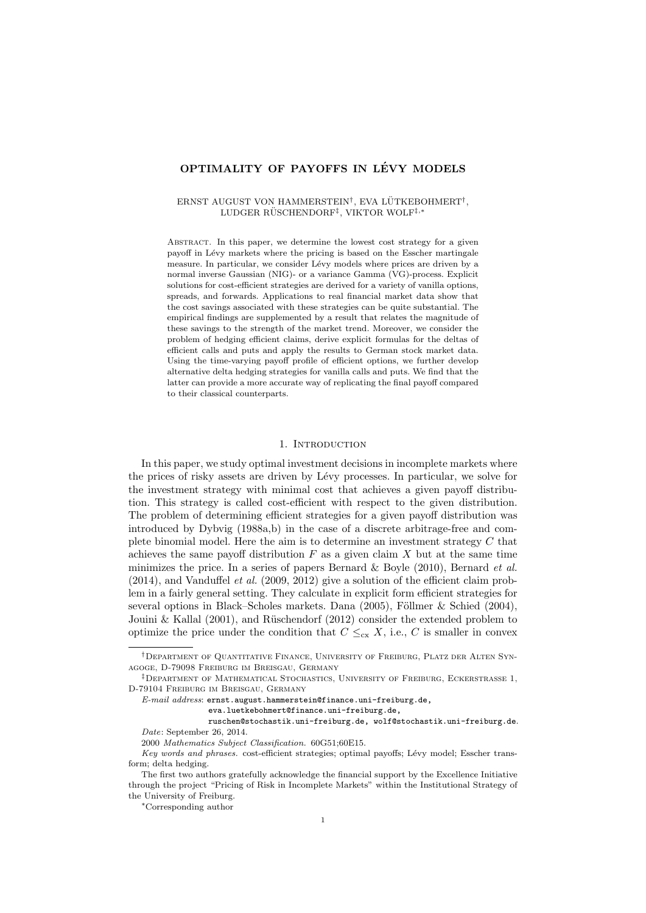# OPTIMALITY OF PAYOFFS IN LÉVY MODELS

#### ERNST AUGUST VON HAMMERSTEIN<sup>†</sup>, EVA LÜTKEBOHMERT<sup>†</sup>, LUDGER RÜSCHENDORF<sup>‡</sup>, VIKTOR WOLF<sup>‡,\*</sup>

ABSTRACT. In this paper, we determine the lowest cost strategy for a given payoff in Lévy markets where the pricing is based on the Esscher martingale measure. In particular, we consider Lévy models where prices are driven by a normal inverse Gaussian (NIG)- or a variance Gamma (VG)-process. Explicit solutions for cost-efficient strategies are derived for a variety of vanilla options, spreads, and forwards. Applications to real financial market data show that the cost savings associated with these strategies can be quite substantial. The empirical findings are supplemented by a result that relates the magnitude of these savings to the strength of the market trend. Moreover, we consider the problem of hedging efficient claims, derive explicit formulas for the deltas of efficient calls and puts and apply the results to German stock market data. Using the time-varying payoff profile of efficient options, we further develop alternative delta hedging strategies for vanilla calls and puts. We find that the latter can provide a more accurate way of replicating the final payoff compared to their classical counterparts.

### 1. INTRODUCTION

In this paper, we study optimal investment decisions in incomplete markets where the prices of risky assets are driven by Lévy processes. In particular, we solve for the investment strategy with minimal cost that achieves a given payoff distribution. This strategy is called cost-efficient with respect to the given distribution. The problem of determining efficient strategies for a given payoff distribution was introduced by Dybvig (1988a,b) in the case of a discrete arbitrage-free and complete binomial model. Here the aim is to determine an investment strategy C that achieves the same payoff distribution  $F$  as a given claim  $X$  but at the same time minimizes the price. In a series of papers Bernard & Boyle  $(2010)$ , Bernard *et al.*  $(2014)$ , and Vanduffel *et al.*  $(2009, 2012)$  give a solution of the efficient claim problem in a fairly general setting. They calculate in explicit form efficient strategies for several options in Black–Scholes markets. Dana  $(2005)$ , Föllmer & Schied  $(2004)$ , Jouini & Kallal  $(2001)$ , and Rüschendorf  $(2012)$  consider the extended problem to optimize the price under the condition that  $C \leq_{\text{cx}} X$ , i.e., C is smaller in convex

eva.luetkebohmert@finance.uni-freiburg.de,

ruschen@stochastik.uni-freiburg.de, wolf@stochastik.uni-freiburg.de. Date: September 26, 2014.

2000 Mathematics Subject Classification. 60G51;60E15.

<sup>∗</sup>Corresponding author

<sup>†</sup>Department of Quantitative Finance, University of Freiburg, Platz der Alten Synagoge, D-79098 Freiburg im Breisgau, Germany

<sup>‡</sup>Department of Mathematical Stochastics, University of Freiburg, Eckerstrasse 1, D-79104 Freiburg im Breisgau, Germany

 $E-mail$   $address:$  ernst.august.hammerstein@finance.uni-freiburg.de,

Key words and phrases. cost-efficient strategies; optimal payoffs; Lévy model; Esscher transform; delta hedging.

The first two authors gratefully acknowledge the financial support by the Excellence Initiative through the project "Pricing of Risk in Incomplete Markets" within the Institutional Strategy of the University of Freiburg.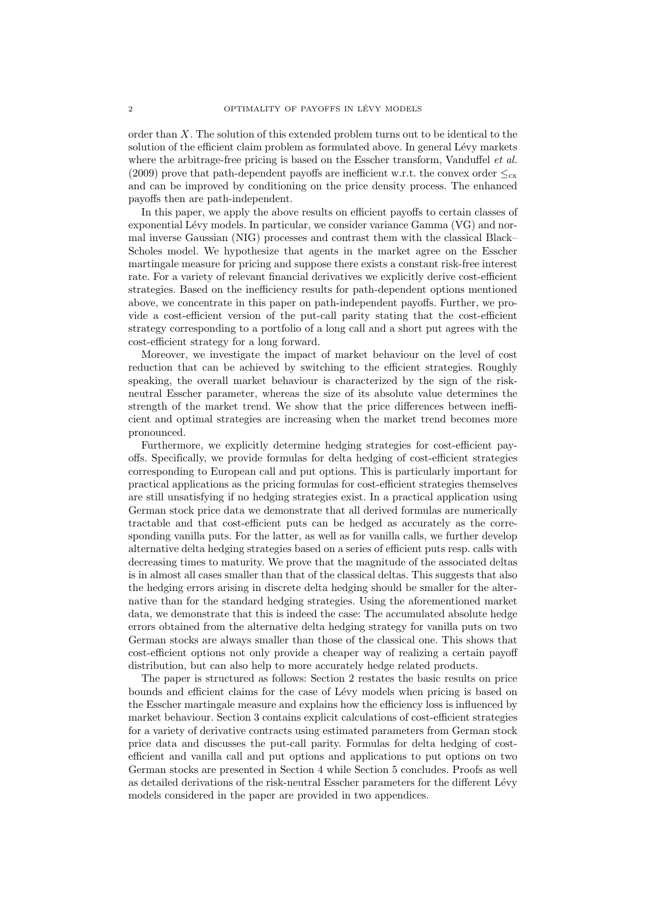order than X. The solution of this extended problem turns out to be identical to the solution of the efficient claim problem as formulated above. In general Lévy markets where the arbitrage-free pricing is based on the Esscher transform, Vanduffel *et al.* (2009) prove that path-dependent payoffs are inefficient w.r.t. the convex order  $\leq_{\rm cx}$ and can be improved by conditioning on the price density process. The enhanced payoffs then are path-independent.

In this paper, we apply the above results on efficient payoffs to certain classes of exponential Lévy models. In particular, we consider variance Gamma  $(VG)$  and normal inverse Gaussian (NIG) processes and contrast them with the classical Black– Scholes model. We hypothesize that agents in the market agree on the Esscher martingale measure for pricing and suppose there exists a constant risk-free interest rate. For a variety of relevant financial derivatives we explicitly derive cost-efficient strategies. Based on the inefficiency results for path-dependent options mentioned above, we concentrate in this paper on path-independent payoffs. Further, we provide a cost-efficient version of the put-call parity stating that the cost-efficient strategy corresponding to a portfolio of a long call and a short put agrees with the cost-efficient strategy for a long forward.

Moreover, we investigate the impact of market behaviour on the level of cost reduction that can be achieved by switching to the efficient strategies. Roughly speaking, the overall market behaviour is characterized by the sign of the riskneutral Esscher parameter, whereas the size of its absolute value determines the strength of the market trend. We show that the price differences between inefficient and optimal strategies are increasing when the market trend becomes more pronounced.

Furthermore, we explicitly determine hedging strategies for cost-efficient payoffs. Specifically, we provide formulas for delta hedging of cost-efficient strategies corresponding to European call and put options. This is particularly important for practical applications as the pricing formulas for cost-efficient strategies themselves are still unsatisfying if no hedging strategies exist. In a practical application using German stock price data we demonstrate that all derived formulas are numerically tractable and that cost-efficient puts can be hedged as accurately as the corresponding vanilla puts. For the latter, as well as for vanilla calls, we further develop alternative delta hedging strategies based on a series of efficient puts resp. calls with decreasing times to maturity. We prove that the magnitude of the associated deltas is in almost all cases smaller than that of the classical deltas. This suggests that also the hedging errors arising in discrete delta hedging should be smaller for the alternative than for the standard hedging strategies. Using the aforementioned market data, we demonstrate that this is indeed the case: The accumulated absolute hedge errors obtained from the alternative delta hedging strategy for vanilla puts on two German stocks are always smaller than those of the classical one. This shows that cost-efficient options not only provide a cheaper way of realizing a certain payoff distribution, but can also help to more accurately hedge related products.

The paper is structured as follows: Section 2 restates the basic results on price bounds and efficient claims for the case of Lévy models when pricing is based on the Esscher martingale measure and explains how the efficiency loss is influenced by market behaviour. Section 3 contains explicit calculations of cost-efficient strategies for a variety of derivative contracts using estimated parameters from German stock price data and discusses the put-call parity. Formulas for delta hedging of costefficient and vanilla call and put options and applications to put options on two German stocks are presented in Section 4 while Section 5 concludes. Proofs as well as detailed derivations of the risk-neutral Esscher parameters for the different Lévy models considered in the paper are provided in two appendices.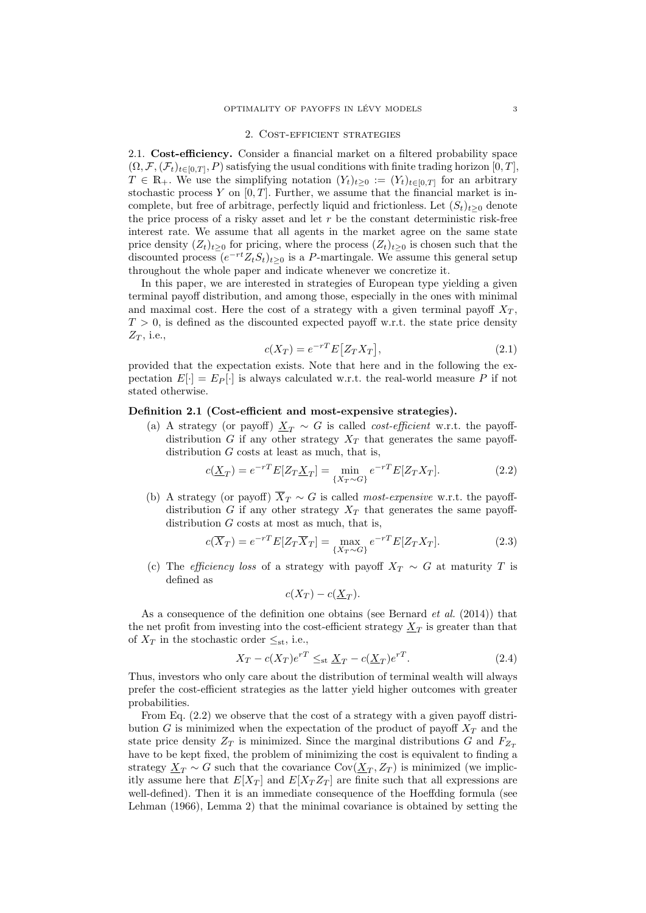#### 2. Cost-efficient strategies

2.1. Cost-efficiency. Consider a financial market on a filtered probability space  $(\Omega, \mathcal{F}, (\mathcal{F}_t)_{t\in[0,T]}, P)$  satisfying the usual conditions with finite trading horizon  $[0,T]$ ,  $T \in \mathbb{R}_+$ . We use the simplifying notation  $(Y_t)_{t\geq 0} := (Y_t)_{t\in[0,T]}$  for an arbitrary stochastic process Y on  $[0, T]$ . Further, we assume that the financial market is incomplete, but free of arbitrage, perfectly liquid and frictionless. Let  $(S_t)_{t\geq0}$  denote the price process of a risky asset and let  $r$  be the constant deterministic risk-free interest rate. We assume that all agents in the market agree on the same state price density  $(Z_t)_{t>0}$  for pricing, where the process  $(Z_t)_{t>0}$  is chosen such that the discounted process  $(e^{-rt}Z_tS_t)_{t\geq 0}$  is a P-martingale. We assume this general setup throughout the whole paper and indicate whenever we concretize it.

In this paper, we are interested in strategies of European type yielding a given terminal payoff distribution, and among those, especially in the ones with minimal and maximal cost. Here the cost of a strategy with a given terminal payoff  $X_T$ ,  $T > 0$ , is defined as the discounted expected payoff w.r.t. the state price density  $Z_T$ , i.e.,

$$
c(X_T) = e^{-rT} E[Z_T X_T], \qquad (2.1)
$$

provided that the expectation exists. Note that here and in the following the expectation  $E[\cdot] = E_P[\cdot]$  is always calculated w.r.t. the real-world measure P if not stated otherwise.

## Definition 2.1 (Cost-efficient and most-expensive strategies).

(a) A strategy (or payoff)  $\underline{X}_T \sim G$  is called *cost-efficient* w.r.t. the payoffdistribution G if any other strategy  $X_T$  that generates the same payoffdistribution  $G$  costs at least as much, that is,

$$
c(\underline{X}_T) = e^{-rT} E[Z_T \underline{X}_T] = \min_{\{X_T \sim G\}} e^{-rT} E[Z_T X_T].
$$
\n(2.2)

(b) A strategy (or payoff)  $\overline{X}_T \sim G$  is called *most-expensive* w.r.t. the payoffdistribution G if any other strategy  $X_T$  that generates the same payoffdistribution  $G$  costs at most as much, that is,

$$
c(\overline{X}_T) = e^{-rT} E[Z_T \overline{X}_T] = \max_{\{X_T \sim G\}} e^{-rT} E[Z_T X_T]. \tag{2.3}
$$

(c) The *efficiency loss* of a strategy with payoff  $X_T \sim G$  at maturity T is defined as

$$
c(X_T) - c(\underline{X}_T).
$$

As a consequence of the definition one obtains (see Bernard *et al.* (2014)) that the net profit from investing into the cost-efficient strategy  $\underline{X}_T$  is greater than that of  $X_T$  in the stochastic order  $\leq_{\text{st}}$ , i.e.,

$$
X_T - c(X_T)e^{rT} \leq_{st} \underline{X}_T - c(\underline{X}_T)e^{rT}.
$$
\n(2.4)

Thus, investors who only care about the distribution of terminal wealth will always prefer the cost-efficient strategies as the latter yield higher outcomes with greater probabilities.

From Eq. (2.2) we observe that the cost of a strategy with a given payoff distribution G is minimized when the expectation of the product of payoff  $X_T$  and the state price density  $Z_T$  is minimized. Since the marginal distributions G and  $F_{Z_T}$ have to be kept fixed, the problem of minimizing the cost is equivalent to finding a strategy  $\underline{X}_T \sim G$  such that the covariance  $\text{Cov}(\underline{X}_T, Z_T)$  is minimized (we implicitly assume here that  $E[X_T]$  and  $E[X_T Z_T]$  are finite such that all expressions are well-defined). Then it is an immediate consequence of the Hoeffding formula (see Lehman (1966), Lemma 2) that the minimal covariance is obtained by setting the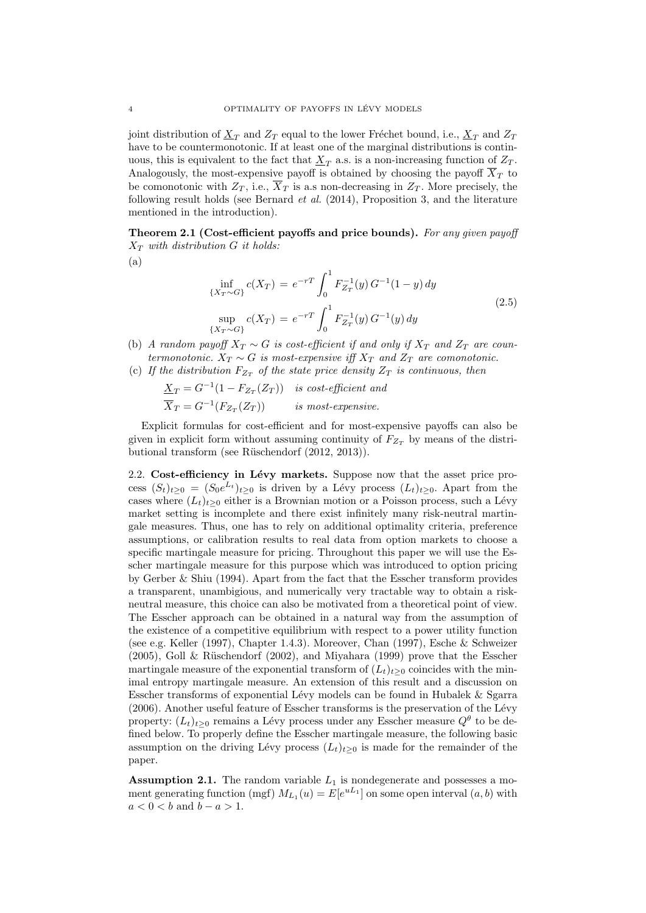joint distribution of  $\underline{X}_T$  and  $Z_T$  equal to the lower Fréchet bound, i.e.,  $\underline{X}_T$  and  $Z_T$ have to be countermonotonic. If at least one of the marginal distributions is continuous, this is equivalent to the fact that  $X_T$  a.s. is a non-increasing function of  $Z_T$ . Analogously, the most-expensive payoff is obtained by choosing the payoff  $\overline{X}_T$  to be comonotonic with  $Z_T$ , i.e.,  $\overline{X}_T$  is a.s non-decreasing in  $Z_T$ . More precisely, the following result holds (see Bernard et al. (2014), Proposition 3, and the literature mentioned in the introduction).

Theorem 2.1 (Cost-efficient payoffs and price bounds). For any given payoff  $X_T$  with distribution G it holds:

(a)

$$
\inf_{\{X_T \sim G\}} c(X_T) = e^{-rT} \int_0^1 F_{Z_T}^{-1}(y) G^{-1}(1-y) dy
$$
\n
$$
\sup_{\{X_T \sim G\}} c(X_T) = e^{-rT} \int_0^1 F_{Z_T}^{-1}(y) G^{-1}(y) dy
$$
\n(2.5)

- (b) A random payoff  $X_T \sim G$  is cost-efficient if and only if  $X_T$  and  $Z_T$  are countermonotonic.  $X_T \sim G$  is most-expensive iff  $X_T$  and  $Z_T$  are comonotonic.
- (c) If the distribution  $F_{Z_T}$  of the state price density  $Z_T$  is continuous, then

$$
\underline{X}_T = G^{-1}(1 - F_{Z_T}(Z_T))
$$
 is cost-efficient and  
\n
$$
\overline{X}_T = G^{-1}(F_{Z_T}(Z_T))
$$
 is most-expensive.

Explicit formulas for cost-efficient and for most-expensive payoffs can also be given in explicit form without assuming continuity of  $F_{Z_T}$  by means of the distributional transform (see Rüschendorf (2012, 2013)).

2.2. Cost-efficiency in Lévy markets. Suppose now that the asset price process  $(S_t)_{t\geq 0} = (S_0 e^{L_t})_{t\geq 0}$  is driven by a Lévy process  $(L_t)_{t\geq 0}$ . Apart from the cases where  $(L_t)_{t>0}$  either is a Brownian motion or a Poisson process, such a Lévy market setting is incomplete and there exist infinitely many risk-neutral martingale measures. Thus, one has to rely on additional optimality criteria, preference assumptions, or calibration results to real data from option markets to choose a specific martingale measure for pricing. Throughout this paper we will use the Esscher martingale measure for this purpose which was introduced to option pricing by Gerber & Shiu (1994). Apart from the fact that the Esscher transform provides a transparent, unambigious, and numerically very tractable way to obtain a riskneutral measure, this choice can also be motivated from a theoretical point of view. The Esscher approach can be obtained in a natural way from the assumption of the existence of a competitive equilibrium with respect to a power utility function (see e.g. Keller (1997), Chapter 1.4.3). Moreover, Chan (1997), Esche & Schweizer  $(2005)$ , Goll & Rüschendorf  $(2002)$ , and Miyahara  $(1999)$  prove that the Esscher martingale measure of the exponential transform of  $(L_t)_{t>0}$  coincides with the minimal entropy martingale measure. An extension of this result and a discussion on Esscher transforms of exponential Lévy models can be found in Hubalek & Sgarra  $(2006)$ . Another useful feature of Esscher transforms is the preservation of the Lévy property:  $(L_t)_{t\geq 0}$  remains a Lévy process under any Esscher measure  $Q^{\theta}$  to be defined below. To properly define the Esscher martingale measure, the following basic assumption on the driving Lévy process  $(L_t)_{t\geq0}$  is made for the remainder of the paper.

**Assumption 2.1.** The random variable  $L_1$  is nondegenerate and possesses a moment generating function (mgf)  $M_{L_1}(u) = E[e^{uL_1}]$  on some open interval  $(a, b)$  with  $a < 0 < b$  and  $b - a > 1$ .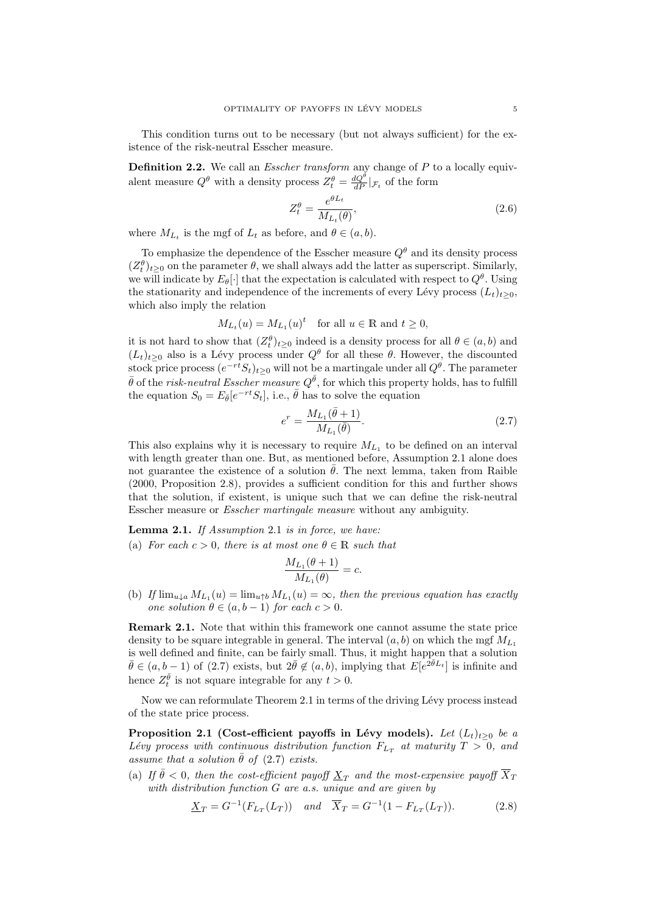This condition turns out to be necessary (but not always sufficient) for the existence of the risk-neutral Esscher measure.

**Definition 2.2.** We call an *Esscher transform* any change of  $P$  to a locally equivalent measure  $Q^{\theta}$  with a density process  $Z_t^{\theta} = \frac{dQ^{\theta}}{dP}|_{\mathcal{F}_t}$  of the form

$$
Z_t^{\theta} = \frac{e^{\theta L_t}}{M_{L_t}(\theta)},
$$
\n(2.6)

where  $M_{L_t}$  is the mgf of  $L_t$  as before, and  $\theta \in (a, b)$ .

To emphasize the dependence of the Esscher measure  $Q^{\theta}$  and its density process  $(Z_t^{\theta})_{t\geq0}$  on the parameter  $\theta$ , we shall always add the latter as superscript. Similarly, we will indicate by  $E_{\theta}[\cdot]$  that the expectation is calculated with respect to  $Q^{\theta}$ . Using the stationarity and independence of the increments of every Lévy process  $(L_t)_{t\geq0}$ , which also imply the relation

$$
M_{L_t}(u) = M_{L_1}(u)^t \quad \text{for all } u \in \mathbb{R} \text{ and } t \ge 0,
$$

it is not hard to show that  $(Z_t^{\theta})_{t\geq 0}$  indeed is a density process for all  $\theta \in (a, b)$  and  $(L_t)_{t\geq0}$  also is a Lévy process under  $Q^{\theta}$  for all these  $\theta$ . However, the discounted stock price process  $(e^{-rt}S_t)_{t\geq 0}$  will not be a martingale under all  $Q^{\theta}$ . The parameter  $\bar{\theta}$  of the *risk-neutral Esscher measure*  $Q^{\bar{\theta}}$ , for which this property holds, has to fulfill the equation  $S_0 = E_{\bar{\theta}}[e^{-rt}S_t]$ , i.e.,  $\bar{\theta}$  has to solve the equation

$$
e^{r} = \frac{M_{L_1}(\bar{\theta} + 1)}{M_{L_1}(\bar{\theta})}.
$$
\n(2.7)

This also explains why it is necessary to require  $M_{L_1}$  to be defined on an interval with length greater than one. But, as mentioned before, Assumption 2.1 alone does not guarantee the existence of a solution  $\hat{\theta}$ . The next lemma, taken from Raible (2000, Proposition 2.8), provides a sufficient condition for this and further shows that the solution, if existent, is unique such that we can define the risk-neutral Esscher measure or Esscher martingale measure without any ambiguity.

Lemma 2.1. If Assumption 2.1 is in force, we have:

(a) For each  $c > 0$ , there is at most one  $\theta \in \mathbb{R}$  such that

$$
\frac{M_{L_1}(\theta + 1)}{M_{L_1}(\theta)} = c.
$$

(b) If  $\lim_{u \downarrow a} M_{L_1}(u) = \lim_{u \uparrow b} M_{L_1}(u) = \infty$ , then the previous equation has exactly one solution  $\theta \in (a, b - 1)$  for each  $c > 0$ .

Remark 2.1. Note that within this framework one cannot assume the state price density to be square integrable in general. The interval  $(a, b)$  on which the mgf  $M_{L_1}$ is well defined and finite, can be fairly small. Thus, it might happen that a solution  $\bar{\theta} \in (a, b-1)$  of (2.7) exists, but  $2\bar{\theta} \notin (a, b)$ , implying that  $E[e^{2\bar{\theta}L_t}]$  is infinite and hence  $Z_t^{\overline{\theta}}$  is not square integrable for any  $t > 0$ .

Now we can reformulate Theorem 2.1 in terms of the driving Lévy process instead of the state price process.

Proposition 2.1 (Cost-efficient payoffs in Lévy models). Let  $(L_t)_{t\geq0}$  be a Lévy process with continuous distribution function  $F_{L_T}$  at maturity  $T > 0$ , and assume that a solution  $\bar{\theta}$  of (2.7) exists.

(a) If  $\bar{\theta}$  < 0, then the cost-efficient payoff  $\underline{X}_T$  and the most-expensive payoff  $\overline{X}_T$ with distribution function G are a.s. unique and are given by

$$
\underline{X}_T = G^{-1}(F_{L_T}(L_T)) \quad and \quad \overline{X}_T = G^{-1}(1 - F_{L_T}(L_T)). \tag{2.8}
$$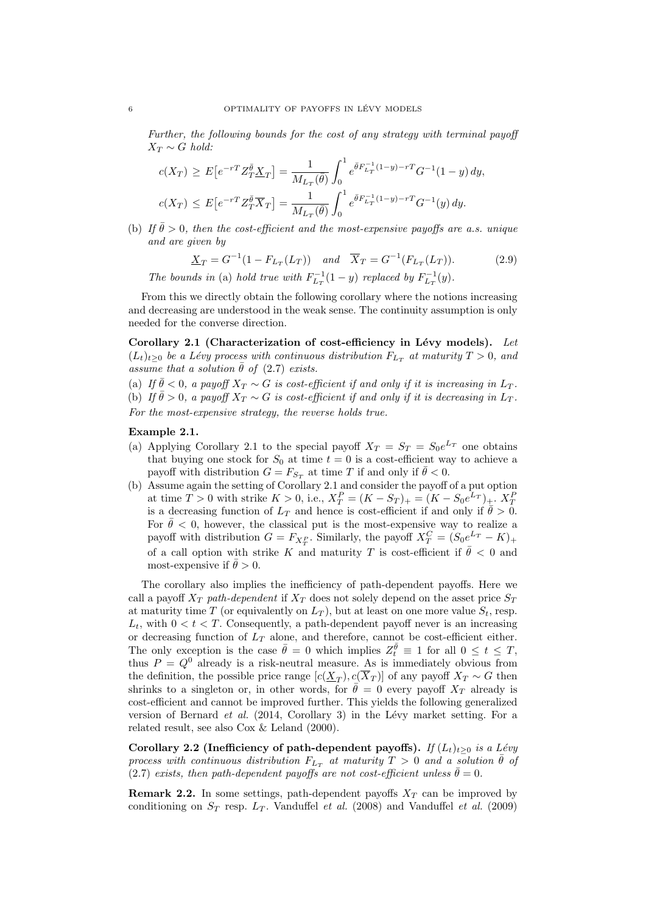Further, the following bounds for the cost of any strategy with terminal payoff  $X_T \sim G$  hold:

$$
c(X_T) \ge E\left[e^{-rT}Z_T^{\bar{\theta}}\underline{X}_T\right] = \frac{1}{M_{L_T}(\bar{\theta})} \int_0^1 e^{\bar{\theta}F_{L_T}^{-1}(1-y)-rT} G^{-1}(1-y) dy,
$$
  

$$
c(X_T) \le E\left[e^{-rT}Z_T^{\bar{\theta}}\overline{X}_T\right] = \frac{1}{M_{L_T}(\bar{\theta})} \int_0^1 e^{\bar{\theta}F_{L_T}^{-1}(1-y)-rT} G^{-1}(y) dy.
$$

(b) If  $\bar{\theta} > 0$ , then the cost-efficient and the most-expensive payoffs are a.s. unique and are given by

$$
\underline{X}_T = G^{-1}(1 - F_{L_T}(L_T)) \quad and \quad \overline{X}_T = G^{-1}(F_{L_T}(L_T)). \tag{2.9}
$$

The bounds in (a) hold true with  $F_{L_T}^{-1}(1-y)$  replaced by  $F_{L_T}^{-1}(y)$ .

From this we directly obtain the following corollary where the notions increasing and decreasing are understood in the weak sense. The continuity assumption is only needed for the converse direction.

Corollary 2.1 (Characterization of cost-efficiency in Lévy models). Let  $(L_t)_{t>0}$  be a Lévy process with continuous distribution  $F_{L_T}$  at maturity  $T > 0$ , and assume that a solution  $\bar{\theta}$  of (2.7) exists.

(a) If  $\bar{\theta} < 0$ , a payoff  $X_T \sim G$  is cost-efficient if and only if it is increasing in  $L_T$ . (b) If  $\bar{\theta} > 0$ , a payoff  $X_T \sim G$  is cost-efficient if and only if it is decreasing in  $L_T$ .

For the most-expensive strategy, the reverse holds true.

### Example 2.1.

- (a) Applying Corollary 2.1 to the special payoff  $X_T = S_T = S_0 e^{L_T}$  one obtains that buying one stock for  $S_0$  at time  $t = 0$  is a cost-efficient way to achieve a payoff with distribution  $G = F_{S_T}$  at time T if and only if  $\bar{\theta} < 0$ .
- (b) Assume again the setting of Corollary 2.1 and consider the payoff of a put option at time  $T > 0$  with strike  $K > 0$ , i.e.,  $X_T^P = (K - S_T)_+ = (K - S_0 e^{L_T})_+$ .  $X_T^P$ is a decreasing function of  $L_T$  and hence is cost-efficient if and only if  $\bar{\theta} > 0$ . For  $\bar{\theta}$  < 0, however, the classical put is the most-expensive way to realize a payoff with distribution  $G = F_{X_T^P}$ . Similarly, the payoff  $X_T^C = (S_0 e^{L_T} - K)_+$ of a call option with strike K and maturity T is cost-efficient if  $\bar{\theta} < 0$  and most-expensive if  $\bar{\theta} > 0$ .

The corollary also implies the inefficiency of path-dependent payoffs. Here we call a payoff  $X_T$  path-dependent if  $X_T$  does not solely depend on the asset price  $S_T$ at maturity time T (or equivalently on  $L_T$ ), but at least on one more value  $S_t$ , resp.  $L_t$ , with  $0 < t < T$ . Consequently, a path-dependent payoff never is an increasing or decreasing function of  $L_T$  alone, and therefore, cannot be cost-efficient either. The only exception is the case  $\bar{\theta} = 0$  which implies  $Z_t^{\bar{\theta}} \equiv 1$  for all  $0 \le t \le T$ , thus  $P = Q^0$  already is a risk-neutral measure. As is immediately obvious from the definition, the possible price range  $[c(\underline{X}_T), c(\overline{X}_T)]$  of any payoff  $X_T \sim G$  then shrinks to a singleton or, in other words, for  $\bar{\theta} = 0$  every payoff  $X_T$  already is cost-efficient and cannot be improved further. This yields the following generalized version of Bernard *et al.* (2014, Corollary 3) in the Lévy market setting. For a related result, see also Cox & Leland (2000).

Corollary 2.2 (Inefficiency of path-dependent payoffs). If  $(L_t)_{t>0}$  is a Lévy process with continuous distribution  $F_{L_T}$  at maturity  $T > 0$  and a solution  $\bar{\theta}$  of (2.7) exists, then path-dependent payoffs are not cost-efficient unless  $\bar{\theta} = 0$ .

**Remark 2.2.** In some settings, path-dependent payoffs  $X_T$  can be improved by conditioning on  $S_T$  resp.  $L_T$ . Vanduffel *et al.* (2008) and Vanduffel *et al.* (2009)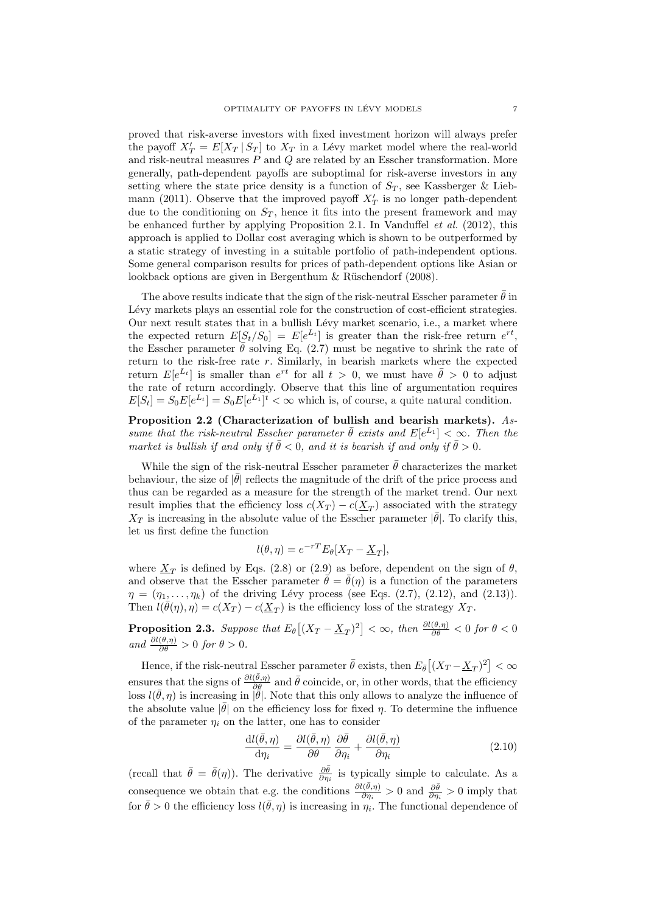proved that risk-averse investors with fixed investment horizon will always prefer the payoff  $X'_T = E[X_T | S_T]$  to  $X_T$  in a Lévy market model where the real-world and risk-neutral measures  $P$  and  $Q$  are related by an Esscher transformation. More generally, path-dependent payoffs are suboptimal for risk-averse investors in any setting where the state price density is a function of  $S_T$ , see Kassberger & Liebmann (2011). Observe that the improved payoff  $X'_T$  is no longer path-dependent due to the conditioning on  $S_T$ , hence it fits into the present framework and may be enhanced further by applying Proposition 2.1. In Vanduffel  $et$  al. (2012), this approach is applied to Dollar cost averaging which is shown to be outperformed by a static strategy of investing in a suitable portfolio of path-independent options. Some general comparison results for prices of path-dependent options like Asian or lookback options are given in Bergenthum  $\&$  Rüschendorf (2008).

The above results indicate that the sign of the risk-neutral Esscher parameter  $\bar{\theta}$  in Lévy markets plays an essential role for the construction of cost-efficient strategies. Our next result states that in a bullish Lévy market scenario, i.e., a market where the expected return  $E[S_t/S_0] = E[e^{L_t}]$  is greater than the risk-free return  $e^{rt}$ , the Esscher parameter  $\bar{\theta}$  solving Eq. (2.7) must be negative to shrink the rate of return to the risk-free rate  $r$ . Similarly, in bearish markets where the expected return  $E[e^{L_t}]$  is smaller than  $e^{rt}$  for all  $t > 0$ , we must have  $\bar{\theta} > 0$  to adjust the rate of return accordingly. Observe that this line of argumentation requires  $E[S_t] = S_0 E[e^{L_t}] = S_0 E[e^{L_1}]^t < \infty$  which is, of course, a quite natural condition.

Proposition 2.2 (Characterization of bullish and bearish markets). Assume that the risk-neutral Esscher parameter  $\bar{\theta}$  exists and  $E[e^{L_1}] < \infty$ . Then the market is bullish if and only if  $\bar{\theta} < 0$ , and it is bearish if and only if  $\bar{\theta} > 0$ .

While the sign of the risk-neutral Esscher parameter  $\bar{\theta}$  characterizes the market behaviour, the size of  $|\bar{\theta}|$  reflects the magnitude of the drift of the price process and thus can be regarded as a measure for the strength of the market trend. Our next result implies that the efficiency loss  $c(X_T) - c(\underline{X}_T)$  associated with the strategy  $X_T$  is increasing in the absolute value of the Esscher parameter  $|\bar{\theta}|$ . To clarify this, let us first define the function

$$
l(\theta, \eta) = e^{-rT} E_{\theta}[X_T - \underline{X}_T],
$$

where  $\underline{X}_T$  is defined by Eqs. (2.8) or (2.9) as before, dependent on the sign of  $\theta$ , and observe that the Esscher parameter  $\bar{\theta} = \bar{\theta}(\eta)$  is a function of the parameters  $\eta = (\eta_1, \ldots, \eta_k)$  of the driving Lévy process (see Eqs. (2.7), (2.12), and (2.13)). Then  $l(\bar{\theta}(\eta), \eta) = c(X_T) - c(\underline{X}_T)$  is the efficiency loss of the strategy  $X_T$ .

**Proposition 2.3.** Suppose that  $E_{\theta}[(X_T - \underline{X}_T)^2] < \infty$ , then  $\frac{\partial l(\theta, \eta)}{\partial \theta} < 0$  for  $\theta < 0$ and  $\frac{\partial l(\theta,\eta)}{\partial \theta} > 0$  for  $\theta > 0$ .

Hence, if the risk-neutral Esscher parameter  $\bar{\theta}$  exists, then  $E_{\bar{\theta}} \left[ (X_T - \underline{X}_T)^2 \right] < \infty$ ensures that the signs of  $\frac{\partial l(\bar{\theta},\eta)}{\partial \theta}$  and  $\bar{\theta}$  coincide, or, in other words, that the efficiency loss  $l(\bar{\theta}, \eta)$  is increasing in  $|\bar{\theta}|$ . Note that this only allows to analyze the influence of the absolute value  $|\bar{\theta}|$  on the efficiency loss for fixed  $\eta$ . To determine the influence of the parameter  $\eta_i$  on the latter, one has to consider

$$
\frac{\mathrm{d}l(\bar{\theta},\eta)}{\mathrm{d}\eta_i} = \frac{\partial l(\bar{\theta},\eta)}{\partial \theta} \frac{\partial \bar{\theta}}{\partial \eta_i} + \frac{\partial l(\bar{\theta},\eta)}{\partial \eta_i} \tag{2.10}
$$

(recall that  $\bar{\theta} = \bar{\theta}(\eta)$ ). The derivative  $\frac{\partial \bar{\theta}}{\partial \eta_i}$  is typically simple to calculate. As a consequence we obtain that e.g. the conditions  $\frac{\partial l(\bar{\theta}, \eta)}{\partial \eta_i} > 0$  and  $\frac{\partial \bar{\theta}}{\partial \eta_i} > 0$  imply that for  $\bar{\theta} > 0$  the efficiency loss  $l(\bar{\theta}, \eta)$  is increasing in  $\eta_i$ . The functional dependence of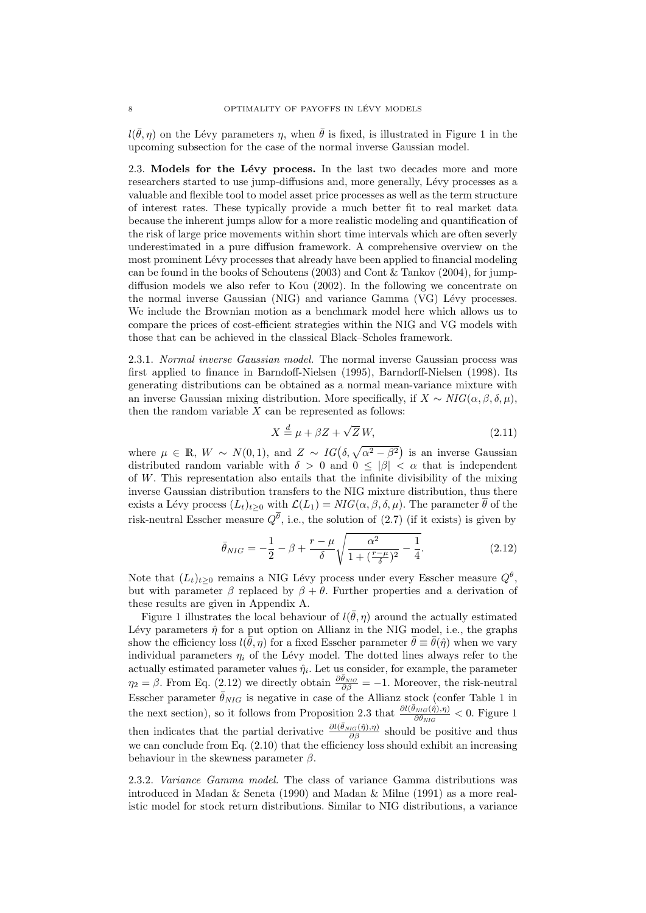$l(\bar{\theta}, \eta)$  on the Lévy parameters  $\eta$ , when  $\bar{\theta}$  is fixed, is illustrated in Figure 1 in the upcoming subsection for the case of the normal inverse Gaussian model.

2.3. Models for the Lévy process. In the last two decades more and more researchers started to use jump-diffusions and, more generally, Lévy processes as a valuable and flexible tool to model asset price processes as well as the term structure of interest rates. These typically provide a much better fit to real market data because the inherent jumps allow for a more realistic modeling and quantification of the risk of large price movements within short time intervals which are often severly underestimated in a pure diffusion framework. A comprehensive overview on the most prominent Lévy processes that already have been applied to financial modeling can be found in the books of Schoutens (2003) and Cont & Tankov (2004), for jumpdiffusion models we also refer to Kou (2002). In the following we concentrate on the normal inverse Gaussian  $(NIG)$  and variance Gamma  $(VG)$  Lévy processes. We include the Brownian motion as a benchmark model here which allows us to compare the prices of cost-efficient strategies within the NIG and VG models with those that can be achieved in the classical Black–Scholes framework.

2.3.1. Normal inverse Gaussian model. The normal inverse Gaussian process was first applied to finance in Barndoff-Nielsen (1995), Barndorff-Nielsen (1998). Its generating distributions can be obtained as a normal mean-variance mixture with an inverse Gaussian mixing distribution. More specifically, if  $X \sim NIG(\alpha, \beta, \delta, \mu)$ , then the random variable  $X$  can be represented as follows:

$$
X \stackrel{d}{=} \mu + \beta Z + \sqrt{Z} W,\tag{2.11}
$$

where  $\mu \in \mathbb{R}, W \sim N(0, 1)$ , and  $Z \sim IG(\delta, \sqrt{\alpha^2 - \beta^2})$  is an inverse Gaussian distributed random variable with  $\delta > 0$  and  $0 \leq |\beta| < \alpha$  that is independent of  $W$ . This representation also entails that the infinite divisibility of the mixing inverse Gaussian distribution transfers to the NIG mixture distribution, thus there exists a Lévy process  $(L_t)_{t\geq0}$  with  $\mathcal{L}(L_1) = NIG(\alpha, \beta, \delta, \mu)$ . The parameter  $\overline{\theta}$  of the risk-neutral Esscher measure  $Q^{\theta}$ , i.e., the solution of (2.7) (if it exists) is given by

$$
\bar{\theta}_{NIG} = -\frac{1}{2} - \beta + \frac{r - \mu}{\delta} \sqrt{\frac{\alpha^2}{1 + (\frac{r - \mu}{\delta})^2} - \frac{1}{4}}.
$$
\n(2.12)

Note that  $(L_t)_{t\geq 0}$  remains a NIG Lévy process under every Esscher measure  $Q^{\theta}$ , but with parameter  $\beta$  replaced by  $\beta + \theta$ . Further properties and a derivation of these results are given in Appendix A.

Figure 1 illustrates the local behaviour of  $l(\bar{\theta}, \eta)$  around the actually estimated Lévy parameters  $\hat{\eta}$  for a put option on Allianz in the NIG model, i.e., the graphs show the efficiency loss  $l(\bar{\theta}, \eta)$  for a fixed Esscher parameter  $\bar{\theta} \equiv \bar{\theta}(\hat{\eta})$  when we vary individual parameters  $\eta_i$  of the Lévy model. The dotted lines always refer to the actually estimated parameter values  $\hat{\eta}_i$ . Let us consider, for example, the parameter  $\eta_2 = \beta$ . From Eq. (2.12) we directly obtain  $\frac{\partial \bar{\theta}_{NIG}}{\partial \beta} = -1$ . Moreover, the risk-neutral Esscher parameter  $\bar{\theta}_{NIG}$  is negative in case of the Allianz stock (confer Table 1 in the next section), so it follows from Proposition 2.3 that  $\frac{\partial l(\bar{\theta}_{NIG}(\hat{\eta}),\eta)}{\partial \bar{\theta}_{NIG}} < 0$ . Figure 1 then indicates that the partial derivative  $\frac{\partial l(\bar{\theta}_{NIG}(\hat{\eta}),\eta)}{\partial \beta}$  should be positive and thus we can conclude from Eq.  $(2.10)$  that the efficiency loss should exhibit an increasing behaviour in the skewness parameter  $\beta$ .

2.3.2. Variance Gamma model. The class of variance Gamma distributions was introduced in Madan & Seneta (1990) and Madan & Milne (1991) as a more realistic model for stock return distributions. Similar to NIG distributions, a variance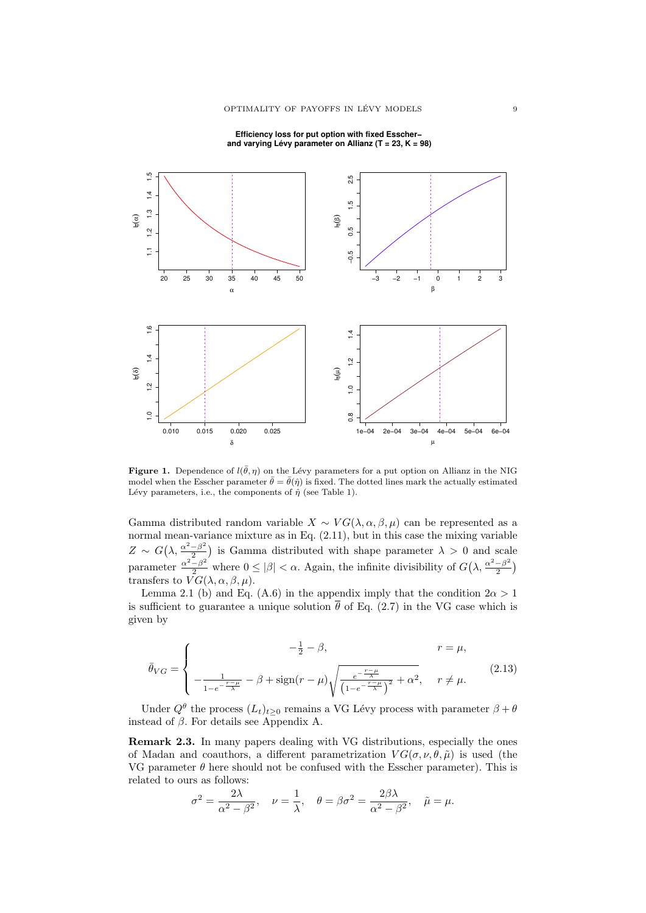

**Efficiency loss for put option with fixed Esscher− and varying Lévy parameter on Allianz (T = 23, K = 98)**

**Figure 1.** Dependence of  $l(\bar{\theta}, \eta)$  on the Lévy parameters for a put option on Allianz in the NIG model when the Esscher parameter  $\bar{\theta} = \bar{\theta}(\hat{\eta})$  is fixed. The dotted lines mark the actually estimated Lévy parameters, i.e., the components of  $\hat{\eta}$  (see Table 1).

Gamma distributed random variable  $X \sim VG(\lambda, \alpha, \beta, \mu)$  can be represented as a normal mean-variance mixture as in Eq. (2.11), but in this case the mixing variable  $Z \sim G(\lambda, \frac{\alpha^2 - \beta^2}{2})$  $\frac{-\beta^2}{2}$  is Gamma distributed with shape parameter  $\lambda > 0$  and scale parameter  $\frac{\alpha^2 - \beta^2}{2}$  where  $0 \le |\beta| < \alpha$ . Again, the infinite divisibility of  $G(\lambda, \frac{\alpha^2 - \beta^2}{2})$  $\frac{-\beta^2}{2}\big)$ transfers to  $VG(\lambda, \alpha, \beta, \mu)$ .

Lemma 2.1 (b) and Eq. (A.6) in the appendix imply that the condition  $2\alpha > 1$ is sufficient to guarantee a unique solution  $\bar{\theta}$  of Eq. (2.7) in the VG case which is given by

$$
\bar{\theta}_{VG} = \begin{cases}\n & -\frac{1}{2} - \beta, & r = \mu, \\
 & -\frac{1}{1 - e^{-\frac{r - \mu}{\lambda}}} - \beta + \text{sign}(r - \mu) \sqrt{\frac{e^{-\frac{r - \mu}{\lambda}}}{(1 - e^{-\frac{r - \mu}{\lambda}})^2} + \alpha^2}, & r \neq \mu.\n\end{cases}
$$
\n(2.13)

Under  $Q^{\theta}$  the process  $(L_t)_{t\geq 0}$  remains a VG Lévy process with parameter  $\beta + \theta$ instead of  $\beta$ . For details see Appendix A.

Remark 2.3. In many papers dealing with VG distributions, especially the ones of Madan and coauthors, a different parametrization  $VG(\sigma, \nu, \theta, \tilde{\mu})$  is used (the VG parameter  $\theta$  here should not be confused with the Esscher parameter). This is related to ours as follows:

$$
\sigma^2 = \frac{2\lambda}{\alpha^2 - \beta^2}, \quad \nu = \frac{1}{\lambda}, \quad \theta = \beta\sigma^2 = \frac{2\beta\lambda}{\alpha^2 - \beta^2}, \quad \tilde{\mu} = \mu.
$$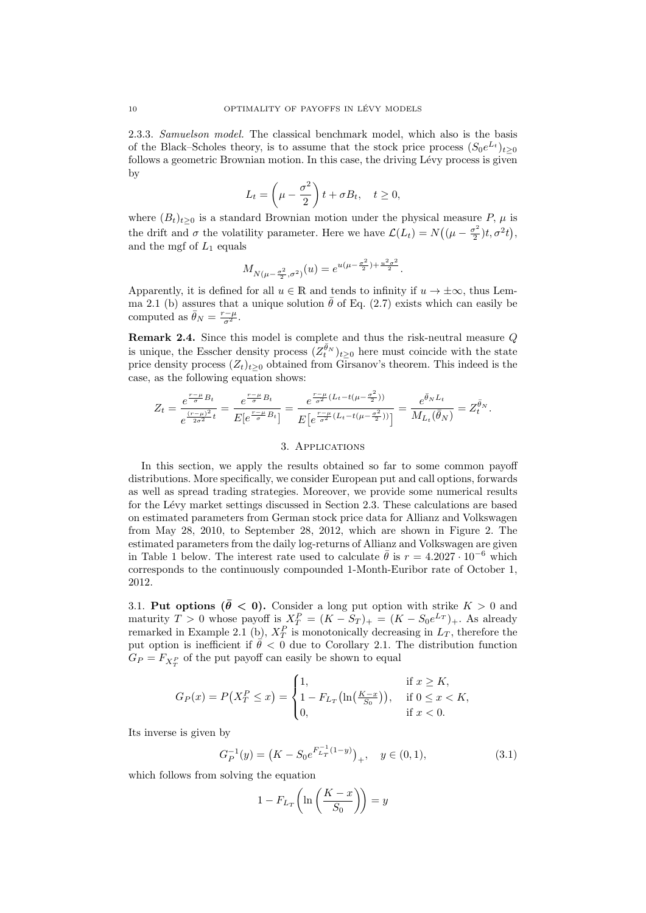2.3.3. Samuelson model. The classical benchmark model, which also is the basis of the Black–Scholes theory, is to assume that the stock price process  $(S_0e^{L_t})_{t\geq 0}$ follows a geometric Brownian motion. In this case, the driving Lévy process is given by

$$
L_t = \left(\mu - \frac{\sigma^2}{2}\right)t + \sigma B_t, \quad t \ge 0,
$$

where  $(B_t)_{t>0}$  is a standard Brownian motion under the physical measure P,  $\mu$  is the drift and  $\sigma$  the volatility parameter. Here we have  $\mathcal{L}(L_t) = N((\mu - \frac{\sigma^2}{2})^2)$  $(\frac{\sigma^2}{2})t, \sigma^2t),$ and the mgf of  $L_1$  equals

$$
M_{N(\mu - \frac{\sigma^2}{2}, \sigma^2)}(u) = e^{u(\mu - \frac{\sigma^2}{2}) + \frac{u^2 \sigma^2}{2}}.
$$

Apparently, it is defined for all  $u \in \mathbb{R}$  and tends to infinity if  $u \to \pm \infty$ , thus Lemma 2.1 (b) assures that a unique solution  $\theta$  of Eq. (2.7) exists which can easily be computed as  $\bar{\theta}_N = \frac{r-\mu}{\sigma^2}$ .

Remark 2.4. Since this model is complete and thus the risk-neutral measure Q is unique, the Esscher density process  $(Z_t^{\bar{\theta}_N})_{t\geq 0}$  here must coincide with the state price density process  $(Z_t)_{t\geq0}$  obtained from Girsanov's theorem. This indeed is the case, as the following equation shows:

$$
Z_t = \frac{e^{\frac{r-\mu}{\sigma}B_t}}{e^{\frac{(r-\mu)^2}{2\sigma^2}t}} = \frac{e^{\frac{r-\mu}{\sigma}B_t}}{E[e^{\frac{r-\mu}{\sigma}B_t}]} = \frac{e^{\frac{r-\mu}{\sigma^2}(L_t - t(\mu - \frac{\sigma^2}{2}))}}{E[e^{\frac{r-\mu}{\sigma^2}(L_t - t(\mu - \frac{\sigma^2}{2}))}]} = \frac{e^{\bar{\theta}_N L_t}}{M_{L_t}(\bar{\theta}_N)} = Z_t^{\bar{\theta}_N}.
$$

#### 3. Applications

In this section, we apply the results obtained so far to some common payoff distributions. More specifically, we consider European put and call options, forwards as well as spread trading strategies. Moreover, we provide some numerical results for the Lévy market settings discussed in Section 2.3. These calculations are based on estimated parameters from German stock price data for Allianz and Volkswagen from May 28, 2010, to September 28, 2012, which are shown in Figure 2. The estimated parameters from the daily log-returns of Allianz and Volkswagen are given in Table 1 below. The interest rate used to calculate  $\bar{\theta}$  is  $r = 4.2027 \cdot 10^{-6}$  which corresponds to the continuously compounded 1-Month-Euribor rate of October 1, 2012.

3.1. Put options ( $\bar{\theta}$  < 0). Consider a long put option with strike  $K > 0$  and maturity  $T > 0$  whose payoff is  $X_T^P = (K - S_T)_+ = (K - S_0 e^{L_T})_+$ . As already remarked in Example 2.1 (b),  $X_T^P$  is monotonically decreasing in  $L_T$ , therefore the put option is inefficient if  $\bar{\theta} < 0$  due to Corollary 2.1. The distribution function  $G_P = F_{X_T^P}$  of the put payoff can easily be shown to equal

$$
G_P(x) = P(X_T^P \le x) = \begin{cases} 1, & \text{if } x \ge K, \\ 1 - F_{L_T}(\ln(\frac{K - x}{S_0})), & \text{if } 0 \le x < K, \\ 0, & \text{if } x < 0. \end{cases}
$$

Its inverse is given by

$$
G_P^{-1}(y) = \left(K - S_0 e^{F_{L_T}^{-1}(1-y)}\right)_+, \quad y \in (0,1),\tag{3.1}
$$

which follows from solving the equation

$$
1 - F_{L_T}\left(\ln\left(\frac{K-x}{S_0}\right)\right) = y
$$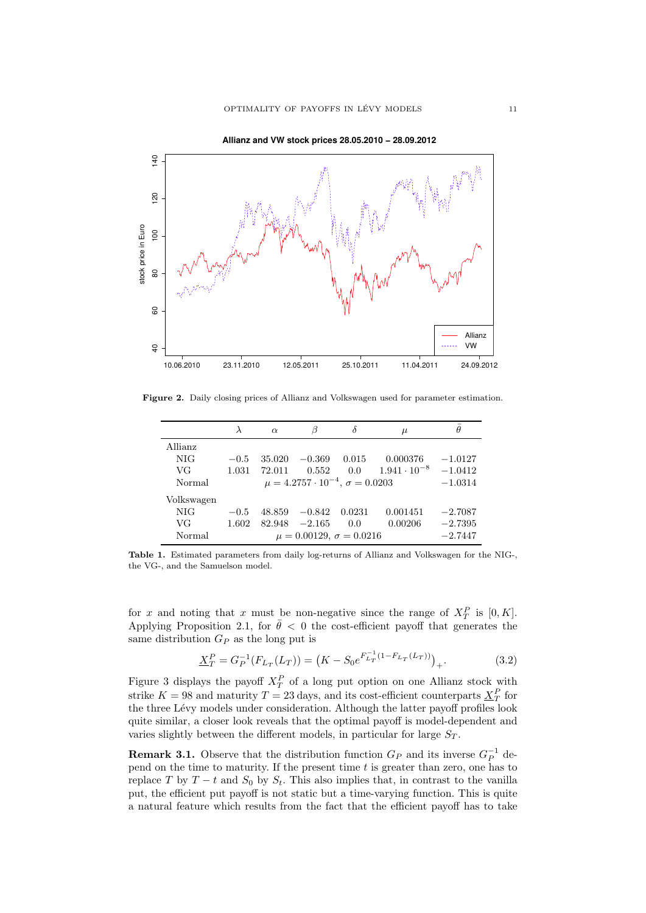

Figure 2. Daily closing prices of Allianz and Volkswagen used for parameter estimation.

|            |                                               | $\alpha$ | ß        | $\delta$      | $\mu$                 | $\theta$  |
|------------|-----------------------------------------------|----------|----------|---------------|-----------------------|-----------|
| Allianz    |                                               |          |          |               |                       |           |
| NIG        | $-0.5$                                        | 35.020   | $-0.369$ | 0.015         | 0.000376              | $-1.0127$ |
| VG         | 1.031                                         | 72.011   | 0.552    | $0.0^{\circ}$ | $1.941 \cdot 10^{-8}$ | $-1.0412$ |
| Normal     | $\mu = 4.2757 \cdot 10^{-4}, \sigma = 0.0203$ |          |          |               |                       | $-1.0314$ |
| Volkswagen |                                               |          |          |               |                       |           |
| NIG        | $-0.5$                                        | 48.859   | $-0.842$ | 0.0231        | 0.001451              | $-2.7087$ |
| VG         | 1.602                                         | 82.948   | $-2.165$ | 0.0           | 0.00206               | $-2.7395$ |
| Normal     | $\mu = 0.00129, \sigma = 0.0216$              |          |          |               |                       | $-2.7447$ |

Table 1. Estimated parameters from daily log-returns of Allianz and Volkswagen for the NIG-, the VG-, and the Samuelson model.

for x and noting that x must be non-negative since the range of  $X_T^P$  is  $[0, K]$ . Applying Proposition 2.1, for  $\bar{\theta}$  < 0 the cost-efficient payoff that generates the same distribution  $G_P$  as the long put is

$$
\underline{X}_T^P = G_P^{-1}(F_{L_T}(L_T)) = (K - S_0 e^{F_{L_T}^{-1}(1 - F_{L_T}(L_T))})_+.
$$
\n(3.2)

Figure 3 displays the payoff  $X_T^P$  of a long put option on one Allianz stock with strike  $K = 98$  and maturity  $T = 23$  days, and its cost-efficient counterparts  $\underline{X}_T^P$  for the three Lévy models under consideration. Although the latter payoff profiles look quite similar, a closer look reveals that the optimal payoff is model-dependent and varies slightly between the different models, in particular for large  $S_T$ .

**Remark 3.1.** Observe that the distribution function  $G_P$  and its inverse  $G_P^{-1}$  depend on the time to maturity. If the present time  $t$  is greater than zero, one has to replace T by  $T - t$  and  $S_0$  by  $S_t$ . This also implies that, in contrast to the vanilla put, the efficient put payoff is not static but a time-varying function. This is quite a natural feature which results from the fact that the efficient payoff has to take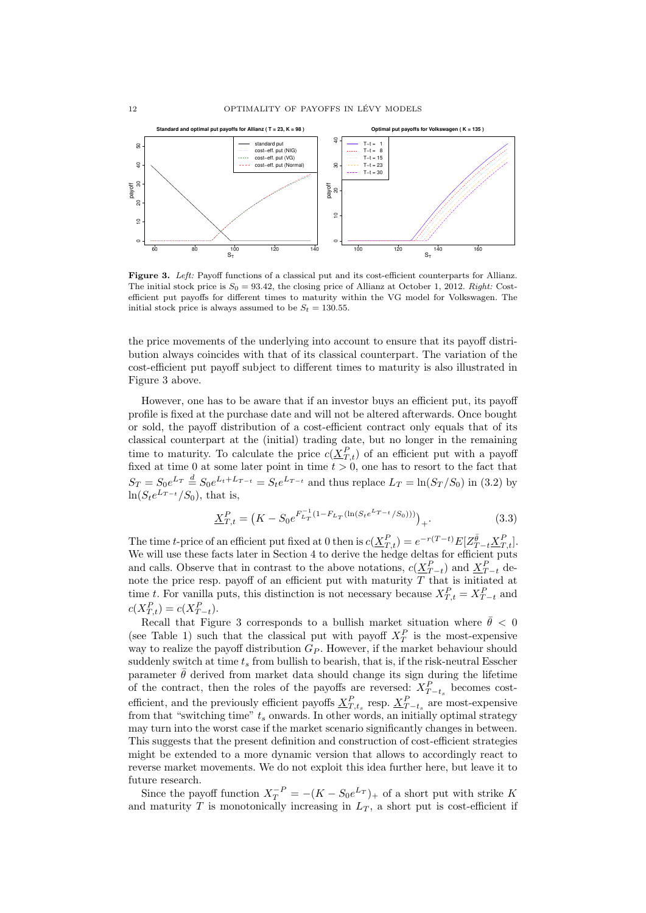

Figure 3. Left: Payoff functions of a classical put and its cost-efficient counterparts for Allianz. The initial stock price is  $S_0 = 93.42$ , the closing price of Allianz at October 1, 2012. Right: Costefficient put payoffs for different times to maturity within the VG model for Volkswagen. The initial stock price is always assumed to be  $S_t = 130.55$ .

the price movements of the underlying into account to ensure that its payoff distribution always coincides with that of its classical counterpart. The variation of the cost-efficient put payoff subject to different times to maturity is also illustrated in Figure 3 above.

However, one has to be aware that if an investor buys an efficient put, its payoff profile is fixed at the purchase date and will not be altered afterwards. Once bought or sold, the payoff distribution of a cost-efficient contract only equals that of its classical counterpart at the (initial) trading date, but no longer in the remaining time to maturity. To calculate the price  $c(\underline{X}_{T,t}^P)$  of an efficient put with a payoff fixed at time 0 at some later point in time  $t > 0$ , one has to resort to the fact that  $S_T = S_0 e^{L_T} \stackrel{d}{=} S_0 e^{L_t + L_{T-t}} = S_t e^{L_{T-t}}$  and thus replace  $L_T = \ln(S_T/S_0)$  in (3.2) by  $\ln(S_t e^{L_T-t}/S_0)$ , that is,

$$
\underline{X}_{T,t}^{P} = \left( K - S_0 e^{F_{L_T}^{-1} (1 - F_{L_T} (\ln(S_t e^{L_T - t}/S_0)))} \right)_+.
$$
\n(3.3)

The time t-price of an efficient put fixed at 0 then is  $c(\underline{X}_{T,t}^P) = e^{-r(T-t)} E[Z_{T-t}^{\bar{\theta}} \underline{X}_{T,t}^P]$ . We will use these facts later in Section 4 to derive the hedge deltas for efficient puts and calls. Observe that in contrast to the above notations,  $c(\underline{X}_{T-t}^P)$  and  $\underline{X}_{T-t}^P$  denote the price resp. payoff of an efficient put with maturity  $T$  that is initiated at time t. For vanilla puts, this distinction is not necessary because  $X_{T,t}^P = X_{T-t}^P$  and  $c(X_{T,t}^P) = c(X_{T-t}^P).$ 

Recall that Figure 3 corresponds to a bullish market situation where  $\bar{\theta} < 0$ (see Table 1) such that the classical put with payoff  $X_T^P$  is the most-expensive way to realize the payoff distribution  $G_P$ . However, if the market behaviour should suddenly switch at time  $t_s$  from bullish to bearish, that is, if the risk-neutral Esscher parameter  $\bar{\theta}$  derived from market data should change its sign during the lifetime of the contract, then the roles of the payoffs are reversed:  $X_{T-t_s}^P$  becomes costefficient, and the previously efficient payoffs  $\underline{X}_{T,t_s}^P$  resp.  $\underline{X}_{T-t_s}^P$  are most-expensive from that "switching time"  $t_s$  onwards. In other words, an initially optimal strategy may turn into the worst case if the market scenario significantly changes in between. This suggests that the present definition and construction of cost-efficient strategies might be extended to a more dynamic version that allows to accordingly react to reverse market movements. We do not exploit this idea further here, but leave it to future research.

Since the payoff function  $X_T^{-P} = -(K - S_0 e^{L_T})_+$  of a short put with strike K and maturity  $T$  is monotonically increasing in  $L_T$ , a short put is cost-efficient if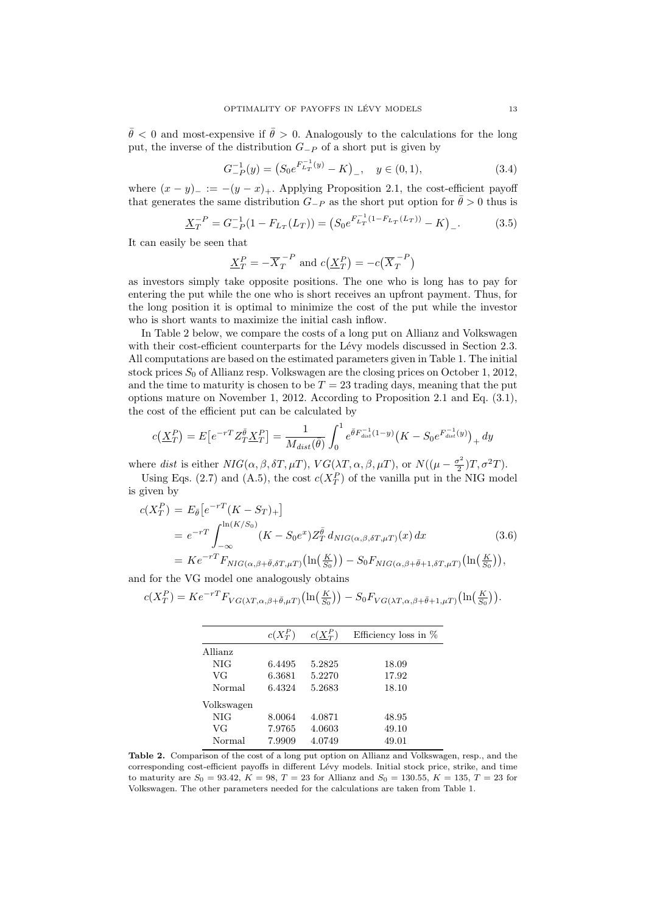$\bar{\theta}$  < 0 and most-expensive if  $\bar{\theta} > 0$ . Analogously to the calculations for the long put, the inverse of the distribution  $G_{-P}$  of a short put is given by

$$
G_{-P}^{-1}(y) = (S_0 e^{F_{L_T}^{-1}(y)} - K)_{-}, \quad y \in (0, 1), \tag{3.4}
$$

where  $(x - y)$  =  $-(y - x)$ . Applying Proposition 2.1, the cost-efficient payoff that generates the same distribution  $G_{-P}$  as the short put option for  $\bar{\theta} > 0$  thus is

$$
\underline{X}_T^{-P} = G_{-P}^{-1}(1 - F_{L_T}(L_T)) = (S_0 e^{F_{L_T}^{-1}(1 - F_{L_T}(L_T))} - K) \tag{3.5}
$$

It can easily be seen that

$$
\underline{X}_T^P = -\overline{X}_T^{-P} \text{ and } c(\underline{X}_T^P) = -c(\overline{X}_T^{-P})
$$

as investors simply take opposite positions. The one who is long has to pay for entering the put while the one who is short receives an upfront payment. Thus, for the long position it is optimal to minimize the cost of the put while the investor who is short wants to maximize the initial cash inflow.

In Table 2 below, we compare the costs of a long put on Allianz and Volkswagen with their cost-efficient counterparts for the Lévy models discussed in Section 2.3. All computations are based on the estimated parameters given in Table 1. The initial stock prices  $S_0$  of Allianz resp. Volkswagen are the closing prices on October 1, 2012, and the time to maturity is chosen to be  $T = 23$  trading days, meaning that the put options mature on November 1, 2012. According to Proposition 2.1 and Eq. (3.1), the cost of the efficient put can be calculated by

$$
c(\underline{X}_T^P) = E\left[e^{-rT}Z_T^{\bar{\theta}}\underline{X}_T^P\right] = \frac{1}{M_{dist}(\bar{\theta})} \int_0^1 e^{\bar{\theta}F_{dist}^{-1}(1-y)} \left(K - S_0 e^{F_{dist}^{-1}(y)}\right)_+ dy
$$

where dist is either  $NIG(\alpha, \beta, \delta T, \mu T)$ ,  $VG(\lambda T, \alpha, \beta, \mu T)$ , or  $N((\mu - \frac{\sigma^2}{2})$  $\frac{\sigma^2}{2}$ )T,  $\sigma^2$ T).

Using Eqs. (2.7) and (A.5), the cost  $c(X_T^P)$  of the vanilla put in the NIG model is given by

$$
c(X_T^P) = E_{\bar{\theta}} \left[ e^{-rT} (K - S_T)_+ \right]
$$
  
=  $e^{-rT} \int_{-\infty}^{\ln(K/S_0)} (K - S_0 e^x) Z_T^{\bar{\theta}} d_{NIG(\alpha, \beta, \delta T, \mu T)}(x) dx$  (3.6)  
=  $Ke^{-rT} F_{NIG(\alpha, \beta + \bar{\theta}, \delta T, \mu T)} \left( \ln(\frac{K}{S_0}) \right) - S_0 F_{NIG(\alpha, \beta + \bar{\theta} + 1, \delta T, \mu T)} \left( \ln(\frac{K}{S_0}) \right),$ 

and for the VG model one analogously obtains

$$
c(X_T^P) = Ke^{-rT}F_{VG(\lambda T,\alpha,\beta+\bar{\theta},\mu T)}(\ln(\frac{K}{S_0})) - S_0F_{VG(\lambda T,\alpha,\beta+\bar{\theta}+1,\mu T)}(\ln(\frac{K}{S_0})).
$$

|            | $c(X^P_T)$ | $c(X^P_T)$ | Efficiency loss in $%$ |
|------------|------------|------------|------------------------|
| Allianz    |            |            |                        |
| NIG        | 6.4495     | 5.2825     | 18.09                  |
| VG         | 6.3681     | 5.2270     | 17.92                  |
| Normal     | 6.4324     | 5.2683     | 18.10                  |
| Volkswagen |            |            |                        |
| NIG        | 8.0064     | 4.0871     | 48.95                  |
| VG         | 7.9765     | 4.0603     | 49.10                  |
| Normal     | 7.9909     | 4.0749     | 49.01                  |

Table 2. Comparison of the cost of a long put option on Allianz and Volkswagen, resp., and the corresponding cost-efficient payoffs in different Lévy models. Initial stock price, strike, and time to maturity are  $S_0 = 93.42$ ,  $K = 98$ ,  $T = 23$  for Allianz and  $S_0 = 130.55$ ,  $K = 135$ ,  $T = 23$  for Volkswagen. The other parameters needed for the calculations are taken from Table 1.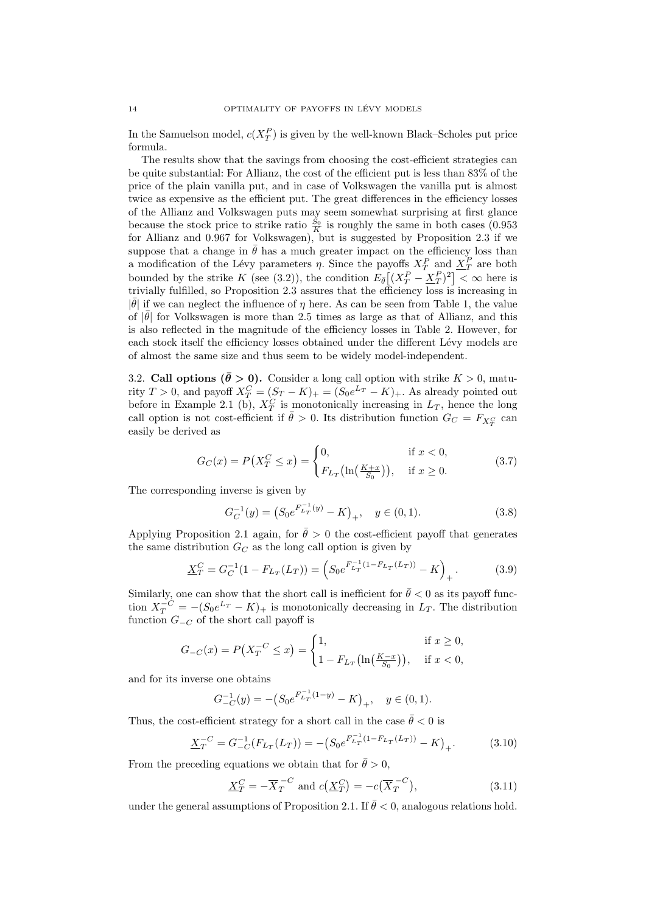In the Samuelson model,  $c(X_T^P)$  is given by the well-known Black–Scholes put price formula.

The results show that the savings from choosing the cost-efficient strategies can be quite substantial: For Allianz, the cost of the efficient put is less than 83% of the price of the plain vanilla put, and in case of Volkswagen the vanilla put is almost twice as expensive as the efficient put. The great differences in the efficiency losses of the Allianz and Volkswagen puts may seem somewhat surprising at first glance because the stock price to strike ratio  $\frac{S_0}{K}$  is roughly the same in both cases (0.953) for Allianz and 0.967 for Volkswagen), but is suggested by Proposition 2.3 if we suppose that a change in  $\bar{\theta}$  has a much greater impact on the efficiency loss than a modification of the Lévy parameters  $\eta$ . Since the payoffs  $X_T^P$  and  $\underline{X}_T^P$  are both bounded by the strike K (see (3.2)), the condition  $E_{\bar{\theta}} \left[ (X_T^P - \underline{X}_T^P)^2 \right] < \infty$  here is trivially fulfilled, so Proposition 2.3 assures that the efficiency loss is increasing in  $|\bar{\theta}|$  if we can neglect the influence of  $\eta$  here. As can be seen from Table 1, the value of  $|\bar{\theta}|$  for Volkswagen is more than 2.5 times as large as that of Allianz, and this is also reflected in the magnitude of the efficiency losses in Table 2. However, for each stock itself the efficiency losses obtained under the different Lévy models are of almost the same size and thus seem to be widely model-independent.

3.2. Call options  $(\bar{\theta} > 0)$ . Consider a long call option with strike  $K > 0$ , maturity  $T > 0$ , and payoff  $X_T^C = (S_T - K)_+ = (S_0 e^{L_T} - K)_+$ . As already pointed out before in Example 2.1 (b),  $X_T^C$  is monotonically increasing in  $L_T$ , hence the long call option is not cost-efficient if  $\bar{\theta} > 0$ . Its distribution function  $G_C = F_{X_T^C}$  can easily be derived as

$$
G_C(x) = P(X_T^C \le x) = \begin{cases} 0, & \text{if } x < 0, \\ F_{L_T}(\ln(\frac{K+x}{S_0})), & \text{if } x \ge 0. \end{cases}
$$
(3.7)

The corresponding inverse is given by

$$
G_C^{-1}(y) = (S_0 e^{F_{L_T}^{-1}(y)} - K)_+, \quad y \in (0, 1).
$$
 (3.8)

Applying Proposition 2.1 again, for  $\bar{\theta} > 0$  the cost-efficient payoff that generates the same distribution  $G_C$  as the long call option is given by

$$
\underline{X}_T^C = G_C^{-1}(1 - F_{L_T}(L_T)) = \left( S_0 e^{F_{L_T}^{-1}(1 - F_{L_T}(L_T))} - K \right)_+.
$$
 (3.9)

Similarly, one can show that the short call is inefficient for  $\bar{\theta} < 0$  as its payoff function  $X_T^{-C} = -(S_0 e^{L_T} - K)_+$  is monotonically decreasing in  $L_T$ . The distribution function  $G_{-C}$  of the short call payoff is

$$
G_{-C}(x) = P(X_T^{-C} \le x) = \begin{cases} 1, & \text{if } x \ge 0, \\ 1 - F_{L_T}(\ln(\frac{K - x}{S_0})), & \text{if } x < 0, \end{cases}
$$

and for its inverse one obtains

$$
G_{-C}^{-1}(y) = -\left(S_0 e^{F_{L_T}^{-1}(1-y)} - K\right)_+, \quad y \in (0,1).
$$

Thus, the cost-efficient strategy for a short call in the case  $\bar{\theta} < 0$  is

$$
\underline{X}_T^{-C} = G_{-C}^{-1}(F_{L_T}(L_T)) = -\left(S_0 e^{F_{L_T}^{-1}(1 - F_{L_T}(L_T))} - K\right)_+.
$$
 (3.10)

From the preceding equations we obtain that for  $\bar{\theta} > 0$ ,

$$
\underline{X}_T^C = -\overline{X}_T^{-C} \text{ and } c(\underline{X}_T^C) = -c(\overline{X}_T^{-C}), \qquad (3.11)
$$

under the general assumptions of Proposition 2.1. If  $\bar{\theta} < 0$ , analogous relations hold.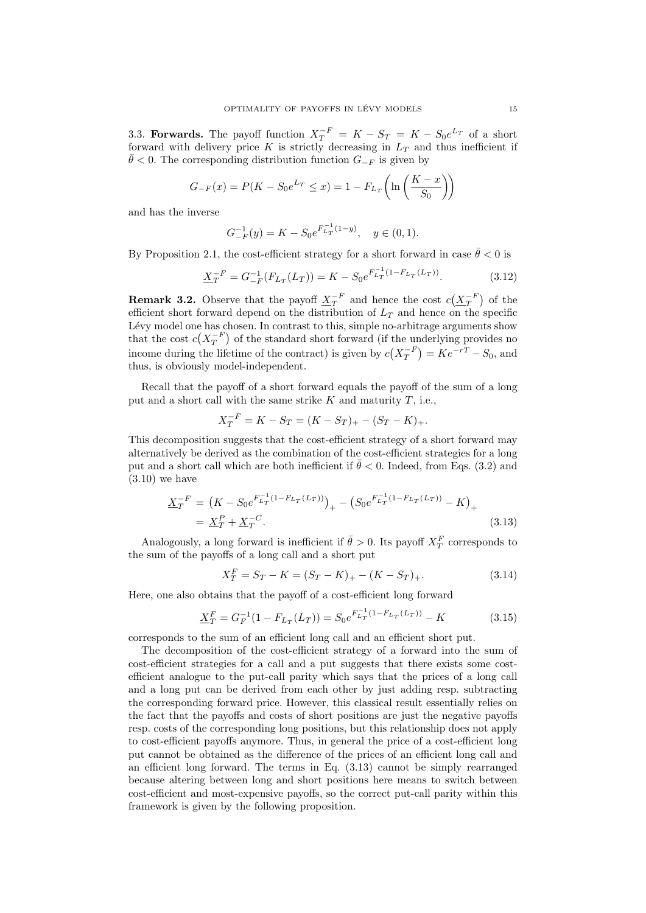3.3. Forwards. The payoff function  $X_T^{-F} = K - S_T = K - S_0 e^{L_T}$  of a short forward with delivery price K is strictly decreasing in  $L_T$  and thus inefficient if  $\bar{\theta}$  < 0. The corresponding distribution function  $G_{-F}$  is given by

$$
G_{-F}(x) = P(K - S_0 e^{L_T} \le x) = 1 - F_{L_T}\left(\ln\left(\frac{K - x}{S_0}\right)\right)
$$

and has the inverse

$$
G_{-F}^{-1}(y) = K - S_0 e^{F_{L_T}^{-1}(1-y)}, \quad y \in (0,1).
$$

By Proposition 2.1, the cost-efficient strategy for a short forward in case  $\bar{\theta} < 0$  is

$$
\underline{X}_T^{-F} = G_{-F}^{-1}(F_{L_T}(L_T)) = K - S_0 e^{F_{L_T}^{-1}(1 - F_{L_T}(L_T))}.
$$
\n(3.12)

**Remark 3.2.** Observe that the payoff  $\underline{X}_T^{-F}$  and hence the cost  $c(\underline{X}_T^{-F})$  of the efficient short forward depend on the distribution of  $L_T$  and hence on the specific Lévy model one has chosen. In contrast to this, simple no-arbitrage arguments show that the cost  $c(X_T^{-F})$  of the standard short forward (if the underlying provides no income during the lifetime of the contract) is given by  $c(X_T^{-F}) = Ke^{-rT} - S_0$ , and thus, is obviously model-independent.

Recall that the payoff of a short forward equals the payoff of the sum of a long put and a short call with the same strike  $K$  and maturity  $T$ , i.e.,

$$
X_T^{-F} = K - S_T = (K - S_T)_+ - (S_T - K)_+.
$$

This decomposition suggests that the cost-efficient strategy of a short forward may alternatively be derived as the combination of the cost-efficient strategies for a long put and a short call which are both inefficient if  $\bar{\theta}$  < 0. Indeed, from Eqs. (3.2) and  $(3.10)$  we have

$$
\underline{X}_T^{-F} = \left( K - S_0 e^{F_{L_T}^{-1}(1 - F_{L_T}(L_T))} \right)_+ - \left( S_0 e^{F_{L_T}^{-1}(1 - F_{L_T}(L_T))} - K \right)_+ \n= \underline{X}_T^P + \underline{X}_T^{-C}.
$$
\n(3.13)

Analogously, a long forward is inefficient if  $\bar{\theta} > 0$ . Its payoff  $X_T^F$  corresponds to the sum of the payoffs of a long call and a short put

$$
X_T^F = S_T - K = (S_T - K)_+ - (K - S_T)_+.
$$
\n(3.14)

Here, one also obtains that the payoff of a cost-efficient long forward

$$
\underline{X}_T^F = G_F^{-1}(1 - F_{L_T}(L_T)) = S_0 e^{F_{L_T}^{-1}(1 - F_{L_T}(L_T))} - K \tag{3.15}
$$

corresponds to the sum of an efficient long call and an efficient short put.

The decomposition of the cost-efficient strategy of a forward into the sum of cost-efficient strategies for a call and a put suggests that there exists some costefficient analogue to the put-call parity which says that the prices of a long call and a long put can be derived from each other by just adding resp. subtracting the corresponding forward price. However, this classical result essentially relies on the fact that the payoffs and costs of short positions are just the negative payoffs resp. costs of the corresponding long positions, but this relationship does not apply to cost-efficient payoffs anymore. Thus, in general the price of a cost-efficient long put cannot be obtained as the difference of the prices of an efficient long call and an efficient long forward. The terms in Eq. (3.13) cannot be simply rearranged because altering between long and short positions here means to switch between cost-efficient and most-expensive payoffs, so the correct put-call parity within this framework is given by the following proposition.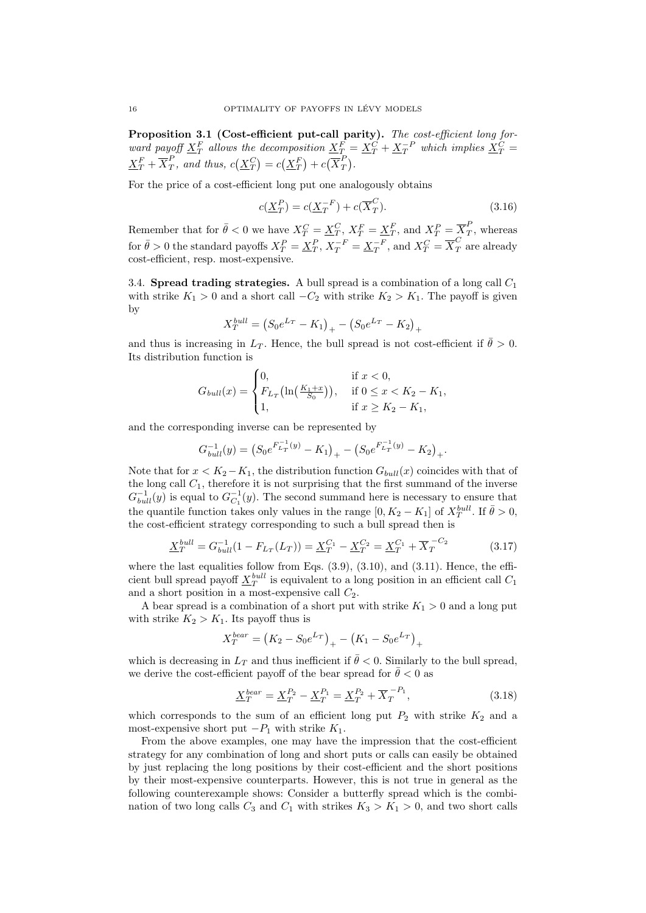**Proposition 3.1 (Cost-efficient put-call parity).** The cost-efficient long forward payoff  $\underline{X}_T^F$  allows the decomposition  $\underline{X}_T^F = \underline{X}_T^C + \underline{X}_T^{-P}$  which implies  $\underline{X}_T^C =$  $\underline{X}_T^F+\overline{X}_T^F$  $T$ , and thus,  $c(\underline{X}_T^C) = c(\underline{X}_T^F) + c(\overline{X}_T^F)$  $\frac{T}{T}$ .

For the price of a cost-efficient long put one analogously obtains

$$
c(\underline{X}_T^P) = c(\underline{X}_T^{-F}) + c(\overline{X}_T^C). \tag{3.16}
$$

Remember that for  $\bar{\theta} < 0$  we have  $X_T^C = \underline{X}_T^C$ ,  $X_T^F = \underline{X}_T^F$ , and  $X_T^P = \overline{X}_T^F$  $\frac{1}{T}$ , whereas for  $\bar{\theta} > 0$  the standard payoffs  $X_T^P = \underline{X}_T^P$ ,  $X_T^{-F} = \underline{X}_T^{-F}$ , and  $X_T^C = \overline{X}_T^C$  are already cost-efficient, resp. most-expensive.

3.4. Spread trading strategies. A bull spread is a combination of a long call  $C_1$ with strike  $K_1 > 0$  and a short call  $-C_2$  with strike  $K_2 > K_1$ . The payoff is given by

$$
X_T^{bull} = (S_0 e^{L_T} - K_1)_+ - (S_0 e^{L_T} - K_2)_+
$$

and thus is increasing in  $L_T$ . Hence, the bull spread is not cost-efficient if  $\bar{\theta} > 0$ . Its distribution function is

$$
G_{bull}(x) = \begin{cases} 0, & \text{if } x < 0, \\ F_{L_T}\left(\ln\left(\frac{K_1 + x}{S_0}\right)\right), & \text{if } 0 \le x < K_2 - K_1, \\ 1, & \text{if } x \ge K_2 - K_1, \end{cases}
$$

and the corresponding inverse can be represented by

$$
G_{bull}^{-1}(y) = (S_0 e^{F_{L_T}^{-1}(y)} - K_1)_+ - (S_0 e^{F_{L_T}^{-1}(y)} - K_2)_+.
$$

Note that for  $x < K_2 - K_1$ , the distribution function  $G_{bull}(x)$  coincides with that of the long call  $C_1$ , therefore it is not surprising that the first summand of the inverse  $G_{bull}^{-1}(y)$  is equal to  $G_{C_1}^{-1}(y)$ . The second summand here is necessary to ensure that the quantile function takes only values in the range  $[0, K_2 - K_1]$  of  $X_T^{bull}$ . If  $\bar{\theta} > 0$ , the cost-efficient strategy corresponding to such a bull spread then is

$$
\underline{X}_T^{bull} = G_{bull}^{-1}(1 - F_{L_T}(L_T)) = \underline{X}_T^{C_1} - \underline{X}_T^{C_2} = \underline{X}_T^{C_1} + \overline{X}_T^{-C_2}
$$
(3.17)

where the last equalities follow from Eqs.  $(3.9)$ ,  $(3.10)$ , and  $(3.11)$ . Hence, the efficient bull spread payoff  $\underline{X}_T^{bull}$  is equivalent to a long position in an efficient call  $C_1$ and a short position in a most-expensive call  $C_2$ .

A bear spread is a combination of a short put with strike  $K_1 > 0$  and a long put with strike  $K_2 > K_1$ . Its payoff thus is

$$
X_T^{bear} = (K_2 - S_0 e^{L_T})_+ - (K_1 - S_0 e^{L_T})_+
$$

which is decreasing in  $L_T$  and thus inefficient if  $\bar{\theta} < 0$ . Similarly to the bull spread, we derive the cost-efficient payoff of the bear spread for  $\bar{\theta} < 0$  as

$$
\underline{X}_T^{bear} = \underline{X}_T^{P_2} - \underline{X}_T^{P_1} = \underline{X}_T^{P_2} + \overline{X}_T^{-P_1},\tag{3.18}
$$

which corresponds to the sum of an efficient long put  $P_2$  with strike  $K_2$  and a most-expensive short put  $-P_1$  with strike  $K_1$ .

From the above examples, one may have the impression that the cost-efficient strategy for any combination of long and short puts or calls can easily be obtained by just replacing the long positions by their cost-efficient and the short positions by their most-expensive counterparts. However, this is not true in general as the following counterexample shows: Consider a butterfly spread which is the combination of two long calls  $C_3$  and  $C_1$  with strikes  $K_3 > K_1 > 0$ , and two short calls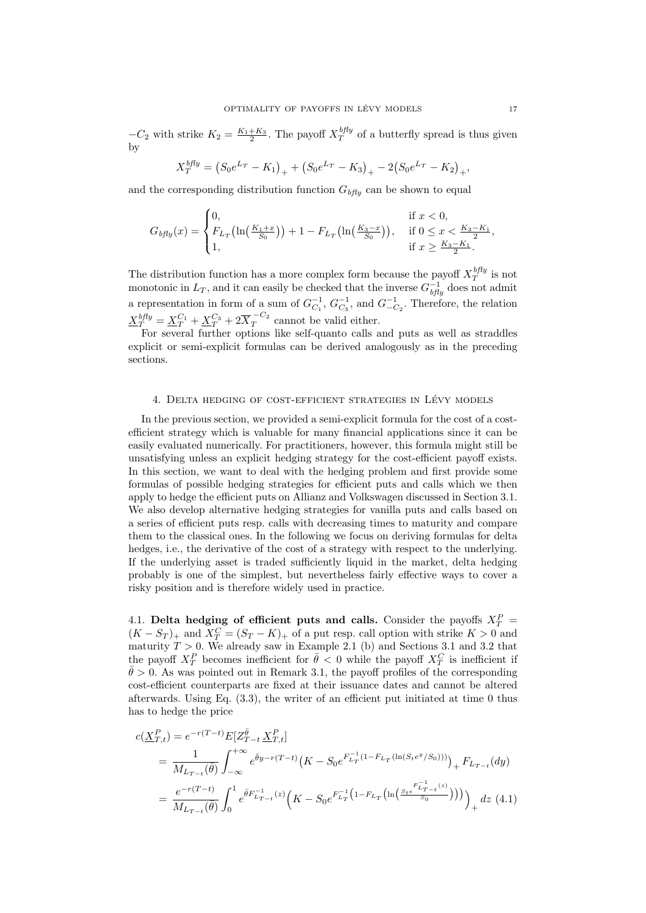$-C_2$  with strike  $K_2 = \frac{K_1 + K_3}{2}$ . The payoff  $X_T^{bfy}$  of a butterfly spread is thus given by

$$
X_T^{b\beta y} = (S_0 e^{L_T} - K_1)_+ + (S_0 e^{L_T} - K_3)_+ - 2(S_0 e^{L_T} - K_2)_+,
$$

and the corresponding distribution function  $G_{b\mu}$  can be shown to equal

$$
G_{b\beta y}(x) = \begin{cases} 0, & \text{if } x < 0, \\ F_{L_T}\left(\ln\left(\frac{K_1 + x}{S_0}\right)\right) + 1 - F_{L_T}\left(\ln\left(\frac{K_3 - x}{S_0}\right)\right), & \text{if } 0 \le x < \frac{K_3 - K_1}{2}, \\ 1, & \text{if } x \ge \frac{K_3 - K_1}{2}.\end{cases}
$$

The distribution function has a more complex form because the payoff  $X_T^{b\beta y}$  is not monotonic in  $L_T$ , and it can easily be checked that the inverse  $G_{b\beta y}^{-1}$  does not admit a representation in form of a sum of  $G_{C_1}^{-1}$ ,  $G_{C_3}^{-1}$ , and  $G_{-C_2}^{-1}$ . Therefore, the relation  $\underline{X}^{bfly}_T = \underline{X}^{C_1}_T + \underline{X}^{C_3}_T + 2\overline{X}^{-C_2}_T$  $T$ <sup> $\sim$ </sup> cannot be valid either.

For several further options like self-quanto calls and puts as well as straddles explicit or semi-explicit formulas can be derived analogously as in the preceding sections.

#### 4. DELTA HEDGING OF COST-EFFICIENT STRATEGIES IN LÉVY MODELS

In the previous section, we provided a semi-explicit formula for the cost of a costefficient strategy which is valuable for many financial applications since it can be easily evaluated numerically. For practitioners, however, this formula might still be unsatisfying unless an explicit hedging strategy for the cost-efficient payoff exists. In this section, we want to deal with the hedging problem and first provide some formulas of possible hedging strategies for efficient puts and calls which we then apply to hedge the efficient puts on Allianz and Volkswagen discussed in Section 3.1. We also develop alternative hedging strategies for vanilla puts and calls based on a series of efficient puts resp. calls with decreasing times to maturity and compare them to the classical ones. In the following we focus on deriving formulas for delta hedges, i.e., the derivative of the cost of a strategy with respect to the underlying. If the underlying asset is traded sufficiently liquid in the market, delta hedging probably is one of the simplest, but nevertheless fairly effective ways to cover a risky position and is therefore widely used in practice.

4.1. Delta hedging of efficient puts and calls. Consider the payoffs  $X_T^P$  =  $(K - S_T)_+$  and  $X^C_T = (S_T - K)_+$  of a put resp. call option with strike  $K > 0$  and maturity  $T > 0$ . We already saw in Example 2.1 (b) and Sections 3.1 and 3.2 that the payoff  $X_T^P$  becomes inefficient for  $\bar{\theta} < 0$  while the payoff  $X_T^C$  is inefficient if  $\bar{\theta} > 0$ . As was pointed out in Remark 3.1, the payoff profiles of the corresponding cost-efficient counterparts are fixed at their issuance dates and cannot be altered afterwards. Using Eq.  $(3.3)$ , the writer of an efficient put initiated at time 0 thus has to hedge the price

$$
c(\underline{X}_{T,t}^{P}) = e^{-r(T-t)} E[Z_{T-t}^{\bar{\theta}} \underline{X}_{T,t}^{P}]
$$
  
= 
$$
\frac{1}{M_{L_{T-t}}(\bar{\theta})} \int_{-\infty}^{+\infty} e^{\bar{\theta}y - r(T-t)} (K - S_0 e^{F_{L_T}^{-1}(1 - F_{L_T}(\ln(S_t e^y / S_0))))} + F_{L_{T-t}}(dy)
$$
  
= 
$$
\frac{e^{-r(T-t)}}{M_{L_{T-t}}(\bar{\theta})} \int_0^1 e^{\bar{\theta}F_{L_{T-t}}^{-1}(z)} (K - S_0 e^{F_{L_T}^{-1}(1 - F_{L_T}(\ln(\frac{S_t e^{F_{L_{T-t}}^{-1}(z)}}{S_0}))))} + dz
$$
(4.1)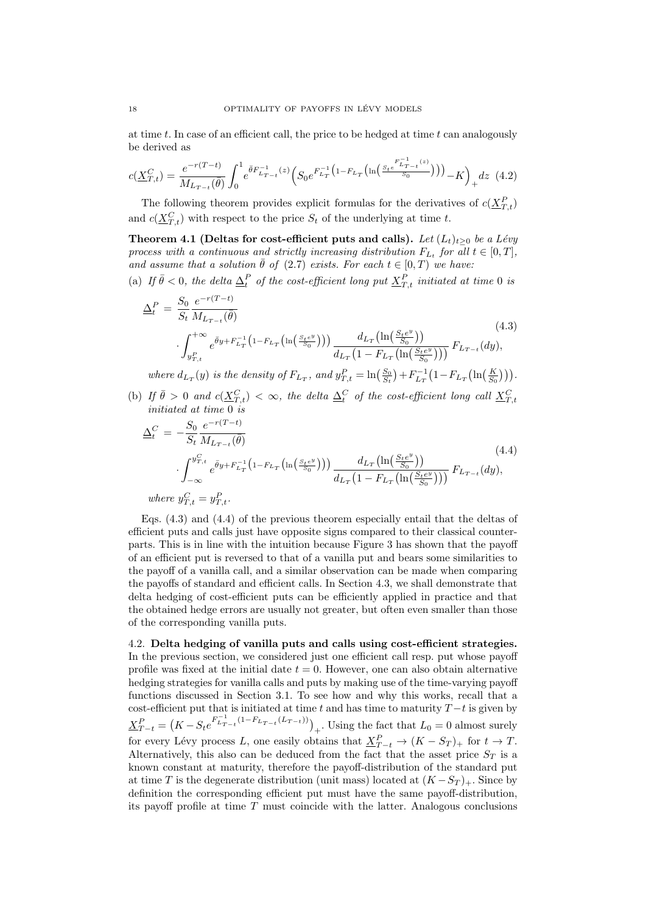at time  $t$ . In case of an efficient call, the price to be hedged at time  $t$  can analogously be derived as

$$
c(\underline{X}_{T,t}^C) = \frac{e^{-r(T-t)}}{M_{L_{T-t}}(\bar{\theta})} \int_0^1 e^{\bar{\theta}F_{L_{T-t}}^{-1}(z)} \Big( S_0 e^{F_{L_T}^{-1}\left(1 - F_{L_T}\left(\ln\left(\frac{S_t e^{-F_{L_{T-t}}^{-1}(z)}}{S_0}\right)\right)\right)} - K \Big)_{+} dz \tag{4.2}
$$

The following theorem provides explicit formulas for the derivatives of  $c(\underline{X}_{T,t}^P)$ and  $c(\underline{X}_{T,t}^C)$  with respect to the price  $S_t$  of the underlying at time t.

Theorem 4.1 (Deltas for cost-efficient puts and calls). Let  $(L_t)_{t>0}$  be a Lévy process with a continuous and strictly increasing distribution  $F_{L_t}$  for all  $t \in [0,T]$ , and assume that a solution  $\bar{\theta}$  of (2.7) exists. For each  $t \in [0, T)$  we have:

(a) If  $\bar{\theta} < 0$ , the delta  $\Delta_t^P$  of the cost-efficient long put  $\underline{X}_{T,t}^P$  initiated at time 0 is  $\overline{p}$  $S_0 e^{-r(T-t)}$ 

$$
\Delta_t^P = \frac{S_0}{S_t} \frac{1}{M_{L_{T-t}}(\bar{\theta})}
$$
\n
$$
\int_{y_{T,t}^P}^{+\infty} e^{\bar{\theta}y + F_{L_T}^{-1} \left(1 - F_{L_T} \left(\ln\left(\frac{S_t e^y}{S_0}\right)\right)\right)} \frac{d_{L_T} \left(\ln\left(\frac{S_t e^y}{S_0}\right)\right)}{d_{L_T} \left(1 - F_{L_T} \left(\ln\left(\frac{S_t e^y}{S_0}\right)\right)\right)} F_{L_{T-t}}(dy),
$$
\n(4.3)

where  $d_{L_T}(y)$  is the density of  $F_{L_T}$ , and  $y_{T,t}^P = \ln\left(\frac{S_0}{S_t}\right) + F_{L_T}^{-1}\left(1 - F_{L_T}\left(\ln\left(\frac{K}{S_0}\right)\right)\right)$ .

(b) If  $\bar{\theta} > 0$  and  $c(\underline{X}_{T,t}^C) < \infty$ , the delta  $\underline{\Delta}_t^C$  of the cost-efficient long call  $\underline{X}_{T,t}^C$ initiated at time 0 is

$$
\Delta_t^C = -\frac{S_0}{S_t} \frac{e^{-r(T-t)}}{M_{L_{T-t}}(\theta)} \n\cdot \int_{-\infty}^{y_{T,t}^C} e^{\bar{\theta}y + F_{L_T}^{-1} \left(1 - F_{L_T} \left(\ln\left(\frac{S_t e^y}{S_0}\right)\right)\right)} \frac{d_{L_T} \left(\ln\left(\frac{S_t e^y}{S_0}\right)\right)}{d_{L_T} \left(1 - F_{L_T} \left(\ln\left(\frac{S_t e^y}{S_0}\right)\right)\right)} F_{L_{T-t}}(dy),
$$
\nwhere  $y_{T,t}^C = y_{T,t}^P$ . (4.4)

Eqs. (4.3) and (4.4) of the previous theorem especially entail that the deltas of efficient puts and calls just have opposite signs compared to their classical counterparts. This is in line with the intuition because Figure 3 has shown that the payoff of an efficient put is reversed to that of a vanilla put and bears some similarities to the payoff of a vanilla call, and a similar observation can be made when comparing the payoffs of standard and efficient calls. In Section 4.3, we shall demonstrate that delta hedging of cost-efficient puts can be efficiently applied in practice and that the obtained hedge errors are usually not greater, but often even smaller than those of the corresponding vanilla puts.

4.2. Delta hedging of vanilla puts and calls using cost-efficient strategies. In the previous section, we considered just one efficient call resp. put whose payoff profile was fixed at the initial date  $t = 0$ . However, one can also obtain alternative hedging strategies for vanilla calls and puts by making use of the time-varying payoff functions discussed in Section 3.1. To see how and why this works, recall that a cost-efficient put that is initiated at time t and has time to maturity  $T - t$  is given by  $\underline{X}_{T-t}^{P} = (K - S_t e^{F_{L_T-t}^{-1}(1 - F_{L_T-t}(L_{T-t}))})_+$ . Using the fact that  $L_0 = 0$  almost surely for every Lévy process L, one easily obtains that  $\underline{X}_{T-t}^P \to (K - S_T)_+$  for  $t \to T$ . Alternatively, this also can be deduced from the fact that the asset price  $S_T$  is a known constant at maturity, therefore the payoff-distribution of the standard put at time T is the degenerate distribution (unit mass) located at  $(K - S_T)_+$ . Since by definition the corresponding efficient put must have the same payoff-distribution, its payoff profile at time T must coincide with the latter. Analogous conclusions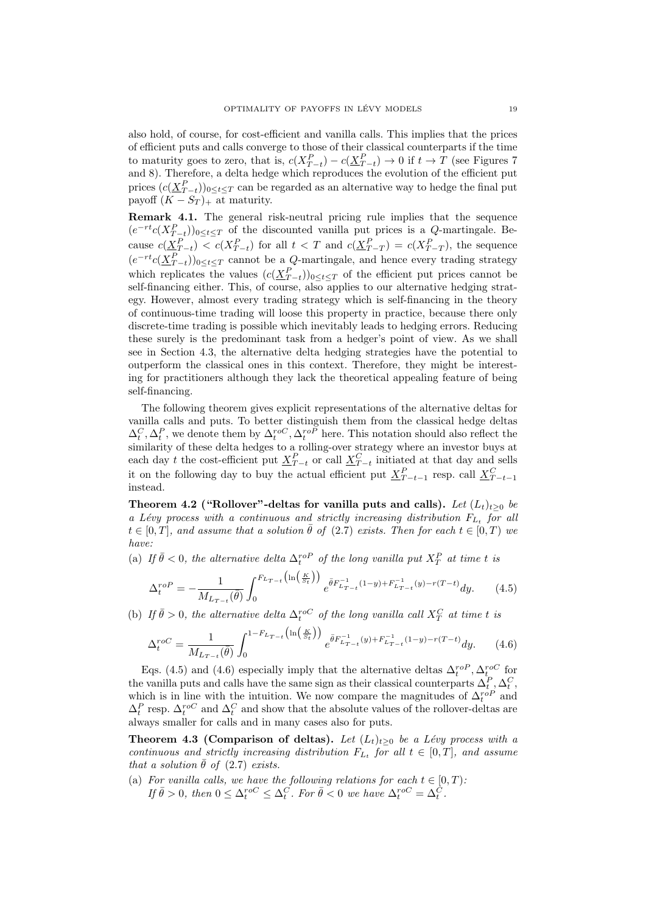also hold, of course, for cost-efficient and vanilla calls. This implies that the prices of efficient puts and calls converge to those of their classical counterparts if the time to maturity goes to zero, that is,  $c(X_{T-t}^P) - c(\underline{X}_{T-t}^P) \to 0$  if  $t \to T$  (see Figures 7 and 8). Therefore, a delta hedge which reproduces the evolution of the efficient put prices  $(c(\underline{X}_{T-t}^P))_{0 \le t \le T}$  can be regarded as an alternative way to hedge the final put payoff  $(K - S_T)_{+}$  at maturity.

Remark 4.1. The general risk-neutral pricing rule implies that the sequence  $(e^{-rt}c(X_{T-t}^P))_{0 \le t \le T}$  of the discounted vanilla put prices is a Q-martingale. Because  $c(\underline{X}_{T-t}^P) < c(X_{T-t}^P)$  for all  $t < T$  and  $c(\underline{X}_{T-T}^P) = c(X_{T-T}^P)$ , the sequence  $(e^{-rt}c(\underline{X}_{T-t}^P))_{0 \leq t \leq T}$  cannot be a Q-martingale, and hence every trading strategy which replicates the values  $(c(\underline{X}_{T-t}^P))_{0 \leq t \leq T}$  of the efficient put prices cannot be self-financing either. This, of course, also applies to our alternative hedging strategy. However, almost every trading strategy which is self-financing in the theory of continuous-time trading will loose this property in practice, because there only discrete-time trading is possible which inevitably leads to hedging errors. Reducing these surely is the predominant task from a hedger's point of view. As we shall see in Section 4.3, the alternative delta hedging strategies have the potential to outperform the classical ones in this context. Therefore, they might be interesting for practitioners although they lack the theoretical appealing feature of being self-financing.

The following theorem gives explicit representations of the alternative deltas for vanilla calls and puts. To better distinguish them from the classical hedge deltas  $\Delta_t^C, \Delta_t^P$ , we denote them by  $\Delta_t^{roC}, \Delta_t^{roP}$  here. This notation should also reflect the similarity of these delta hedges to a rolling-over strategy where an investor buys at each day t the cost-efficient put  $\underline{X}_{T-t}^P$  or call  $\underline{X}_{T-t}^C$  initiated at that day and sells it on the following day to buy the actual efficient put  $\underline{X}_{T-t-1}^P$  resp. call  $\underline{X}_{T-t-1}^C$ instead.

Theorem 4.2 ("Rollover"-deltas for vanilla puts and calls). Let  $(L_t)_{t\geq0}$  be a Lévy process with a continuous and strictly increasing distribution  $F_{L_t}$  for all  $t \in [0, T]$ , and assume that a solution  $\bar{\theta}$  of (2.7) exists. Then for each  $t \in [0, T]$  we have:

(a) If  $\bar{\theta}$  < 0, the alternative delta  $\Delta_t^{roP}$  of the long vanilla put  $X_T^P$  at time t is

$$
\Delta_t^{roP} = -\frac{1}{M_{L_{T-t}}(\bar{\theta})} \int_0^{F_{L_{T-t}}\left(\ln\left(\frac{K}{S_t}\right)\right)} e^{\bar{\theta} F_{L_{T-t}}^{-1}(1-y) + F_{L_{T-t}}^{-1}(y) - r(T-t)} dy.
$$
(4.5)

(b) If  $\bar{\theta} > 0$ , the alternative delta  $\Delta_t^{roc}$  of the long vanilla call  $X_T^C$  at time t is

$$
\Delta_t^{roC} = \frac{1}{M_{L_{T-t}}(\bar{\theta})} \int_0^{1 - F_{L_{T-t}}\left(\ln\left(\frac{K}{S_t}\right)\right)} e^{\bar{\theta} F_{L_{T-t}}^{-1}(y) + F_{L_{T-t}}^{-1}(1 - y) - r(T - t)} dy. \tag{4.6}
$$

Eqs. (4.5) and (4.6) especially imply that the alternative deltas  $\Delta_t^{roP}, \Delta_t^{roC}$  for the vanilla puts and calls have the same sign as their classical counterparts  $\Delta_{t}^P$ ,  $\Delta_t^C$ , which is in line with the intuition. We now compare the magnitudes of  $\Delta_t^{roP}$  and  $\Delta_t^P$  resp.  $\Delta_t^{roC}$  and  $\Delta_t^C$  and show that the absolute values of the rollover-deltas are always smaller for calls and in many cases also for puts.

Theorem 4.3 (Comparison of deltas). Let  $(L_t)_{t\geq0}$  be a Lévy process with a continuous and strictly increasing distribution  $F_{L_t}$  for all  $t \in [0,T]$ , and assume that a solution  $\bar{\theta}$  of (2.7) exists.

(a) For vanilla calls, we have the following relations for each  $t \in [0, T)$ : If  $\bar{\theta} > 0$ , then  $0 \leq \Delta_t^{roC} \leq \Delta_t^{\overrightarrow{C}}$ . For  $\bar{\theta} < 0$  we have  $\Delta_t^{roC} = \Delta_t^{\overrightarrow{C}}$ .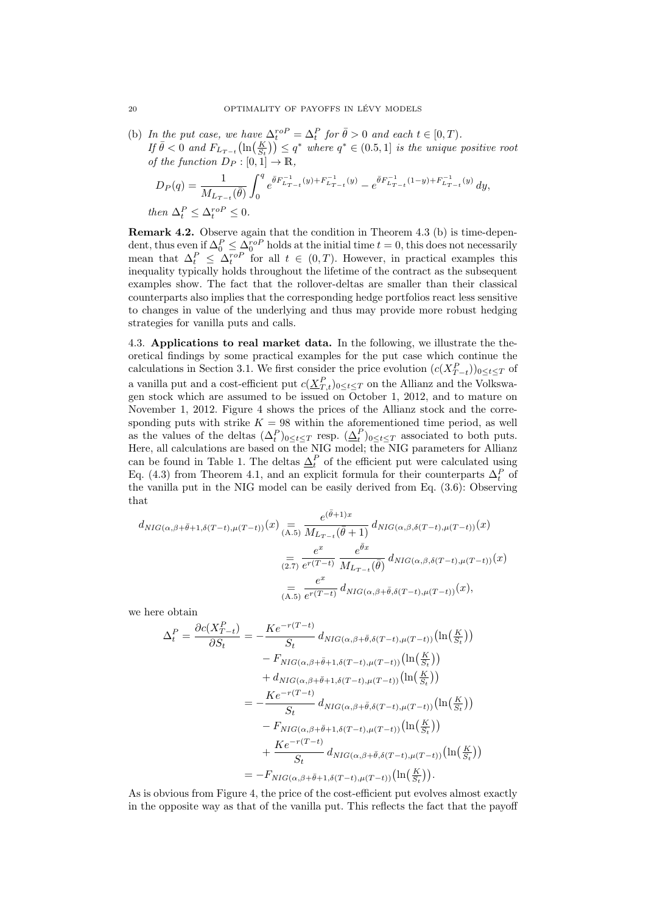(b) In the put case, we have  $\Delta_t^{roP} = \Delta_t^P$  for  $\bar{\theta} > 0$  and each  $t \in [0, T)$ . If  $\bar{\theta} < 0$  and  $F_{L_{T-t}}(\ln(\frac{K}{S_t})) \leq q^*$  where  $q^* \in (0.5, 1]$  is the unique positive root of the function  $D_P : [0,1] \to \mathbb{R}$ ,

$$
\begin{aligned} D_P(q) &= \frac{1}{M_{L_{T-t}}(\bar{\theta})} \int_0^q e^{\bar{\theta} F_{L_{T-t}}^{-1}(y) + F_{L_{T-t}}^{-1}(y)} - e^{\bar{\theta} F_{L_{T-t}}^{-1}(1-y) + F_{L_{T-t}}^{-1}(y)} \, dy, \\ \text{then } \Delta_t^P &\leq \Delta_t^{roP} \leq 0. \end{aligned}
$$

Remark 4.2. Observe again that the condition in Theorem 4.3 (b) is time-dependent, thus even if  $\Delta_0^P \leq \Delta_0^{roP}$  holds at the initial time  $t = 0$ , this does not necessarily mean that  $\Delta_t^P \leq \Delta_t^{roP}$  for all  $t \in (0,T)$ . However, in practical examples this inequality typically holds throughout the lifetime of the contract as the subsequent examples show. The fact that the rollover-deltas are smaller than their classical counterparts also implies that the corresponding hedge portfolios react less sensitive to changes in value of the underlying and thus may provide more robust hedging strategies for vanilla puts and calls.

4.3. Applications to real market data. In the following, we illustrate the theoretical findings by some practical examples for the put case which continue the calculations in Section 3.1. We first consider the price evolution  $(c(X_{T-t}^P))_{0 \le t \le T}$  of a vanilla put and a cost-efficient put  $c(\underline{X}_{T,t}^P)_{0 \le t \le T}$  on the Allianz and the Volkswagen stock which are assumed to be issued on October 1, 2012, and to mature on November 1, 2012. Figure 4 shows the prices of the Allianz stock and the corresponding puts with strike  $K = 98$  within the aforementioned time period, as well as the values of the deltas  $(\Delta_t^P)_{0 \le t \le T}$  resp.  $(\underline{\Delta}_t^P)_{0 \le t \le T}$  associated to both puts. Here, all calculations are based on the NIG model; the NIG parameters for Allianz can be found in Table 1. The deltas  $\underline{\Delta}^P_t$  of the efficient put were calculated using Eq. (4.3) from Theorem 4.1, and an explicit formula for their counterparts  $\Delta_t^P$  of the vanilla put in the NIG model can be easily derived from Eq. (3.6): Observing that

$$
d_{NIG(\alpha,\beta+\bar{\theta}+1,\delta(T-t),\mu(T-t))}(x) = \frac{e^{(\bar{\theta}+1)x}}{(A.5)} \frac{d_{NIG(\alpha,\beta,\delta(T-t),\mu(T-t))}(x)}{M_{L_{T-t}}(\bar{\theta}+1)} d_{NIG(\alpha,\beta,\delta(T-t),\mu(T-t))}(x)
$$

$$
= \frac{e^x}{(2.7)} \frac{e^{\bar{x}}}{e^{r(T-t)}} \frac{e^{\bar{x}}}{M_{L_{T-t}}(\bar{\theta})} d_{NIG(\alpha,\beta,\delta(T-t),\mu(T-t))}(x)
$$

$$
= \frac{e^x}{(A.5)} \frac{e^x}{e^{r(T-t)}} d_{NIG(\alpha,\beta+\bar{\theta},\delta(T-t),\mu(T-t))}(x),
$$

we here obtain

$$
\Delta_t^P = \frac{\partial c(X_{T-t}^P)}{\partial S_t} = -\frac{Ke^{-r(T-t)}}{S_t} d_{NIG(\alpha,\beta+\bar{\theta},\delta(T-t),\mu(T-t))} (\ln(\frac{K}{S_t}))
$$
  
\n
$$
- F_{NIG(\alpha,\beta+\bar{\theta}+1,\delta(T-t),\mu(T-t))} (\ln(\frac{K}{S_t}))
$$
  
\n
$$
+ d_{NIG(\alpha,\beta+\bar{\theta}+1,\delta(T-t),\mu(T-t))} (\ln(\frac{K}{S_t}))
$$
  
\n
$$
= -\frac{Ke^{-r(T-t)}}{S_t} d_{NIG(\alpha,\beta+\bar{\theta},\delta(T-t),\mu(T-t))} (\ln(\frac{K}{S_t}))
$$
  
\n
$$
- F_{NIG(\alpha,\beta+\bar{\theta}+1,\delta(T-t),\mu(T-t))} (\ln(\frac{K}{S_t}))
$$
  
\n
$$
+ \frac{Ke^{-r(T-t)}}{S_t} d_{NIG(\alpha,\beta+\bar{\theta},\delta(T-t),\mu(T-t))} (\ln(\frac{K}{S_t}))
$$
  
\n
$$
= -F_{NIG(\alpha,\beta+\bar{\theta}+1,\delta(T-t),\mu(T-t))} (\ln(\frac{K}{S_t})).
$$

As is obvious from Figure 4, the price of the cost-efficient put evolves almost exactly in the opposite way as that of the vanilla put. This reflects the fact that the payoff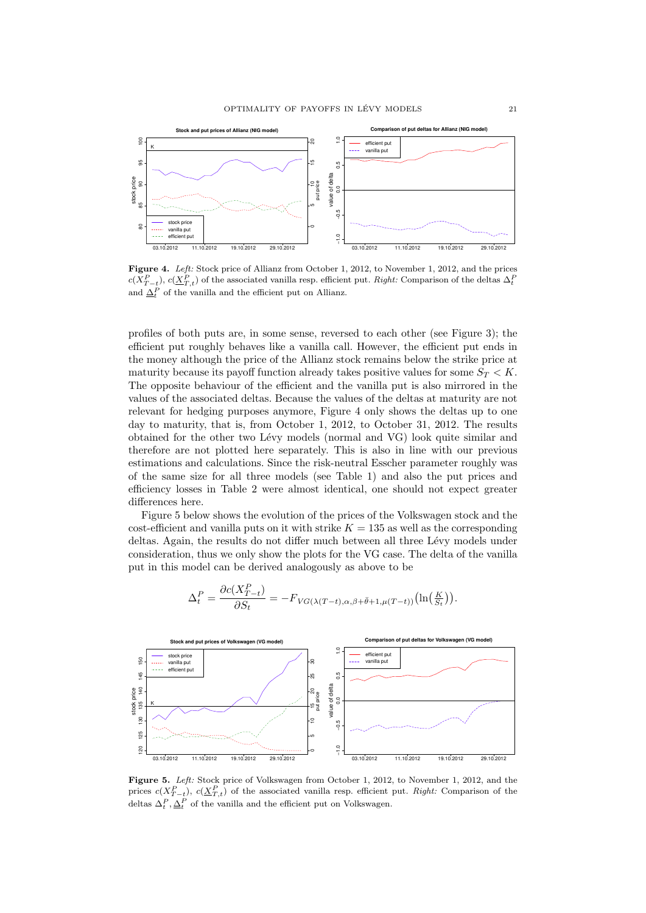

Figure 4. Left: Stock price of Allianz from October 1, 2012, to November 1, 2012, and the prices  $c(X_{T-t}^P)$ ,  $c(\underline{X}_{T,t}^P)$  of the associated vanilla resp. efficient put. Right: Comparison of the deltas  $\Delta_t^P$ and  $\underline{\Delta}^P_t$  of the vanilla and the efficient put on Allianz.

profiles of both puts are, in some sense, reversed to each other (see Figure 3); the efficient put roughly behaves like a vanilla call. However, the efficient put ends in the money although the price of the Allianz stock remains below the strike price at maturity because its payoff function already takes positive values for some  $S_T < K$ . The opposite behaviour of the efficient and the vanilla put is also mirrored in the values of the associated deltas. Because the values of the deltas at maturity are not relevant for hedging purposes anymore, Figure 4 only shows the deltas up to one day to maturity, that is, from October 1, 2012, to October 31, 2012. The results obtained for the other two Lévy models (normal and  $VG$ ) look quite similar and therefore are not plotted here separately. This is also in line with our previous estimations and calculations. Since the risk-neutral Esscher parameter roughly was of the same size for all three models (see Table 1) and also the put prices and efficiency losses in Table 2 were almost identical, one should not expect greater differences here.

Figure 5 below shows the evolution of the prices of the Volkswagen stock and the cost-efficient and vanilla puts on it with strike  $K = 135$  as well as the corresponding deltas. Again, the results do not differ much between all three Lévy models under consideration, thus we only show the plots for the VG case. The delta of the vanilla put in this model can be derived analogously as above to be

$$
\Delta_t^P = \frac{\partial c(X_{T-t}^P)}{\partial S_t} = -F_{VG(\lambda(T-t),\alpha,\beta+\bar{\theta}+1,\mu(T-t))}(\ln(\frac{K}{S_t})).
$$



Figure 5. Left: Stock price of Volkswagen from October 1, 2012, to November 1, 2012, and the prices  $c(X_{T-t}^P)$ ,  $c(\underline{X}_{T,t}^P)$  of the associated vanilla resp. efficient put. Right: Comparison of the deltas  $\Delta_t^P$ ,  $\underline{\Delta}_t^P$  of the vanilla and the efficient put on Volkswagen.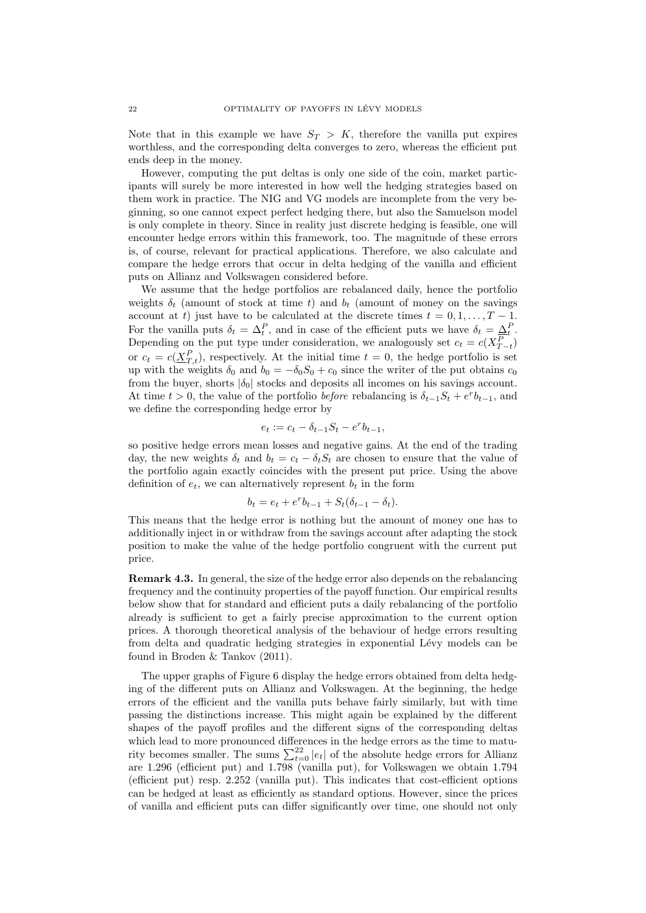Note that in this example we have  $S_T > K$ , therefore the vanilla put expires worthless, and the corresponding delta converges to zero, whereas the efficient put ends deep in the money.

However, computing the put deltas is only one side of the coin, market participants will surely be more interested in how well the hedging strategies based on them work in practice. The NIG and VG models are incomplete from the very beginning, so one cannot expect perfect hedging there, but also the Samuelson model is only complete in theory. Since in reality just discrete hedging is feasible, one will encounter hedge errors within this framework, too. The magnitude of these errors is, of course, relevant for practical applications. Therefore, we also calculate and compare the hedge errors that occur in delta hedging of the vanilla and efficient puts on Allianz and Volkswagen considered before.

We assume that the hedge portfolios are rebalanced daily, hence the portfolio weights  $\delta_t$  (amount of stock at time t) and  $b_t$  (amount of money on the savings account at t) just have to be calculated at the discrete times  $t = 0, 1, \ldots, T - 1$ . For the vanilla puts  $\delta_t = \Delta_t^P$ , and in case of the efficient puts we have  $\delta_t = \underline{\Delta}_t^P$ . Depending on the put type under consideration, we analogously set  $c_t = c(X_{T-t}^P)$ or  $c_t = c(\underline{X}_{T,t}^P)$ , respectively. At the initial time  $t = 0$ , the hedge portfolio is set up with the weights  $\delta_0$  and  $b_0 = -\delta_0 S_0 + c_0$  since the writer of the put obtains  $c_0$ from the buyer, shorts  $|\delta_0|$  stocks and deposits all incomes on his savings account. At time  $t > 0$ , the value of the portfolio *before* rebalancing is  $\delta_{t-1} S_t + e^{r} b_{t-1}$ , and we define the corresponding hedge error by

$$
e_t := c_t - \delta_{t-1} S_t - e^r b_{t-1},
$$

so positive hedge errors mean losses and negative gains. At the end of the trading day, the new weights  $\delta_t$  and  $b_t = c_t - \delta_t S_t$  are chosen to ensure that the value of the portfolio again exactly coincides with the present put price. Using the above definition of  $e_t$ , we can alternatively represent  $b_t$  in the form

$$
b_t = e_t + e^r b_{t-1} + S_t(\delta_{t-1} - \delta_t).
$$

This means that the hedge error is nothing but the amount of money one has to additionally inject in or withdraw from the savings account after adapting the stock position to make the value of the hedge portfolio congruent with the current put price.

Remark 4.3. In general, the size of the hedge error also depends on the rebalancing frequency and the continuity properties of the payoff function. Our empirical results below show that for standard and efficient puts a daily rebalancing of the portfolio already is sufficient to get a fairly precise approximation to the current option prices. A thorough theoretical analysis of the behaviour of hedge errors resulting from delta and quadratic hedging strategies in exponential Lévy models can be found in Broden & Tankov (2011).

The upper graphs of Figure 6 display the hedge errors obtained from delta hedging of the different puts on Allianz and Volkswagen. At the beginning, the hedge errors of the efficient and the vanilla puts behave fairly similarly, but with time passing the distinctions increase. This might again be explained by the different shapes of the payoff profiles and the different signs of the corresponding deltas which lead to more pronounced differences in the hedge errors as the time to maturity becomes smaller. The sums  $\sum_{t=0}^{22} |e_t|$  of the absolute hedge errors for Allianz are 1.296 (efficient put) and 1.798 (vanilla put), for Volkswagen we obtain 1.794 (efficient put) resp. 2.252 (vanilla put). This indicates that cost-efficient options can be hedged at least as efficiently as standard options. However, since the prices of vanilla and efficient puts can differ significantly over time, one should not only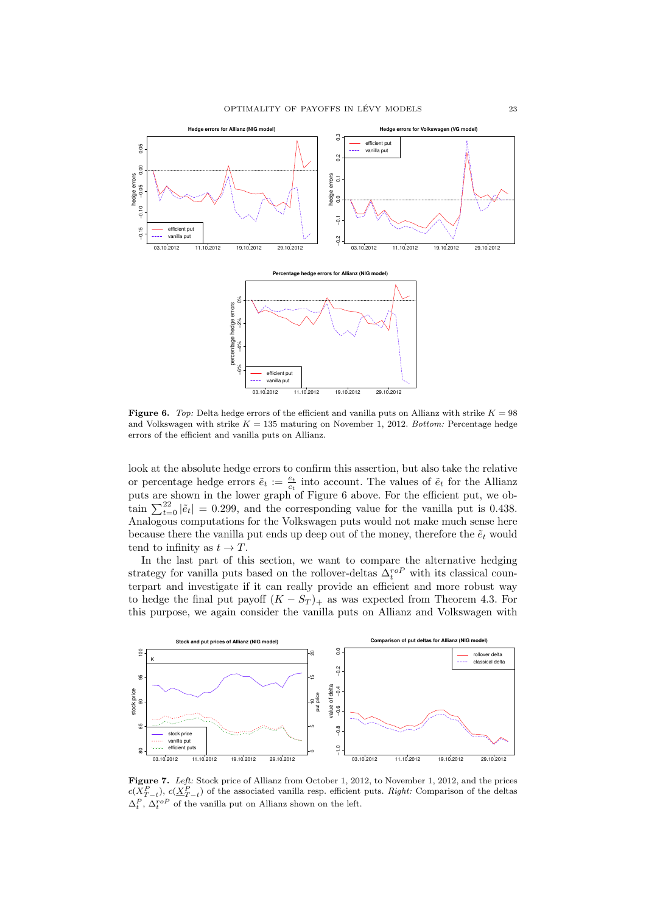

Figure 6. Top: Delta hedge errors of the efficient and vanilla puts on Allianz with strike  $K = 98$ and Volkswagen with strike  $K = 135$  maturing on November 1, 2012. Bottom: Percentage hedge errors of the efficient and vanilla puts on Allianz.

look at the absolute hedge errors to confirm this assertion, but also take the relative or percentage hedge errors  $\tilde{e}_t := \frac{e_t}{c_t}$  into account. The values of  $\tilde{e}_t$  for the Allianz puts are shown in the lower graph of Figure 6 above. For the efficient put, we obtain  $\sum_{t=0}^{22} |\tilde{e}_t| = 0.299$ , and the corresponding value for the vanilla put is 0.438. Analogous computations for the Volkswagen puts would not make much sense here because there the vanilla put ends up deep out of the money, therefore the  $\tilde{e}_t$  would tend to infinity as  $t \to T$ .

In the last part of this section, we want to compare the alternative hedging strategy for vanilla puts based on the rollover-deltas  $\Delta_t^{roP}$  with its classical counterpart and investigate if it can really provide an efficient and more robust way to hedge the final put payoff  $(K - S_T)$  as was expected from Theorem 4.3. For this purpose, we again consider the vanilla puts on Allianz and Volkswagen with



Figure 7. Left: Stock price of Allianz from October 1, 2012, to November 1, 2012, and the prices  $c(X_{T-t}^P)$ ,  $c(\underline{X}_{T-t}^P)$  of the associated vanilla resp. efficient puts. Right: Comparison of the deltas  $\Delta_t^P$ ,  $\Delta_t^{roP}$  of the vanilla put on Allianz shown on the left.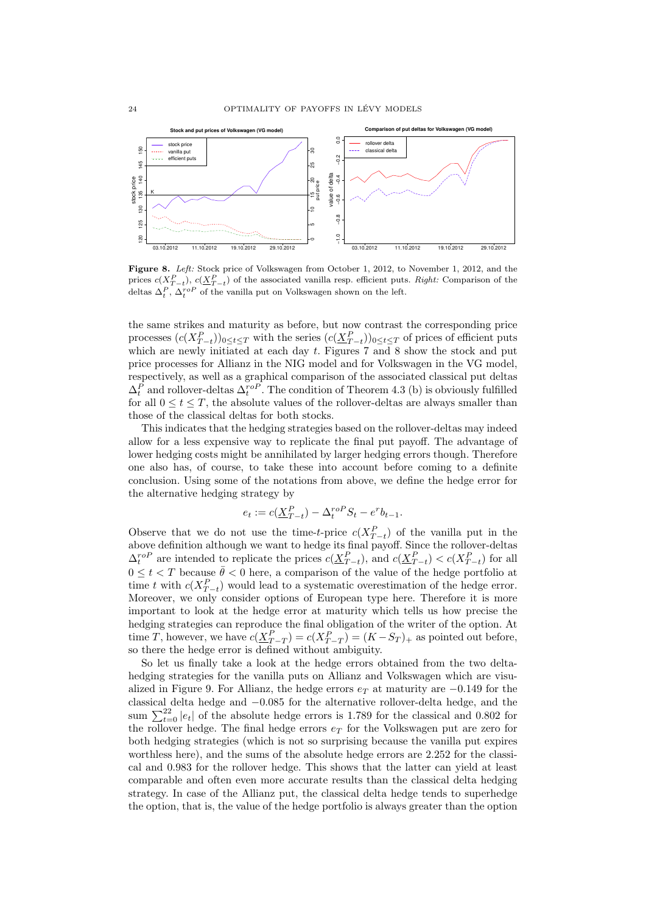

Figure 8. Left: Stock price of Volkswagen from October 1, 2012, to November 1, 2012, and the prices  $c(X_{T-t}^P)$ ,  $c(\underline{X}_{T-t}^P)$  of the associated vanilla resp. efficient puts. Right: Comparison of the deltas  $\Delta_t^P$ ,  $\Delta_t^{roP}$  of the vanilla put on Volkswagen shown on the left.

the same strikes and maturity as before, but now contrast the corresponding price processes  $(c(X_{T-t}^P))_{0 \le t \le T}$  with the series  $(c(\underline{X}_{T-t}^P))_{0 \le t \le T}$  of prices of efficient puts which are newly initiated at each day t. Figures 7 and 8 show the stock and put price processes for Allianz in the NIG model and for Volkswagen in the VG model, respectively, as well as a graphical comparison of the associated classical put deltas  $\Delta_t^P$  and rollover-deltas  $\Delta_t^{roP}$ . The condition of Theorem 4.3 (b) is obviously fulfilled for all  $0 \le t \le T$ , the absolute values of the rollover-deltas are always smaller than those of the classical deltas for both stocks.

This indicates that the hedging strategies based on the rollover-deltas may indeed allow for a less expensive way to replicate the final put payoff. The advantage of lower hedging costs might be annihilated by larger hedging errors though. Therefore one also has, of course, to take these into account before coming to a definite conclusion. Using some of the notations from above, we define the hedge error for the alternative hedging strategy by

$$
e_t := c(\underline{X}_{T-t}^P) - \Delta_t^{roP} S_t - e^r b_{t-1}.
$$

Observe that we do not use the time-t-price  $c(X_{T-t}^P)$  of the vanilla put in the above definition although we want to hedge its final payoff. Since the rollover-deltas  $\Delta_t^{roP}$  are intended to replicate the prices  $c(\underline{X}_{T-t}^P)$ , and  $c(\underline{X}_{T-t}^P) < c(X_{T-t}^P)$  for all  $0 \le t < T$  because  $\bar{\theta} < 0$  here, a comparison of the value of the hedge portfolio at time t with  $c(X_{T-t}^P)$  would lead to a systematic overestimation of the hedge error. Moreover, we only consider options of European type here. Therefore it is more important to look at the hedge error at maturity which tells us how precise the hedging strategies can reproduce the final obligation of the writer of the option. At time T, however, we have  $c(\underline{X}_{T-T}^P) = c(X_{T-T}^P) = (K - S_T)_+$  as pointed out before, so there the hedge error is defined without ambiguity.

So let us finally take a look at the hedge errors obtained from the two deltahedging strategies for the vanilla puts on Allianz and Volkswagen which are visualized in Figure 9. For Allianz, the hedge errors  $e_T$  at maturity are  $-0.149$  for the classical delta hedge and −0.085 for the alternative rollover-delta hedge, and the sum  $\sum_{t=0}^{22} |e_t|$  of the absolute hedge errors is 1.789 for the classical and 0.802 for the rollover hedge. The final hedge errors  $e_T$  for the Volkswagen put are zero for both hedging strategies (which is not so surprising because the vanilla put expires worthless here), and the sums of the absolute hedge errors are 2.252 for the classical and 0.983 for the rollover hedge. This shows that the latter can yield at least comparable and often even more accurate results than the classical delta hedging strategy. In case of the Allianz put, the classical delta hedge tends to superhedge the option, that is, the value of the hedge portfolio is always greater than the option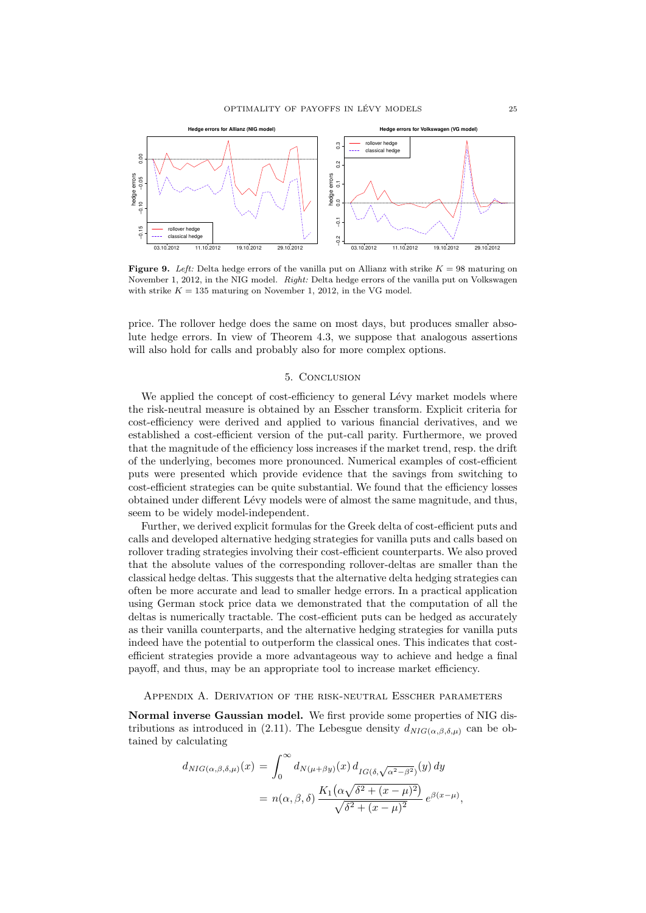

**Figure 9.** Left: Delta hedge errors of the vanilla put on Allianz with strike  $K = 98$  maturing on November 1, 2012, in the NIG model. Right: Delta hedge errors of the vanilla put on Volkswagen with strike  $K = 135$  maturing on November 1, 2012, in the VG model.

price. The rollover hedge does the same on most days, but produces smaller absolute hedge errors. In view of Theorem 4.3, we suppose that analogous assertions will also hold for calls and probably also for more complex options.

## 5. Conclusion

We applied the concept of cost-efficiency to general Lévy market models where the risk-neutral measure is obtained by an Esscher transform. Explicit criteria for cost-efficiency were derived and applied to various financial derivatives, and we established a cost-efficient version of the put-call parity. Furthermore, we proved that the magnitude of the efficiency loss increases if the market trend, resp. the drift of the underlying, becomes more pronounced. Numerical examples of cost-efficient puts were presented which provide evidence that the savings from switching to cost-efficient strategies can be quite substantial. We found that the efficiency losses obtained under different L´evy models were of almost the same magnitude, and thus, seem to be widely model-independent.

Further, we derived explicit formulas for the Greek delta of cost-efficient puts and calls and developed alternative hedging strategies for vanilla puts and calls based on rollover trading strategies involving their cost-efficient counterparts. We also proved that the absolute values of the corresponding rollover-deltas are smaller than the classical hedge deltas. This suggests that the alternative delta hedging strategies can often be more accurate and lead to smaller hedge errors. In a practical application using German stock price data we demonstrated that the computation of all the deltas is numerically tractable. The cost-efficient puts can be hedged as accurately as their vanilla counterparts, and the alternative hedging strategies for vanilla puts indeed have the potential to outperform the classical ones. This indicates that costefficient strategies provide a more advantageous way to achieve and hedge a final payoff, and thus, may be an appropriate tool to increase market efficiency.

#### Appendix A. Derivation of the risk-neutral Esscher parameters

Normal inverse Gaussian model. We first provide some properties of NIG distributions as introduced in (2.11). The Lebesgue density  $d_{NIG(\alpha,\beta,\delta,\mu)}$  can be obtained by calculating

$$
d_{NIG(\alpha,\beta,\delta,\mu)}(x) = \int_0^\infty d_{N(\mu+\beta y)}(x) d_{IG(\delta,\sqrt{\alpha^2-\beta^2})}(y) dy
$$
  
=  $n(\alpha,\beta,\delta) \frac{K_1(\alpha\sqrt{\delta^2 + (x-\mu)^2})}{\sqrt{\delta^2 + (x-\mu)^2}} e^{\beta(x-\mu)},$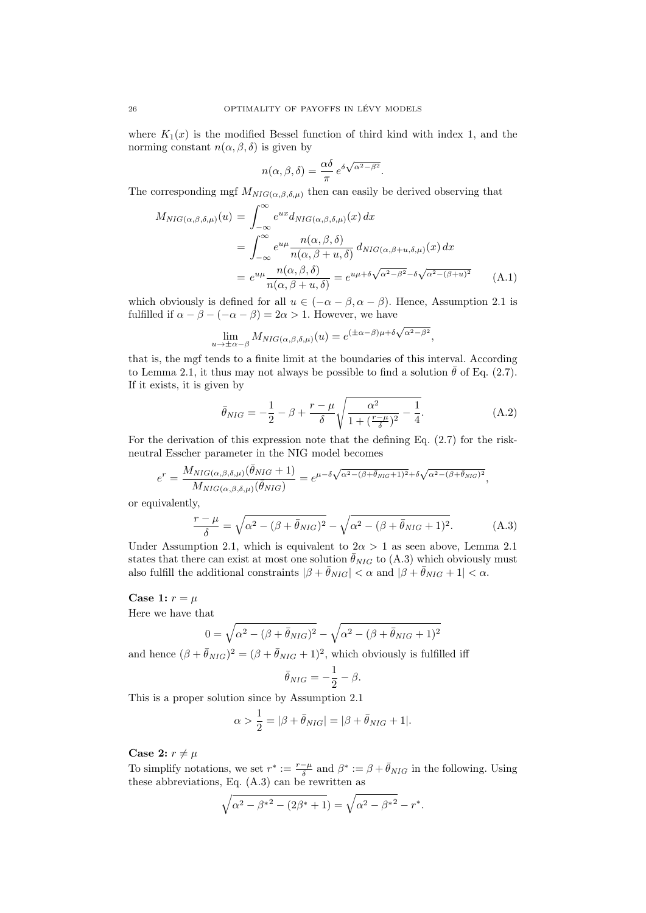where  $K_1(x)$  is the modified Bessel function of third kind with index 1, and the norming constant  $n(\alpha, \beta, \delta)$  is given by

$$
n(\alpha, \beta, \delta) = \frac{\alpha \delta}{\pi} e^{\delta \sqrt{\alpha^2 - \beta^2}}.
$$

The corresponding mgf  $M_{NIG(\alpha,\beta,\delta,\mu)}$  then can easily be derived observing that

$$
M_{NIG(\alpha,\beta,\delta,\mu)}(u) = \int_{-\infty}^{\infty} e^{ux} d_{NIG(\alpha,\beta,\delta,\mu)}(x) dx
$$
  
= 
$$
\int_{-\infty}^{\infty} e^{u\mu} \frac{n(\alpha,\beta,\delta)}{n(\alpha,\beta+u,\delta)} d_{NIG(\alpha,\beta+u,\delta,\mu)}(x) dx
$$
  
= 
$$
e^{u\mu} \frac{n(\alpha,\beta,\delta)}{n(\alpha,\beta+u,\delta)} = e^{u\mu+\delta\sqrt{\alpha^2-\beta^2}-\delta\sqrt{\alpha^2-(\beta+u)^2}}
$$
(A.1)

which obviously is defined for all  $u \in (-\alpha - \beta, \alpha - \beta)$ . Hence, Assumption 2.1 is fulfilled if  $\alpha - \beta - (-\alpha - \beta) = 2\alpha > 1$ . However, we have

$$
\lim_{u \to \pm \alpha - \beta} M_{NIG(\alpha, \beta, \delta, \mu)}(u) = e^{(\pm \alpha - \beta)\mu + \delta \sqrt{\alpha^2 - \beta^2}},
$$

that is, the mgf tends to a finite limit at the boundaries of this interval. According to Lemma 2.1, it thus may not always be possible to find a solution  $\bar{\theta}$  of Eq. (2.7). If it exists, it is given by

$$
\bar{\theta}_{NIG} = -\frac{1}{2} - \beta + \frac{r - \mu}{\delta} \sqrt{\frac{\alpha^2}{1 + (\frac{r - \mu}{\delta})^2} - \frac{1}{4}}.
$$
 (A.2)

For the derivation of this expression note that the defining Eq. (2.7) for the riskneutral Esscher parameter in the NIG model becomes

$$
e^r = \frac{M_{NIG(\alpha,\beta,\delta,\mu)}(\bar{\theta}_{NIG}+1)}{M_{NIG(\alpha,\beta,\delta,\mu)}(\bar{\theta}_{NIG})} = e^{\mu-\delta\sqrt{\alpha^2-(\beta+\bar{\theta}_{NIG}+1)^2}+\delta\sqrt{\alpha^2-(\beta+\bar{\theta}_{NIG})^2}},
$$

or equivalently,

$$
\frac{r-\mu}{\delta} = \sqrt{\alpha^2 - (\beta + \bar{\theta}_{NIG})^2} - \sqrt{\alpha^2 - (\beta + \bar{\theta}_{NIG} + 1)^2}.
$$
 (A.3)

Under Assumption 2.1, which is equivalent to  $2\alpha > 1$  as seen above, Lemma 2.1 states that there can exist at most one solution  $\bar{\theta}_{NIG}$  to (A.3) which obviously must also fulfill the additional constraints  $|\beta + \bar{\theta}_{NIG}| < \alpha$  and  $|\beta + \bar{\theta}_{NIG} + 1| < \alpha$ .

# Case 1:  $r = \mu$ Here we have that

$$
0=\sqrt{\alpha^2-(\beta+\bar{\theta}_{NIG})^2}-\sqrt{\alpha^2-(\beta+\bar{\theta}_{NIG}+1)^2}
$$

and hence  $(\beta + \bar{\theta}_{NIG})^2 = (\beta + \bar{\theta}_{NIG} + 1)^2$ , which obviously is fulfilled iff

$$
\bar{\theta}_{NIG} = -\frac{1}{2} - \beta.
$$

This is a proper solution since by Assumption 2.1

$$
\alpha > \frac{1}{2} = |\beta + \bar{\theta}_{NIG}| = |\beta + \bar{\theta}_{NIG} + 1|.
$$

Case 2:  $r \neq \mu$ 

To simplify notations, we set  $r^* := \frac{r-\mu}{\delta}$  and  $\beta^* := \beta + \bar{\theta}_{NIG}$  in the following. Using these abbreviations, Eq. (A.3) can be rewritten as

$$
\sqrt{\alpha^2 - {\beta^*}^2 - (2\beta^* + 1)} = \sqrt{\alpha^2 - {\beta^*}^2} - r^*.
$$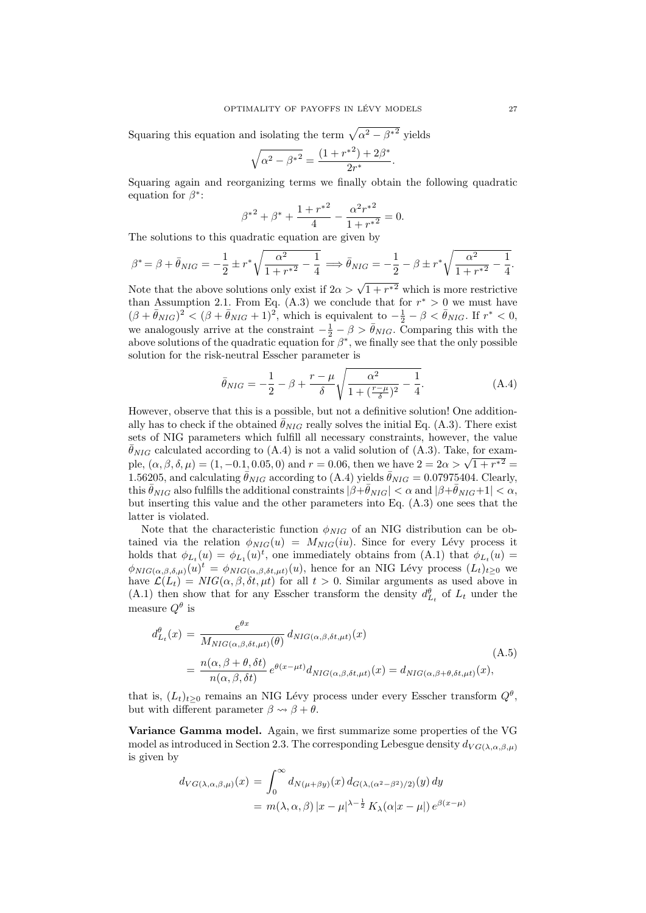Squaring this equation and isolating the term  $\sqrt{\alpha^2 - {\beta^*}^2}$  yields

$$
\sqrt{\alpha^2 - {\beta^*}^2} = \frac{(1 + r^{*2}) + 2\beta^*}{2r^*}.
$$

Squaring again and reorganizing terms we finally obtain the following quadratic equation for  $\beta^*$ :

$$
\beta^{*2} + \beta^* + \frac{1 + {r^*}^2}{4} - \frac{\alpha^2 {r^*}^2}{1 + {r^*}^2} = 0.
$$

The solutions to this quadratic equation are given by

$$
\beta^* = \beta + \bar{\theta}_{NIG} = -\frac{1}{2} \pm r^* \sqrt{\frac{\alpha^2}{1 + r^{*2}} - \frac{1}{4}} \implies \bar{\theta}_{NIG} = -\frac{1}{2} - \beta \pm r^* \sqrt{\frac{\alpha^2}{1 + r^{*2}} - \frac{1}{4}}.
$$

Note that the above solutions only exist if  $2\alpha > \sqrt{1 + r^{*2}}$  which is more restrictive than Assumption 2.1. From Eq. (A.3) we conclude that for  $r^* > 0$  we must have  $(\beta + \bar{\theta}_{NIG})^2 < (\beta + \bar{\theta}_{NIG} + 1)^2$ , which is equivalent to  $-\frac{1}{2} - \beta < \bar{\theta}_{NIG}$ . If  $r^* < 0$ , we analogously arrive at the constraint  $-\frac{1}{2} - \beta > \bar{\theta}_{NIG}$ . Comparing this with the above solutions of the quadratic equation for  $\beta^*$ , we finally see that the only possible solution for the risk-neutral Esscher parameter is

$$
\bar{\theta}_{NIG} = -\frac{1}{2} - \beta + \frac{r - \mu}{\delta} \sqrt{\frac{\alpha^2}{1 + (\frac{r - \mu}{\delta})^2} - \frac{1}{4}}.
$$
\n(A.4)

However, observe that this is a possible, but not a definitive solution! One additionally has to check if the obtained  $\bar{\theta}_{NIG}$  really solves the initial Eq. (A.3). There exist sets of NIG parameters which fulfill all necessary constraints, however, the value  $\bar{\theta}_{NIG}$  calculated according to (A.4) is not a valid solution of (A.3). Take, for exam- $\sigma_{NIG}$  calculated according to (A.4) is not a valid solution of (A.5). Take, for example,  $(\alpha, \beta, \delta, \mu) = (1, -0.1, 0.05, 0)$  and  $r = 0.06$ , then we have  $2 = 2\alpha > \sqrt{1 + r^{*2}} =$ 1.56205, and calculating  $\bar{\theta}_{NIG}$  according to (A.4) yields  $\bar{\theta}_{NIG} = 0.07975404$ . Clearly, this  $\bar{\theta}_{NIG}$  also fulfills the additional constraints  $|\beta+\bar{\theta}_{NIG}| < \alpha$  and  $|\beta+\bar{\theta}_{NIG}+1| < \alpha$ , but inserting this value and the other parameters into Eq. (A.3) one sees that the latter is violated.

Note that the characteristic function  $\phi_{NIG}$  of an NIG distribution can be obtained via the relation  $\phi_{NIG}(u) = M_{NIG}(iu)$ . Since for every Lévy process it holds that  $\phi_{L_t}(u) = \phi_{L_1}(u)^t$ , one immediately obtains from (A.1) that  $\phi_{L_t}(u)$  $\phi_{NIG(\alpha,\beta,\delta,\mu)}(u)^t = \phi_{NIG(\alpha,\beta,\delta t,\mu t)}(u)$ , hence for an NIG Lévy process  $(L_t)_{t\geq 0}$  we have  $\mathcal{L}(L_t) = NIG(\alpha, \beta, \delta t, \mu t)$  for all  $t > 0$ . Similar arguments as used above in (A.1) then show that for any Esscher transform the density  $d_{L_t}^{\theta}$  of  $L_t$  under the measure  $Q^{\theta}$  is

$$
d_{Lt}^{\theta}(x) = \frac{e^{\theta x}}{M_{NIG(\alpha,\beta,\delta t,\mu t)}(\theta)} d_{NIG(\alpha,\beta,\delta t,\mu t)}(x)
$$
  
= 
$$
\frac{n(\alpha,\beta+\theta,\delta t)}{n(\alpha,\beta,\delta t)} e^{\theta(x-\mu t)} d_{NIG(\alpha,\beta,\delta t,\mu t)}(x) = d_{NIG(\alpha,\beta+\theta,\delta t,\mu t)}(x),
$$
 (A.5)

that is,  $(L_t)_{t\geq 0}$  remains an NIG Lévy process under every Esscher transform  $Q^{\theta}$ , but with different parameter  $\beta \rightsquigarrow \beta + \theta$ .

Variance Gamma model. Again, we first summarize some properties of the VG model as introduced in Section 2.3. The corresponding Lebesgue density  $d_{VG(\lambda,\alpha,\beta,\mu)}$ is given by

$$
d_{VG(\lambda,\alpha,\beta,\mu)}(x) = \int_0^\infty d_{N(\mu+\beta y)}(x) d_{G(\lambda,(\alpha^2-\beta^2)/2)}(y) dy
$$
  
=  $m(\lambda,\alpha,\beta) |x-\mu|^{\lambda-\frac{1}{2}} K_\lambda(\alpha |x-\mu|) e^{\beta(x-\mu)}$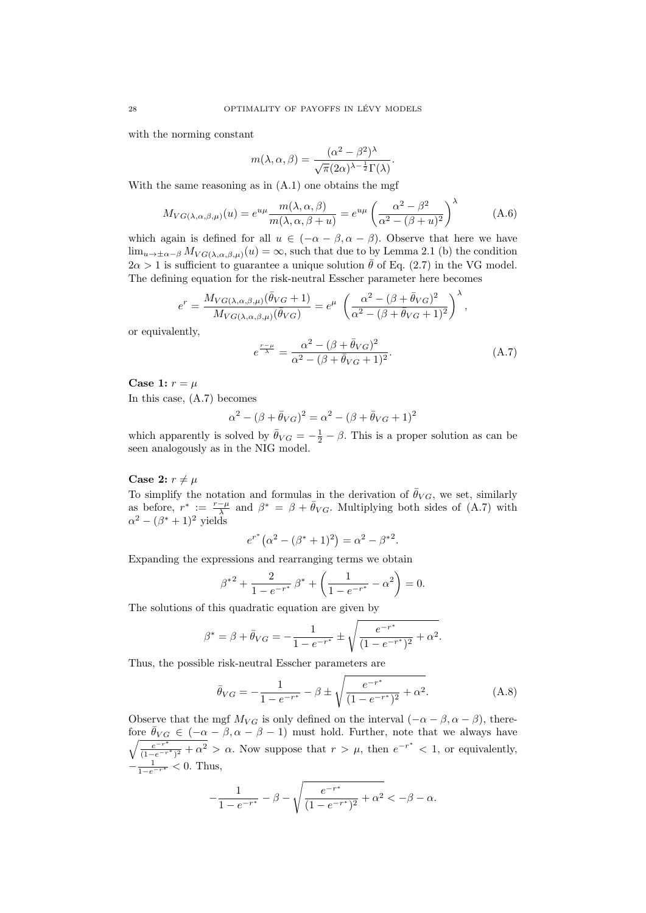with the norming constant

$$
m(\lambda, \alpha, \beta) = \frac{(\alpha^2 - \beta^2)^{\lambda}}{\sqrt{\pi} (2\alpha)^{\lambda - \frac{1}{2}} \Gamma(\lambda)}.
$$

With the same reasoning as in  $(A.1)$  one obtains the mgf

$$
M_{VG(\lambda,\alpha,\beta,\mu)}(u) = e^{u\mu} \frac{m(\lambda,\alpha,\beta)}{m(\lambda,\alpha,\beta+u)} = e^{u\mu} \left(\frac{\alpha^2 - \beta^2}{\alpha^2 - (\beta+u)^2}\right)^{\lambda}
$$
(A.6)

which again is defined for all  $u \in (-\alpha - \beta, \alpha - \beta)$ . Observe that here we have  $\lim_{u\to\pm\alpha-\beta}M_{VG(\lambda,\alpha,\beta,\mu)}(u)=\infty$ , such that due to by Lemma 2.1 (b) the condition  $2\alpha > 1$  is sufficient to guarantee a unique solution  $\bar{\theta}$  of Eq. (2.7) in the VG model. The defining equation for the risk-neutral Esscher parameter here becomes

$$
e^r = \frac{M_{VG(\lambda,\alpha,\beta,\mu)}(\bar{\theta}_{VG}+1)}{M_{VG(\lambda,\alpha,\beta,\mu)}(\bar{\theta}_{VG})} = e^{\mu} \left(\frac{\alpha^2 - (\beta + \bar{\theta}_{VG})^2}{\alpha^2 - (\beta + \bar{\theta}_{VG} + 1)^2}\right)^{\lambda},
$$

or equivalently,

$$
e^{\frac{r-\mu}{\lambda}} = \frac{\alpha^2 - (\beta + \bar{\theta}_{VG})^2}{\alpha^2 - (\beta + \bar{\theta}_{VG} + 1)^2}.
$$
 (A.7)

Case 1:  $r = \mu$ 

In this case, (A.7) becomes

$$
\alpha^{2} - (\beta + \bar{\theta}_{VG})^{2} = \alpha^{2} - (\beta + \bar{\theta}_{VG} + 1)^{2}
$$

which apparently is solved by  $\bar{\theta}_{VG} = -\frac{1}{2} - \beta$ . This is a proper solution as can be seen analogously as in the NIG model.

Case 2:  $r \neq \mu$ 

To simplify the notation and formulas in the derivation of  $\bar{\theta}_{VG}$ , we set, similarly as before,  $r^* := \frac{r-\mu}{\lambda}$  and  $\beta^* = \beta + \bar{\theta}_{VG}$ . Multiplying both sides of (A.7) with  $\alpha^2 - (\beta^* + 1)^2$  yields

$$
e^{r^*}(\alpha^2 - (\beta^* + 1)^2) = \alpha^2 - \beta^{*2}.
$$

Expanding the expressions and rearranging terms we obtain

$$
\beta^{*2} + \frac{2}{1 - e^{-r^*}} \beta^* + \left( \frac{1}{1 - e^{-r^*}} - \alpha^2 \right) = 0.
$$

The solutions of this quadratic equation are given by

$$
\beta^* = \beta + \bar{\theta}_{VG} = -\frac{1}{1 - e^{-r^*}} \pm \sqrt{\frac{e^{-r^*}}{(1 - e^{-r^*})^2} + \alpha^2}.
$$

Thus, the possible risk-neutral Esscher parameters are

$$
\bar{\theta}_{VG} = -\frac{1}{1 - e^{-r^*}} - \beta \pm \sqrt{\frac{e^{-r^*}}{(1 - e^{-r^*})^2} + \alpha^2}.
$$
 (A.8)

Observe that the mgf  $M_{VG}$  is only defined on the interval  $(-\alpha - \beta, \alpha - \beta)$ , therefore  $\bar{\theta}_{VG} \in (-\alpha - \beta, \alpha - \beta - 1)$  must hold. Further, note that we always have  $\sqrt{\frac{e^{-r^*}}{(1-e^{-r^*})^2}+\alpha^2} > \alpha$ . Now suppose that  $r > \mu$ , then  $e^{-r^*} < 1$ , or equivalently,  $-\frac{1}{1-e^{-r^*}} < 0$ . Thus,

$$
-\frac{1}{1-e^{-r^*}} - \beta - \sqrt{\frac{e^{-r^*}}{(1-e^{-r^*})^2} + \alpha^2} < -\beta - \alpha.
$$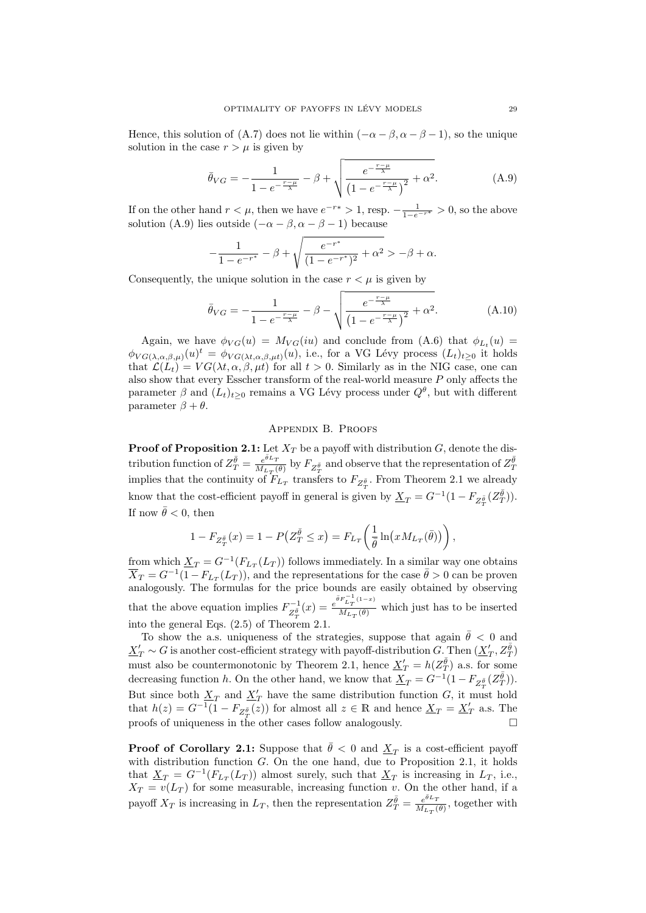Hence, this solution of (A.7) does not lie within  $(-\alpha - \beta, \alpha - \beta - 1)$ , so the unique solution in the case  $r > \mu$  is given by

$$
\bar{\theta}_{VG} = -\frac{1}{1 - e^{-\frac{r - \mu}{\lambda}}} - \beta + \sqrt{\frac{e^{-\frac{r - \mu}{\lambda}}}{(1 - e^{-\frac{r - \mu}{\lambda}})^2} + \alpha^2}.
$$
 (A.9)

If on the other hand  $r < \mu$ , then we have  $e^{-r*} > 1$ , resp.  $-\frac{1}{1-e^{-r^*}} > 0$ , so the above solution (A.9) lies outside  $(-\alpha - \beta, \alpha - \beta - 1)$  because

$$
-\frac{1}{1 - e^{-r^*}} - \beta + \sqrt{\frac{e^{-r^*}}{(1 - e^{-r^*})^2} + \alpha^2} > -\beta + \alpha.
$$

Consequently, the unique solution in the case  $r < \mu$  is given by

$$
\bar{\theta}_{VG} = -\frac{1}{1 - e^{-\frac{r - \mu}{\lambda}}} - \beta - \sqrt{\frac{e^{-\frac{r - \mu}{\lambda}}}{\left(1 - e^{-\frac{r - \mu}{\lambda}}\right)^2} + \alpha^2}.
$$
 (A.10)

Again, we have  $\phi_{VG}(u) = M_{VG}(iu)$  and conclude from (A.6) that  $\phi_{L_t}(u)$  $\phi_{VG(\lambda,\alpha,\beta,\mu)}(u)^t = \phi_{VG(\lambda t,\alpha,\beta,\mu t)}(u)$ , i.e., for a VG Lévy process  $(L_t)_{t\geq 0}$  it holds that  $\mathcal{L}(L_t) = VG(\lambda t, \alpha, \beta, \mu t)$  for all  $t > 0$ . Similarly as in the NIG case, one can also show that every Esscher transform of the real-world measure P only affects the parameter  $\beta$  and  $(L_t)_{t\geq 0}$  remains a VG Lévy process under  $Q^{\theta}$ , but with different parameter  $\beta + \theta$ .

#### Appendix B. Proofs

**Proof of Proposition 2.1:** Let  $X_T$  be a payoff with distribution  $G$ , denote the distribution function of  $Z_{T}^{\bar{\theta}} = \frac{e^{\bar{\theta}L_T}}{M_{L_T}}$  $\frac{e^{\theta L_T}}{M_{L_T}(\bar{\theta})}$  by  $F_{Z_T^{\bar{\theta}}}$  and observe that the representation of  $Z_T^{\bar{\theta}}$ implies that the continuity of  $F_{L_T}$  transfers to  $F_{Z_T^{\bar{\theta}}}$ . From Theorem 2.1 we already know that the cost-efficient payoff in general is given by  $\underline{X}_T = G^{-1}(1 - F_{Z_T^{\bar{\theta}}}(\overline{Z_T^{\bar{\theta}}}))$ . If now  $\bar{\theta} < 0$ , then

$$
1 - F_{Z_T^{\overline{\theta}}}(x) = 1 - P(Z_T^{\overline{\theta}} \le x) = F_{L_T}\left(\frac{1}{\overline{\theta}}\ln(xM_{L_T}(\overline{\theta}))\right),
$$

from which  $\underline{X}_T = G^{-1}(F_{L_T}(L_T))$  follows immediately. In a similar way one obtains  $\overline{X}_T = G^{-1}(1 - F_{L_T}(L_T))$ , and the representations for the case  $\overline{\theta} > 0$  can be proven analogously. The formulas for the price bounds are easily obtained by observing that the above equation implies  $F_{Z_T^{\bar{\theta}}}^{-1}(x) = \frac{e^{\bar{\theta} F_{L_T}^{-1}(1-x)}}{M_{L_T}(\bar{\theta})}$  $\frac{L_T}{M_{L_T}(\bar{\theta})}$  which just has to be inserted into the general Eqs. (2.5) of Theorem 2.1.

To show the a.s. uniqueness of the strategies, suppose that again  $\bar{\theta} < 0$  and  $\underline{X}'_T \sim G$  is another cost-efficient strategy with payoff-distribution G. Then  $(\underline{X}'_T, Z_T^{\bar\theta})$ must also be countermonotonic by Theorem 2.1, hence  $\underline{X}'_T = h(\overline{Z_T^{\overline{\theta}}})$  a.s. for some decreasing function h. On the other hand, we know that  $\underline{X}_T = G^{-1}(1 - F_{Z_T^{\bar{\theta}}}(\overline{Z_T^{\bar{\theta}}}))$ . But since both  $\underline{X}_T$  and  $\underline{X}'_T$  have the same distribution function G, it must hold that  $h(z) = G^{-1}(\overline{1} - F_{Z_{T}^{\bar{\theta}}}(z))$  for almost all  $z \in \mathbb{R}$  and hence  $\underline{X}_{T} = \underline{X}'_{T}$  a.s. The proofs of uniqueness in the other cases follow analogously.

**Proof of Corollary 2.1:** Suppose that  $\bar{\theta} < 0$  and  $\underline{X}_T$  is a cost-efficient payoff with distribution function  $G$ . On the one hand, due to Proposition 2.1, it holds that  $\underline{X}_T = G^{-1}(F_{L_T}(L_T))$  almost surely, such that  $\underline{X}_T$  is increasing in  $L_T$ , i.e.,  $X_T = v(L_T)$  for some measurable, increasing function v. On the other hand, if a payoff  $X_T$  is increasing in  $L_T$ , then the representation  $Z_T^{\bar{\theta}} = \frac{e^{\bar{\theta}L_T}}{M_{L_T}}$  $\frac{e^{\sigma E_T}}{M_{L_T}(\bar{\theta})}$ , together with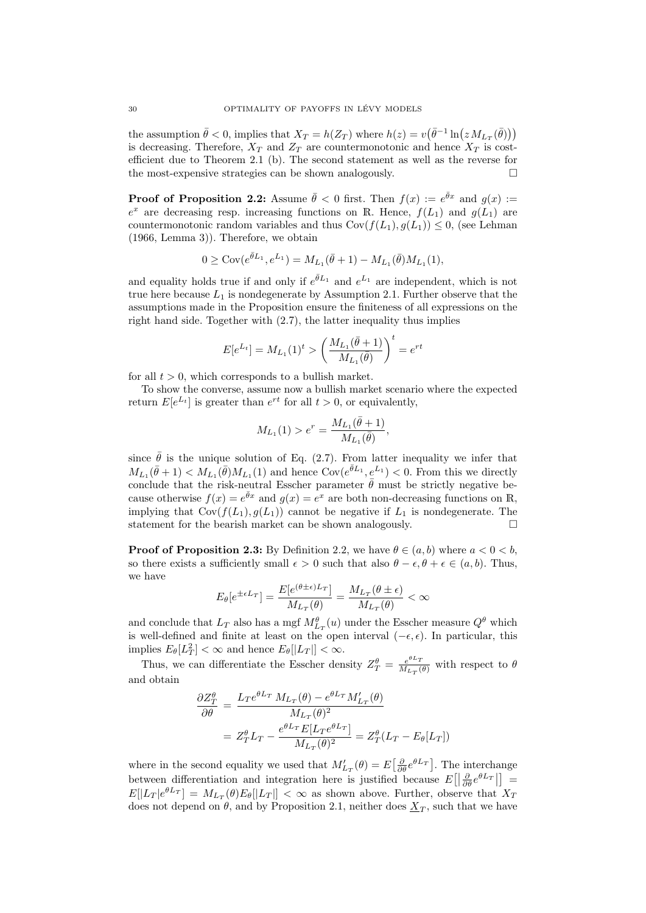the assumption  $\bar{\theta} < 0$ , implies that  $X_T = h(Z_T)$  where  $h(z) = v(\bar{\theta}^{-1} \ln(z M_{L_T}(\bar{\theta})))$ is decreasing. Therefore,  $X_T$  and  $Z_T$  are countermonotonic and hence  $X_T$  is costefficient due to Theorem 2.1 (b). The second statement as well as the reverse for the most-expensive strategies can be shown analogously.

**Proof of Proposition 2.2:** Assume  $\bar{\theta} < 0$  first. Then  $f(x) := e^{\bar{\theta}x}$  and  $g(x) :=$  $e^x$  are decreasing resp. increasing functions on R. Hence,  $f(L_1)$  and  $g(L_1)$  are countermonotonic random variables and thus  $Cov(f(L_1), g(L_1)) \leq 0$ , (see Lehman (1966, Lemma 3)). Therefore, we obtain

$$
0 \geq \text{Cov}(e^{\bar{\theta}L_1}, e^{L_1}) = M_{L_1}(\bar{\theta} + 1) - M_{L_1}(\bar{\theta})M_{L_1}(1),
$$

and equality holds true if and only if  $e^{\bar{\theta}L_1}$  and  $e^{L_1}$  are independent, which is not true here because  $L_1$  is nondegenerate by Assumption 2.1. Further observe that the assumptions made in the Proposition ensure the finiteness of all expressions on the right hand side. Together with (2.7), the latter inequality thus implies

$$
E[e^{L_t}] = M_{L_1}(1)^t > \left(\frac{M_{L_1}(\bar{\theta} + 1)}{M_{L_1}(\bar{\theta})}\right)^t = e^{rt}
$$

for all  $t > 0$ , which corresponds to a bullish market.

To show the converse, assume now a bullish market scenario where the expected return  $E[e^{L_t}]$  is greater than  $e^{rt}$  for all  $t > 0$ , or equivalently,

$$
M_{L_1}(1) > e^r = \frac{M_{L_1}(\bar{\theta} + 1)}{M_{L_1}(\bar{\theta})},
$$

since  $\bar{\theta}$  is the unique solution of Eq. (2.7). From latter inequality we infer that  $M_{L_1}(\bar{\theta}+1) < M_{L_1}(\bar{\theta})M_{L_1}(1)$  and hence  $Cov(e^{\bar{\theta}L_1}, e^{L_1}) < 0$ . From this we directly conclude that the risk-neutral Esscher parameter  $\bar{\theta}$  must be strictly negative because otherwise  $f(x) = e^{\bar{\theta}x}$  and  $g(x) = e^x$  are both non-decreasing functions on R, implying that  $Cov(f(L_1), g(L_1))$  cannot be negative if  $L_1$  is nondegenerate. The statement for the bearish market can be shown analogously.  $\square$ 

**Proof of Proposition 2.3:** By Definition 2.2, we have  $\theta \in (a, b)$  where  $a < 0 < b$ , so there exists a sufficiently small  $\epsilon > 0$  such that also  $\theta - \epsilon, \theta + \epsilon \in (a, b)$ . Thus, we have

$$
E_{\theta}[e^{\pm\epsilon L_T}] = \frac{E[e^{(\theta \pm \epsilon)L_T}]}{M_{L_T}(\theta)} = \frac{M_{L_T}(\theta \pm \epsilon)}{M_{L_T}(\theta)} < \infty
$$

and conclude that  $L_T$  also has a mgf  $M_{L_T}^{\theta}(u)$  under the Esscher measure  $Q^{\theta}$  which is well-defined and finite at least on the open interval  $(-\epsilon, \epsilon)$ . In particular, this implies  $E_{\theta}[L_T^2] < \infty$  and hence  $E_{\theta}[|L_T|] < \infty$ .

Thus, we can differentiate the Esscher density  $Z_T^{\theta} = \frac{e^{\theta L_T}}{M_{LT}}$  $\frac{e^{i2T}}{M_{L_T}(\theta)}$  with respect to  $\theta$ and obtain

$$
\frac{\partial Z_T^{\theta}}{\partial \theta} = \frac{L_T e^{\theta L_T} M_{L_T}(\theta) - e^{\theta L_T} M'_{L_T}(\theta)}{M_{L_T}(\theta)^2}
$$

$$
= Z_T^{\theta} L_T - \frac{e^{\theta L_T} E[L_T e^{\theta L_T}]}{M_{L_T}(\theta)^2} = Z_T^{\theta} (L_T - E_{\theta}[L_T])
$$

where in the second equality we used that  $M'_{L_T}(\theta) = E\left[\frac{\partial}{\partial \theta}e^{\theta L_T}\right]$ . The interchange between differentiation and integration here is justified because  $E\left[\left|\frac{\partial}{\partial \theta}e^{\theta L_T}\right|\right] =$  $E[|L_T|e^{\theta L_T}] = M_{L_T}(\theta)E_{\theta}[|L_T|] < \infty$  as shown above. Further, observe that  $X_T$ does not depend on  $\theta$ , and by Proposition 2.1, neither does  $\underline{X}_T$ , such that we have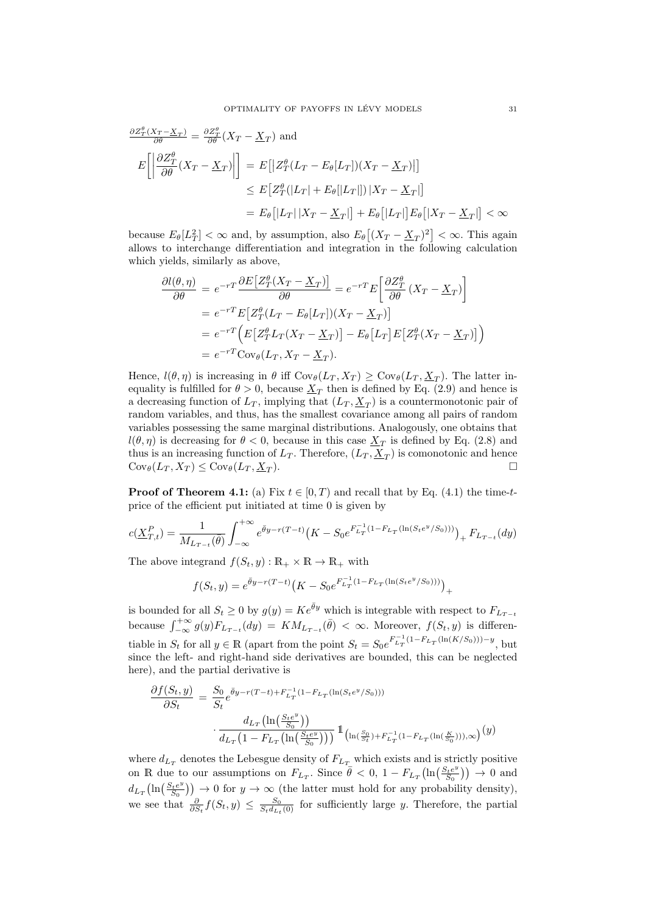$$
\frac{\partial Z_T^{\theta}(X_T - \underline{X}_T)}{\partial \theta} = \frac{\partial Z_T^{\theta}}{\partial \theta}(X_T - \underline{X}_T) \text{ and}
$$
\n
$$
E\left[\left|\frac{\partial Z_T^{\theta}}{\partial \theta}(X_T - \underline{X}_T)\right|\right] = E\left[|Z_T^{\theta}(L_T - E_{\theta}[L_T])(X_T - \underline{X}_T)|\right]
$$
\n
$$
\leq E\left[Z_T^{\theta}(|L_T| + E_{\theta}[|L_T|])|X_T - \underline{X}_T|\right]
$$
\n
$$
= E_{\theta}\left[|L_T||X_T - \underline{X}_T|\right] + E_{\theta}\left[|L_T||E_{\theta}[|X_T - \underline{X}_T|\right] < \infty
$$

because  $E_{\theta}[L_T^2] < \infty$  and, by assumption, also  $E_{\theta}[(X_T - \underline{X}_T)^2] < \infty$ . This again allows to interchange differentiation and integration in the following calculation which yields, similarly as above,

$$
\frac{\partial l(\theta,\eta)}{\partial \theta} = e^{-rT} \frac{\partial E[Z_T^{\theta}(X_T - \underline{X}_T)]}{\partial \theta} = e^{-rT} E\left[\frac{\partial Z_T^{\theta}}{\partial \theta}(X_T - \underline{X}_T)\right]
$$

$$
= e^{-rT} E[Z_T^{\theta}(L_T - E_{\theta}[L_T])(X_T - \underline{X}_T)]
$$

$$
= e^{-rT} \left(E[Z_T^{\theta} L_T(X_T - \underline{X}_T)] - E_{\theta}[L_T] E[Z_T^{\theta}(X_T - \underline{X}_T)]\right)
$$

$$
= e^{-rT} \text{Cov}_{\theta}(L_T, X_T - \underline{X}_T).
$$

Hence,  $l(\theta, \eta)$  is increasing in  $\theta$  iff  $Cov_{\theta}(L_T, X_T) \geq Cov_{\theta}(L_T, \underline{X}_T)$ . The latter inequality is fulfilled for  $\theta > 0$ , because  $\underline{X}_T$  then is defined by Eq. (2.9) and hence is a decreasing function of  $L_T$ , implying that  $(L_T, \underline{X}_T)$  is a countermonotonic pair of random variables, and thus, has the smallest covariance among all pairs of random variables possessing the same marginal distributions. Analogously, one obtains that  $l(\theta, \eta)$  is decreasing for  $\theta < 0$ , because in this case  $\underline{X}_T$  is defined by Eq. (2.8) and thus is an increasing function of  $L_T$ . Therefore,  $(L_T, \underline{X}_T)$  is comonotonic and hence  $Cov_{\theta}(L_T, X_T) \leq Cov_{\theta}(L_T, \underline{X}_T).$ ).  $\Box$ 

**Proof of Theorem 4.1:** (a) Fix  $t \in [0, T)$  and recall that by Eq. (4.1) the time-tprice of the efficient put initiated at time 0 is given by

$$
c(\underline{X}_{T,t}^P) = \frac{1}{M_{L_{T-t}}(\overline{\theta})} \int_{-\infty}^{+\infty} e^{\overline{\theta}y - r(T-t)} \left( K - S_0 e^{F_{L_T}^{-1}(1 - F_{L_T}(\ln(S_t e^y / S_0)))} \right)_+ F_{L_{T-t}}(dy)
$$

The above integrand  $f(S_t, y) : \mathbb{R}_+ \times \mathbb{R} \to \mathbb{R}_+$  with

$$
f(S_t, y) = e^{\bar{\theta}y - r(T-t)} \left( K - S_0 e^{F_{L_T}^{-1}(1 - F_{L_T}(\ln(S_t e^y / S_0)))} \right)
$$

is bounded for all  $S_t \geq 0$  by  $g(y) = Ke^{\bar{\theta}y}$  which is integrable with respect to  $F_{L_{T-t}}$ because  $\int_{-\infty}^{+\infty} g(y) F_{L_{T-t}}(dy) = KM_{L_{T-t}}(\bar{\theta}) < \infty$ . Moreover,  $f(S_t, y)$  is differentiable in  $S_t$  for all  $y \in \mathbb{R}$  (apart from the point  $S_t = S_0 e^{F_{LT}^{-1}(1 - F_{L_T}(\ln(K/S_0))) - y}$ , but since the left- and right-hand side derivatives are bounded, this can be neglected here), and the partial derivative is

$$
\frac{\partial f(S_t, y)}{\partial S_t} = \frac{S_0}{S_t} e^{\bar{\theta}y - r(T-t) + F_{L_T}^{-1}(1 - F_{L_T}(\ln(S_t e^y / S_0)))} \cdot \frac{d_{L_T}(\ln(\frac{S_t e^y}{S_0}))}{d_{L_T}(1 - F_{L_T}(\ln(\frac{S_t e^y}{S_0})))} \mathbb{1}_{(\ln(\frac{S_0}{S_t}) + F_{L_T}^{-1}(1 - F_{L_T}(\ln(\frac{K}{S_0})))), \infty)}(y)
$$

where  $d_{L_T}$  denotes the Lebesgue density of  $F_{L_T}$  which exists and is strictly positive on R due to our assumptions on  $F_{L_T}$ . Since  $\bar{\theta} < 0$ ,  $1 - F_{L_T}(\ln(\frac{S_t e^y}{S_0}))$  $\frac{S_t e^y}{S_0}$ )  $\rightarrow 0$  and  $d_{L_T}(\ln(\frac{S_t e^y}{S_0}))$  $(\frac{\partial_i e^y}{S_0})$   $\to 0$  for  $y \to \infty$  (the latter must hold for any probability density), we see that  $\frac{\partial}{\partial S_t} f(S_t, y) \leq \frac{S_0}{S_t d_{L_t}(0)}$  for sufficiently large y. Therefore, the partial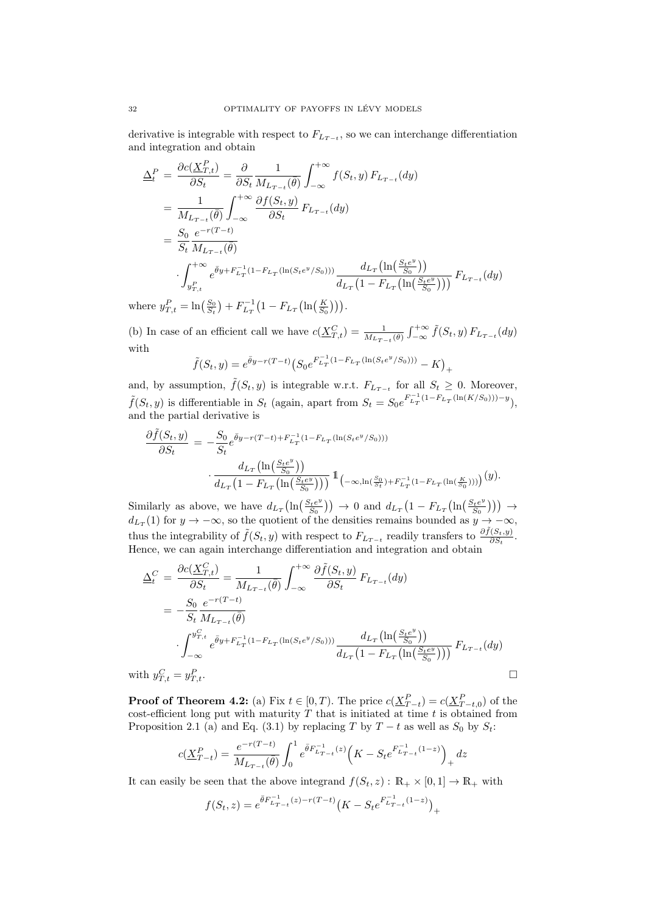derivative is integrable with respect to  $F_{L_{T-t}}$ , so we can interchange differentiation and integration and obtain

$$
\begin{split}\n\Delta_t^P &= \frac{\partial c(\underline{X}_{T,t}^P)}{\partial S_t} = \frac{\partial}{\partial S_t} \frac{1}{M_{L_{T-t}}(\bar{\theta})} \int_{-\infty}^{+\infty} f(S_t, y) F_{L_{T-t}}(dy) \\
&= \frac{1}{M_{L_{T-t}}(\bar{\theta})} \int_{-\infty}^{+\infty} \frac{\partial f(S_t, y)}{\partial S_t} F_{L_{T-t}}(dy) \\
&= \frac{S_0}{S_t} \frac{e^{-r(T-t)}}{M_{L_{T-t}}(\bar{\theta})} \\
&\cdot \int_{y_{T,t}^P}^{+\infty} e^{\bar{\theta}y + F_{L_T}^{-1}(1 - F_{L_T}(\ln(S_t e^y/S_0)))} \frac{d_{L_T}(\ln(\frac{S_t e^y}{S_0}))}{d_{L_T}(1 - F_{L_T}(\ln(\frac{S_t e^y}{S_0})))} F_{L_{T-t}}(dy)\n\end{split}
$$

where  $y_{T,t}^P = \ln\left(\frac{S_0}{S_t}\right) + F_{L_T}^{-1} \left(1 - F_{L_T}\left(\ln\left(\frac{K}{S_0}\right)\right)\right)$ .

(b) In case of an efficient call we have  $c(\underline{X}_{T,t}^C) = \frac{1}{M_{L_{T-t}}(\theta)} \int_{-\infty}^{+\infty} \tilde{f}(S_t, y) F_{L_{T-t}}(dy)$ with

$$
\tilde{f}(S_t, y) = e^{\bar{\theta}y - r(T-t)} \left( S_0 e^{F_{L_T}^{-1}(1 - F_{L_T}(\ln(S_t e^y / S_0)))} - K \right)_+
$$

and, by assumption,  $\tilde{f}(S_t, y)$  is integrable w.r.t.  $F_{L_{T-t}}$  for all  $S_t \geq 0$ . Moreover,  $\tilde{f}(S_t, y)$  is differentiable in  $S_t$  (again, apart from  $S_t = S_0 e^{F_{L_T}^{-1}(1 - F_{L_T}(\ln(K/S_0))) - y}$ ), and the partial derivative is

$$
\frac{\partial \tilde{f}(S_t, y)}{\partial S_t} = -\frac{S_0}{S_t} e^{\bar{\theta}y - r(T-t) + F_{L_T}^{-1}(1 - F_{L_T}(\ln(S_t e^y / S_0)))} \cdot \frac{d_{L_T}(\ln(S_t e^y / S_0))}{d_{L_T} \left(1 - F_{L_T}(\ln(\frac{S_t e^y}{S_0}))\right)} \mathbb{1}_{\left(-\infty, \ln(\frac{S_0}{S_t}) + F_{L_T}^{-1}(1 - F_{L_T}(\ln(\frac{K}{S_0})))\right)}(y).
$$

Similarly as above, we have  $d_{L_T}(\ln(\frac{S_t e^y}{S_0}))$  $\left(\frac{S_t e^y}{S_0}\right)$   $\rightarrow$  0 and  $d_{L_T} \left(1 - F_{L_T} \left(\ln\left(\frac{S_t e^y}{S_0}\right)\right)\right)$  $\frac{\delta_t e^y}{S_0}$ )))  $\rightarrow$  $d_{L_T}(1)$  for  $y \to -\infty$ , so the quotient of the densities remains bounded as  $y \to -\infty$ , thus the integrability of  $\tilde{f}(S_t, y)$  with respect to  $F_{L_{T-t}}$  readily transfers to  $\frac{\partial \tilde{f}(S_t, y)}{\partial S_t}$ . Hence, we can again interchange differentiation and integration and obtain

$$
\begin{split} \Delta_t^C &= \frac{\partial c(\underline{X}_{T,t}^C)}{\partial S_t} = \frac{1}{M_{L_{T-t}}(\bar{\theta})} \int_{-\infty}^{+\infty} \frac{\partial \tilde{f}(S_t, y)}{\partial S_t} \, F_{L_{T-t}}(dy) \\ &= -\frac{S_0}{S_t} \frac{e^{-r(T-t)}}{M_{L_{T-t}}(\bar{\theta})} \\ &\cdot \int_{-\infty}^{y_{T,t}^C} e^{\bar{\theta}y + F_{L_T}^{-1}(1 - F_{L_T}(\ln(S_t e^y / S_0)))} \frac{d_{L_T}\left(\ln\left(\frac{S_t e^y}{S_0}\right)\right)}{d_{L_T}\left(1 - F_{L_T}\left(\ln\left(\frac{S_t e^y}{S_0}\right)\right)\right)} \, F_{L_{T-t}}(dy) \\ \text{th } y_{T,t}^C &= y_{T,t}^P. \end{split}
$$

with  $y_{T,t}^C = y_T^F$ 

**Proof of Theorem 4.2:** (a) Fix  $t \in [0, T)$ . The price  $c(\underline{X}_{T-t}^P) = c(\underline{X}_{T-t,0}^P)$  of the cost-efficient long put with maturity  $T$  that is initiated at time t is obtained from Proposition 2.1 (a) and Eq. (3.1) by replacing T by  $T - t$  as well as  $S_0$  by  $S_t$ :

$$
c(\underline{X}_{T-t}^P) = \frac{e^{-r(T-t)}}{M_{L_{T-t}}(\overline{\theta})} \int_0^1 e^{\overline{\theta} F_{L_{T-t}}^{-1}(z)} \left( K - S_t e^{F_{L_{T-t}}^{-1}(1-z)} \right)_+ dz
$$

It can easily be seen that the above integrand  $f(S_t, z) : \mathbb{R}_+ \times [0, 1] \to \mathbb{R}_+$  with

$$
f(S_t, z) = e^{\bar{\theta} F_{L_T-t}^{-1}(z) - r(T-t)} \left( K - S_t e^{F_{L_T-t}^{-1}(1-z)} \right)
$$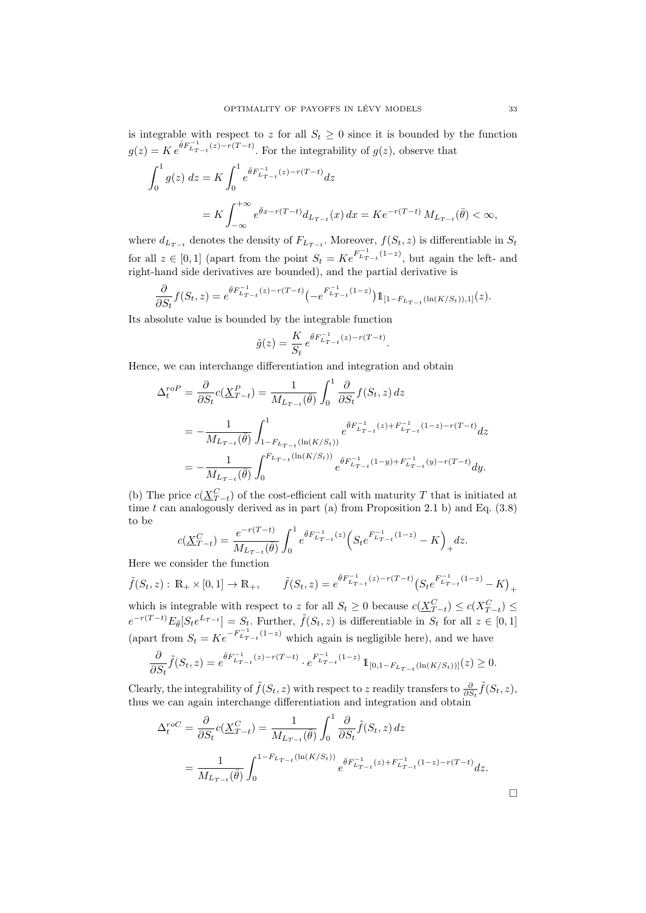is integrable with respect to z for all  $S_t \geq 0$  since it is bounded by the function  $g(z) = K e^{\bar{\theta} F_{L_{T-t}}^{-1}(z) - r(T-t)}$ . For the integrability of  $g(z)$ , observe that

$$
\int_0^1 g(z) dz = K \int_0^1 e^{\bar{\theta} F_{L_{T-t}}^{-1}(z) - r(T-t)} dz
$$
  
=  $K \int_{-\infty}^{+\infty} e^{\bar{\theta} x - r(T-t)} d_{L_{T-t}}(x) dx = K e^{-r(T-t)} M_{L_{T-t}}(\bar{\theta}) < \infty$ ,

where  $d_{L_{T-t}}$  denotes the density of  $F_{L_{T-t}}$ . Moreover,  $f(S_t, z)$  is differentiable in  $S_t$ for all  $z \in [0,1]$  (apart from the point  $S_t = Ke^{F_{LT-t}^{-1}(1-z)}$ , but again the left- and right-hand side derivatives are bounded), and the partial derivative is

$$
\frac{\partial}{\partial S_t} f(S_t, z) = e^{\bar{\theta} F_{L_{T-t}}^{-1}(z) - r(T-t)} \left( -e^{F_{L_{T-t}}^{-1}(1-z)} \right) 1\!\!1_{\left[1 - F_{L_{T-t}}(\ln(K/S_t)), 1\right]}(z).
$$

Its absolute value is bounded by the integrable function

$$
\tilde{g}(z) = \frac{K}{S_t} e^{\bar{\theta} F_{L_{T-t}}^{-1}(z) - r(T-t)}.
$$

Hence, we can interchange differentiation and integration and obtain

$$
\Delta_t^{roP} = \frac{\partial}{\partial S_t} c(\underline{X}_{T-t}^P) = \frac{1}{M_{L_{T-t}}(\bar{\theta})} \int_0^1 \frac{\partial}{\partial S_t} f(S_t, z) dz
$$
  
\n
$$
= -\frac{1}{M_{L_{T-t}}(\bar{\theta})} \int_{1 - F_{L_{T-t}}(\ln(K/S_t))}^1 e^{\bar{\theta} F_{L_{T-t}}^{-1}(z) + F_{L_{T-t}}^{-1}(1-z) - r(T-t)} dz
$$
  
\n
$$
= -\frac{1}{M_{L_{T-t}}(\bar{\theta})} \int_0^{F_{L_{T-t}}(\ln(K/S_t))} e^{\bar{\theta} F_{L_{T-t}}^{-1}(1-y) + F_{L_{T-t}}^{-1}(y) - r(T-t)} dy.
$$

(b) The price  $c(\underline{X}_{T-t}^C)$  of the cost-efficient call with maturity T that is initiated at time t can analogously derived as in part (a) from Proposition 2.1 b) and Eq.  $(3.8)$ to be

$$
c(\underline{X}_{T-t}^C) = \frac{e^{-r(T-t)}}{M_{L_{T-t}}(\overline{\theta})} \int_0^1 e^{\overline{\theta} F_{L_{T-t}}^{-1}(z)} \Big( S_t e^{F_{L_{T-t}}^{-1}(1-z)} - K \Big)_+ dz.
$$

Here we consider the function

$$
\tilde{f}(S_t, z) : \mathbb{R}_+ \times [0, 1] \to \mathbb{R}_+, \qquad \tilde{f}(S_t, z) = e^{\bar{\theta} F_{LT-t}^{-1}(z) - r(T-t)} \left( S_t e^{F_{LT-t}^{-1}(1-z)} - K \right)_+
$$

which is integrable with respect to z for all  $S_t \geq 0$  because  $c(\underline{X}_{T-t}^C) \leq c(X_{T-t}^C) \leq$  $e^{-r(T-t)}E_{\bar{\theta}}[S_t e^{L_T-t}] = S_t$ . Further,  $\tilde{f}(S_t, z)$  is differentiable in  $S_t$  for all  $z \in [0, 1]$ (apart from  $S_t = Ke^{-F_{LT-t}^{-1}(1-z)}$  which again is negligible here), and we have

$$
\frac{\partial}{\partial S_t} \tilde{f}(S_t, z) = e^{\bar{\theta} F_{L_T-t}^{-1}(z) - r(T-t)} \cdot e^{F_{L_T-t}^{-1}(1-z)} \mathbb{1}_{[0, 1 - F_{L_T-t}(\ln(K/S_t))]}(z) \ge 0.
$$

Clearly, the integrability of  $\tilde{f}(S_t, z)$  with respect to z readily transfers to  $\frac{\partial}{\partial S_t} \tilde{f}(S_t, z)$ , thus we can again interchange differentiation and integration and obtain

$$
\Delta_t^{roC} = \frac{\partial}{\partial S_t} c(\underline{X}_{T-t}^C) = \frac{1}{M_{L_{T-t}}(\bar{\theta})} \int_0^1 \frac{\partial}{\partial S_t} \tilde{f}(S_t, z) dz
$$
  
= 
$$
\frac{1}{M_{L_{T-t}}(\bar{\theta})} \int_0^{1 - F_{L_{T-t}}(\ln(K/S_t))} e^{\bar{\theta} F_{L_{T-t}}^{-1}(z) + F_{L_{T-t}}^{-1}(1 - z) - r(T - t)} dz.
$$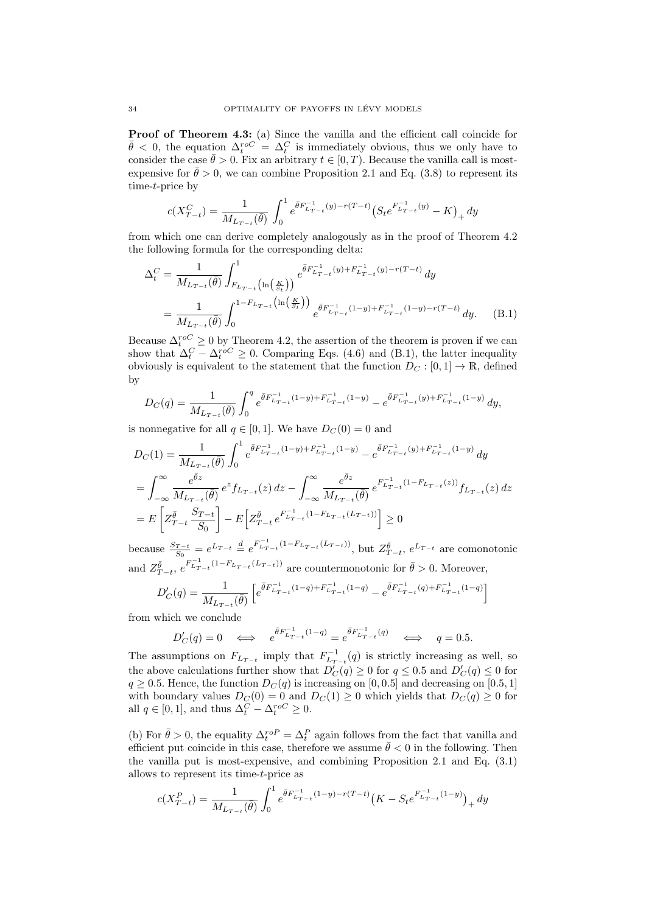Proof of Theorem 4.3: (a) Since the vanilla and the efficient call coincide for  $\bar{\theta}$  < 0, the equation  $\Delta_t^{roc} = \Delta_t^C$  is immediately obvious, thus we only have to consider the case  $\bar{\theta} > 0$ . Fix an arbitrary  $t \in [0, T)$ . Because the vanilla call is mostexpensive for  $\bar{\theta} > 0$ , we can combine Proposition 2.1 and Eq. (3.8) to represent its time-t-price by

$$
c(X_{T-t}^C) = \frac{1}{M_{LT-t}(\bar{\theta})} \int_0^1 e^{\bar{\theta}F_{LT-t}^{-1}(y) - r(T-t)} \left( S_t e^{F_{LT-t}^{-1}(y)} - K \right)_+ dy
$$

from which one can derive completely analogously as in the proof of Theorem 4.2 the following formula for the corresponding delta:

$$
\Delta_t^C = \frac{1}{M_{L_{T-t}}(\bar{\theta})} \int_{F_{L_{T-t}}}\left(\ln\left(\frac{K}{S_t}\right)\right) e^{\bar{\theta}F_{L_{T-t}}^{-1}(y) + F_{L_{T-t}}^{-1}(y) - r(T-t)} dy
$$
\n
$$
= \frac{1}{M_{L_{T-t}}(\bar{\theta})} \int_0^{1 - F_{L_{T-t}}\left(\ln\left(\frac{K}{S_t}\right)\right)} e^{\bar{\theta}F_{L_{T-t}}^{-1}(1 - y) + F_{L_{T-t}}^{-1}(1 - y) - r(T-t)} dy. \tag{B.1}
$$

Because  $\Delta_t^{roC} \geq 0$  by Theorem 4.2, the assertion of the theorem is proven if we can show that  $\Delta_t^C - \Delta_t^{roc} \geq 0$ . Comparing Eqs. (4.6) and (B.1), the latter inequality obviously is equivalent to the statement that the function  $D_C : [0,1] \to \mathbb{R}$ , defined by

$$
D_C(q) = \frac{1}{M_{L_{T-t}}(\bar{\theta})} \int_0^q e^{\bar{\theta} F_{L_{T-t}}^{-1}(1-y) + F_{L_{T-t}}^{-1}(1-y)} - e^{\bar{\theta} F_{L_{T-t}}^{-1}(y) + F_{L_{T-t}}^{-1}(1-y)} dy,
$$

is nonnegative for all  $q \in [0, 1]$ . We have  $D_C(0) = 0$  and

$$
D_C(1) = \frac{1}{M_{L_{T-t}}(\bar{\theta})} \int_0^1 e^{\bar{\theta} F_{L_{T-t}}^{-1}(1-y) + F_{L_{T-t}}^{-1}(1-y)} - e^{\bar{\theta} F_{L_{T-t}}^{-1}(y) + F_{L_{T-t}}^{-1}(1-y)} dy
$$
  
\n
$$
= \int_{-\infty}^{\infty} \frac{e^{\bar{\theta} z}}{M_{L_{T-t}}(\bar{\theta})} e^z f_{L_{T-t}}(z) dz - \int_{-\infty}^{\infty} \frac{e^{\bar{\theta} z}}{M_{L_{T-t}}(\bar{\theta})} e^{F_{L_{T-t}}^{-1}(1 - F_{L_{T-t}}(z))} f_{L_{T-t}}(z) dz
$$
  
\n
$$
= E\left[ Z_{T-t}^{\bar{\theta}} \frac{S_{T-t}}{S_0} \right] - E\left[ Z_{T-t}^{\bar{\theta}} e^{F_{L_{T-t}}^{-1}(1 - F_{L_{T-t}}(L_{T-t}))} \right] \ge 0
$$

because  $\frac{S_{T-t}}{S_0} = e^{L_T-t} \stackrel{d}{=} e^{F_{L_T-t}^{-1}(1-F_{L_T-t}(L_T-t))}$ , but  $Z_{T-t}^{\bar{\theta}}$ ,  $e^{L_T-t}$  are comonotonic and  $Z_{T-t}^{\bar{\theta}}$ ,  $e^{F_{L_{T-t}}^{-1}(1-F_{L_{T-t}}(L_{T-t}))}$  are countermonotonic for  $\bar{\theta} > 0$ . Moreover,

$$
D'_C(q) = \frac{1}{M_{L_{T-t}}(\bar{\theta})} \left[ e^{\bar{\theta} F_{L_{T-t}}^{-1}(1-q) + F_{L_{T-t}}^{-1}(1-q)} - e^{\bar{\theta} F_{L_{T-t}}^{-1}(q) + F_{L_{T-t}}^{-1}(1-q)} \right]
$$

from which we conclude

$$
D'_C(q) = 0 \iff e^{\bar{\theta}F_{L_{T-t}}^{-1}(1-q)} = e^{\bar{\theta}F_{L_{T-t}}^{-1}(q)} \iff q = 0.5.
$$

The assumptions on  $F_{L_{T-t}}$  imply that  $F_{L_{T-t}}^{-1}(q)$  is strictly increasing as well, so the above calculations further show that  $D_C'(q) \ge 0$  for  $q \le 0.5$  and  $D_C'(q) \le 0$  for  $q \ge 0.5$ . Hence, the function  $D<sub>C</sub>(q)$  is increasing on [0, 0.5] and decreasing on [0.5, 1] with boundary values  $D_C(0) = 0$  and  $D_C(1) \geq 0$  which yields that  $D_C(q) \geq 0$  for all  $q \in [0, 1]$ , and thus  $\Delta_t^C - \Delta_t^{roC} \geq 0$ .

(b) For  $\bar{\theta} > 0$ , the equality  $\Delta_t^{roP} = \Delta_t^P$  again follows from the fact that vanilla and efficient put coincide in this case, therefore we assume  $\bar{\theta} < 0$  in the following. Then the vanilla put is most-expensive, and combining Proposition 2.1 and Eq. (3.1) allows to represent its time-t-price as

$$
c(X_{T-t}^P) = \frac{1}{M_{L_{T-t}}(\bar{\theta})} \int_0^1 e^{\bar{\theta} F_{L_{T-t}}^{-1}(1-y) - r(T-t)} \left( K - S_t e^{F_{L_{T-t}}^{-1}(1-y)} \right)_{+} dy
$$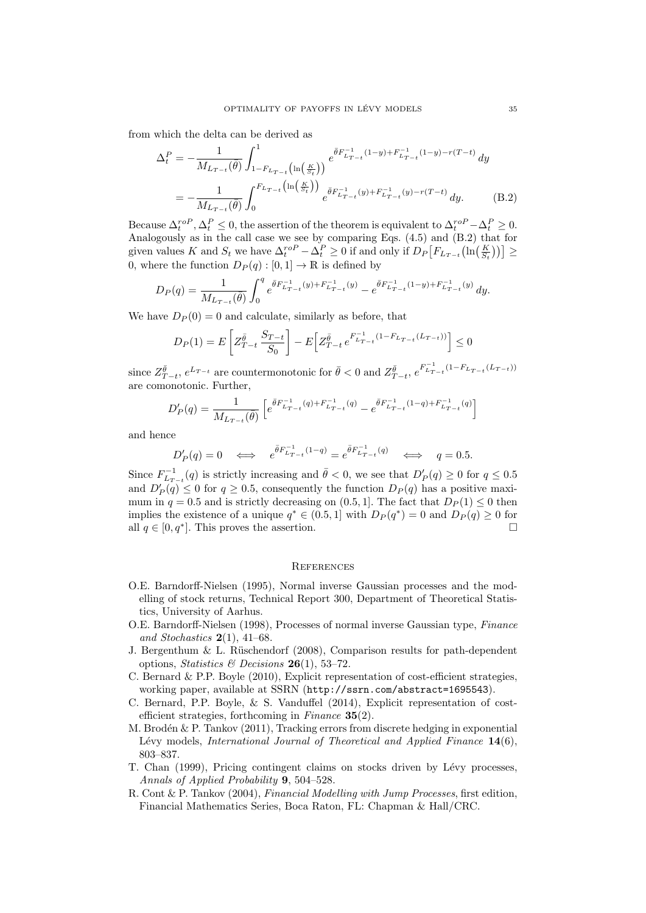from which the delta can be derived as

$$
\Delta_t^P = -\frac{1}{M_{L_{T-t}}(\bar{\theta})} \int_{1-F_{L_{T-t}}(\ln\left(\frac{K}{S_t}\right))}^1 e^{\bar{\theta}F_{L_{T-t}}^{-1}(1-y) + F_{L_{T-t}}^{-1}(1-y) - r(T-t)} dy
$$
  
= 
$$
-\frac{1}{M_{L_{T-t}}(\bar{\theta})} \int_0^{F_{L_{T-t}}(\ln\left(\frac{K}{S_t}\right))} e^{\bar{\theta}F_{L_{T-t}}^{-1}(y) + F_{L_{T-t}}^{-1}(y) - r(T-t)} dy.
$$
(B.2)

Because  $\Delta_t^{roP}$ ,  $\Delta_t^P \leq 0$ , the assertion of the theorem is equivalent to  $\Delta_t^{roP} - \Delta_t^P \geq 0$ . Analogously as in the call case we see by comparing Eqs. (4.5) and (B.2) that for given values K and  $S_t$  we have  $\Delta_t^{roP} - \Delta_t^P \ge 0$  if and only if  $D_P[F_{L_{T-t}}(\ln(\frac{K}{S_t}))] \ge$ 0, where the function  $D_P(q):[0,1]\to\mathbb{R}$  is defined by

$$
D_P(q) = \frac{1}{M_{L_{T-t}}(\bar{\theta})} \int_0^q e^{\bar{\theta} F_{L_{T-t}}^{-1}(y) + F_{L_{T-t}}^{-1}(y)} - e^{\bar{\theta} F_{L_{T-t}}^{-1}(1-y) + F_{L_{T-t}}^{-1}(y)} dy.
$$

We have  $D_P(0) = 0$  and calculate, similarly as before, that

$$
D_P(1) = E\left[Z_{T-t}^{\bar{\theta}} \frac{S_{T-t}}{S_0}\right] - E\left[Z_{T-t}^{\bar{\theta}} e^{F_{L_{T-t}^{-1}}^{-1}(1 - F_{L_{T-t}}(L_{T-t}))}\right] \le 0
$$

since  $Z_{T-t}^{\bar{\theta}}$ ,  $e^{L_T-t}$  are countermonotonic for  $\bar{\theta} < 0$  and  $Z_{T-t}^{\bar{\theta}}$ ,  $e^{F_{L_{T-t}}^{-1}(1-F_{L_{T-t}}(L_{T-t}))}$ are comonotonic. Further,

$$
D'_P(q) = \frac{1}{M_{L_{T-t}}(\bar{\theta})} \left[ e^{\bar{\theta} F_{L_{T-t}}^{-1}(q) + F_{L_{T-t}}^{-1}(q)} - e^{\bar{\theta} F_{L_{T-t}}^{-1}(1-q) + F_{L_{T-t}}^{-1}(q)} \right]
$$

and hence

$$
D'_P(q) = 0 \iff e^{\bar{\theta}F_{L_{T-t}}^{-1}(1-q)} = e^{\bar{\theta}F_{L_{T-t}}^{-1}(q)} \iff q = 0.5.
$$

Since  $F_{L_{T-t}}^{-1}(q)$  is strictly increasing and  $\bar{\theta} < 0$ , we see that  $D'_P(q) \geq 0$  for  $q \leq 0.5$ and  $D'_P(q) \leq 0$  for  $q \geq 0.5$ , consequently the function  $D_P(q)$  has a positive maximum in  $q = 0.5$  and is strictly decreasing on  $(0.5, 1]$ . The fact that  $D_P(1) \leq 0$  then implies the existence of a unique  $q^* \in (0.5, 1]$  with  $D_P(q^*) = 0$  and  $D_P(q) \ge 0$  for all  $q \in [0, q^*]$ . This proves the assertion.

#### **REFERENCES**

- O.E. Barndorff-Nielsen (1995), Normal inverse Gaussian processes and the modelling of stock returns, Technical Report 300, Department of Theoretical Statistics, University of Aarhus.
- O.E. Barndorff-Nielsen (1998), Processes of normal inverse Gaussian type, Finance and Stochastics  $2(1)$ , 41–68.
- J. Bergenthum & L. Rüschendorf  $(2008)$ , Comparison results for path-dependent options, Statistics & Decisions  $26(1)$ , 53-72.
- C. Bernard & P.P. Boyle (2010), Explicit representation of cost-efficient strategies, working paper, available at SSRN (http://ssrn.com/abstract=1695543).
- C. Bernard, P.P. Boyle, & S. Vanduffel (2014), Explicit representation of costefficient strategies, forthcoming in Finance 35(2).
- M. Brodén & P. Tankov (2011), Tracking errors from discrete hedging in exponential Lévy models, *International Journal of Theoretical and Applied Finance*  $14(6)$ . 803–837.
- T. Chan (1999), Pricing contingent claims on stocks driven by Lévy processes. Annals of Applied Probability 9, 504–528.
- R. Cont & P. Tankov (2004), Financial Modelling with Jump Processes, first edition, Financial Mathematics Series, Boca Raton, FL: Chapman & Hall/CRC.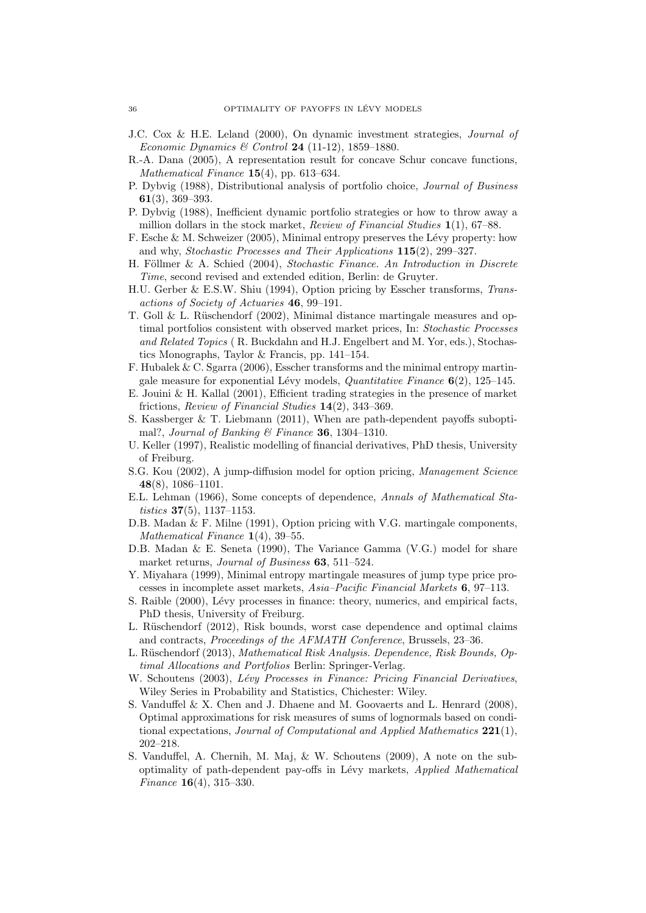- J.C. Cox & H.E. Leland (2000), On dynamic investment strategies, Journal of Economic Dynamics & Control 24 (11-12), 1859-1880.
- R.-A. Dana (2005), A representation result for concave Schur concave functions, Mathematical Finance 15(4), pp. 613–634.
- P. Dybvig (1988), Distributional analysis of portfolio choice, Journal of Business 61(3), 369–393.
- P. Dybvig (1988), Inefficient dynamic portfolio strategies or how to throw away a million dollars in the stock market, Review of Financial Studies 1(1), 67–88.
- F. Esche  $\&$  M. Schweizer (2005), Minimal entropy preserves the Lévy property: how and why, Stochastic Processes and Their Applications 115(2), 299–327.
- H. Föllmer & A. Schied (2004), Stochastic Finance. An Introduction in Discrete Time, second revised and extended edition, Berlin: de Gruyter.
- H.U. Gerber & E.S.W. Shiu (1994), Option pricing by Esscher transforms, Transactions of Society of Actuaries 46, 99–191.
- T. Goll & L. Rüschendorf (2002), Minimal distance martingale measures and optimal portfolios consistent with observed market prices, In: Stochastic Processes and Related Topics ( R. Buckdahn and H.J. Engelbert and M. Yor, eds.), Stochastics Monographs, Taylor & Francis, pp. 141–154.
- F. Hubalek & C. Sgarra (2006), Esscher transforms and the minimal entropy martingale measure for exponential Lévy models, *Quantitative Finance*  $6(2)$ , 125–145.
- E. Jouini & H. Kallal (2001), Efficient trading strategies in the presence of market frictions, Review of Financial Studies 14(2), 343–369.
- S. Kassberger & T. Liebmann (2011), When are path-dependent payoffs suboptimal?, Journal of Banking & Finance 36, 1304-1310.
- U. Keller (1997), Realistic modelling of financial derivatives, PhD thesis, University of Freiburg.
- S.G. Kou (2002), A jump-diffusion model for option pricing, Management Science 48(8), 1086–1101.
- E.L. Lehman (1966), Some concepts of dependence, Annals of Mathematical Statistics  $37(5)$ , 1137–1153.
- D.B. Madan & F. Milne (1991), Option pricing with V.G. martingale components, Mathematical Finance  $1(4)$ , 39-55.
- D.B. Madan & E. Seneta (1990), The Variance Gamma (V.G.) model for share market returns, Journal of Business 63, 511-524.
- Y. Miyahara (1999), Minimal entropy martingale measures of jump type price processes in incomplete asset markets, Asia–Pacific Financial Markets 6, 97–113.
- S. Raible (2000), Lévy processes in finance: theory, numerics, and empirical facts, PhD thesis, University of Freiburg.
- L. Rüschendorf (2012), Risk bounds, worst case dependence and optimal claims and contracts, Proceedings of the AFMATH Conference, Brussels, 23–36.
- L. Rüschendorf (2013), Mathematical Risk Analysis. Dependence, Risk Bounds, Optimal Allocations and Portfolios Berlin: Springer-Verlag.
- W. Schoutens (2003), Lévy Processes in Finance: Pricing Financial Derivatives, Wiley Series in Probability and Statistics, Chichester: Wiley.
- S. Vanduffel & X. Chen and J. Dhaene and M. Goovaerts and L. Henrard (2008), Optimal approximations for risk measures of sums of lognormals based on conditional expectations, *Journal of Computational and Applied Mathematics*  $221(1)$ . 202–218.
- S. Vanduffel, A. Chernih, M. Maj, & W. Schoutens (2009), A note on the suboptimality of path-dependent pay-offs in Lévy markets, Applied Mathematical Finance 16(4), 315–330.